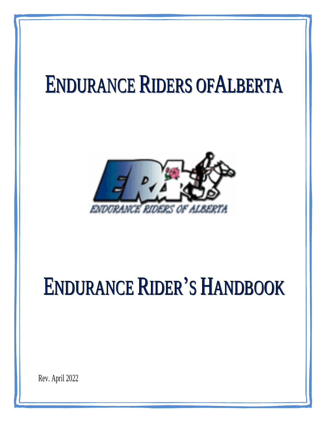# ENDURANCE RIDERS OFALBERTA



# ENDURANCE RIDER'S HANDBOOK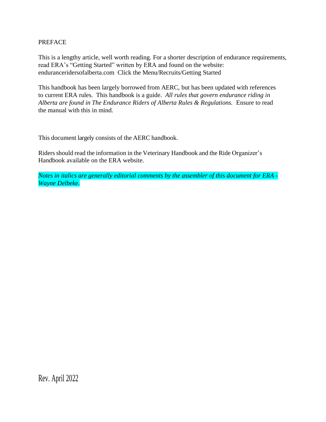#### PREFACE

This is a lengthy article, well worth reading. For a shorter description of endurance requirements, read ERA's "Getting Started" written by ERA and found on the website: enduranceridersofalberta.com Click the Menu/Recruits/Getting Started

This handbook has been largely borrowed from AERC, but has been updated with references to current ERA rules. This handbook is a guide. *All rules that govern endurance riding in Alberta are found in The Endurance Riders of Alberta Rules & Regulations.* Ensure to read the manual with this in mind.

This document largely consists of the AERC handbook.

Riders should read the information in the Veterinary Handbook and the Ride Organizer's Handbook available on the ERA website.

*Notes in italics are generally editorial comments by the assembler of this document for ERA - Wayne Delbeke.*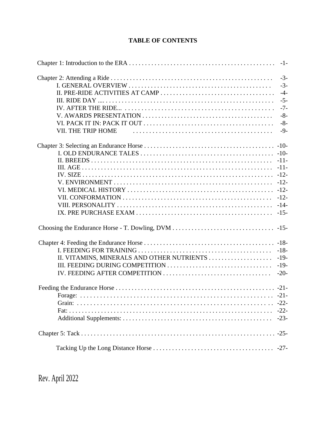# **TABLE OF CONTENTS**

|                                            | $-1-$  |
|--------------------------------------------|--------|
|                                            | $-3-$  |
|                                            | $-3-$  |
|                                            | $-4-$  |
|                                            | $-5-$  |
|                                            | $-7-$  |
|                                            | $-8-$  |
|                                            | $-8-$  |
| VII. THE TRIP HOME                         | $-9-$  |
|                                            |        |
|                                            |        |
|                                            | $-11-$ |
|                                            | $-11-$ |
|                                            | $-12-$ |
|                                            |        |
|                                            |        |
|                                            | $-12-$ |
|                                            | $-14-$ |
|                                            | $-15-$ |
|                                            |        |
|                                            | $-18-$ |
|                                            | $-18-$ |
| II. VITAMINS, MINERALS AND OTHER NUTRIENTS | $-19-$ |
|                                            | $-19-$ |
|                                            | $-20-$ |
|                                            |        |
|                                            |        |
|                                            | $-22-$ |
|                                            | $-22-$ |
|                                            | $-23-$ |
|                                            | $-25-$ |
|                                            | $-27-$ |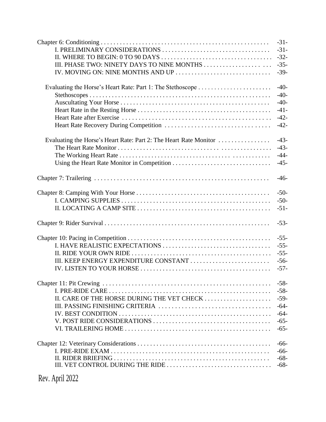|                                                                   | $-31-$ |
|-------------------------------------------------------------------|--------|
|                                                                   | $-31-$ |
|                                                                   | $-32-$ |
| III. PHASE TWO: NINETY DAYS TO NINE MONTHS                        | $-35-$ |
| IV. MOVING ON: NINE MONTHS AND UP                                 | $-39-$ |
|                                                                   | $-40-$ |
|                                                                   | $-40-$ |
|                                                                   | $-40-$ |
|                                                                   | $-41-$ |
|                                                                   | $-42-$ |
|                                                                   | $-42-$ |
| Evaluating the Horse's Heart Rate: Part 2: The Heart Rate Monitor | $-43-$ |
|                                                                   | $-43-$ |
|                                                                   | $-44-$ |
|                                                                   | $-45-$ |
|                                                                   | $-46-$ |
|                                                                   | $-50-$ |
|                                                                   | $-50-$ |
|                                                                   | $-51-$ |
|                                                                   | $-53-$ |
|                                                                   | $-55-$ |
|                                                                   | $-55-$ |
|                                                                   | $-55-$ |
| III. KEEP ENERGY EXPENDITURE CONSTANT                             | $-56-$ |
|                                                                   | $-57-$ |
|                                                                   | $-58-$ |
|                                                                   | $-58-$ |
| II. CARE OF THE HORSE DURING THE VET CHECK                        | $-59-$ |
|                                                                   | $-64-$ |
|                                                                   | $-64-$ |
|                                                                   | $-65-$ |
|                                                                   | $-65-$ |
|                                                                   | $-66-$ |
|                                                                   | $-66-$ |
|                                                                   | $-68-$ |
|                                                                   | $-68-$ |
|                                                                   |        |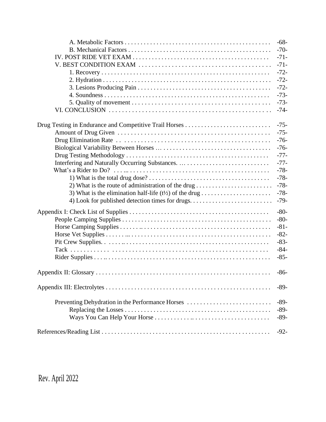|                                                 | $-68-$ |
|-------------------------------------------------|--------|
|                                                 | $-70-$ |
|                                                 | $-71-$ |
|                                                 | $-71-$ |
|                                                 | $-72-$ |
|                                                 | $-72-$ |
|                                                 | $-72-$ |
|                                                 | $-73-$ |
|                                                 | $-73-$ |
|                                                 | $-74-$ |
|                                                 | $-75-$ |
|                                                 | $-75-$ |
|                                                 | $-76-$ |
|                                                 | $-76-$ |
|                                                 | $-77-$ |
|                                                 | $-77-$ |
|                                                 | $-78-$ |
|                                                 | $-78-$ |
|                                                 | $-78-$ |
|                                                 | $-78-$ |
| 4) Look for published detection times for drugs | $-79-$ |
|                                                 | $-80-$ |
|                                                 | $-80-$ |
|                                                 | $-81-$ |
|                                                 | $-82-$ |
|                                                 | $-83-$ |
|                                                 | $-84-$ |
|                                                 | $-85-$ |
|                                                 | $-86-$ |
|                                                 | $-89-$ |
|                                                 | $-89-$ |
|                                                 | $-89-$ |
|                                                 | $-89-$ |
|                                                 | $-92-$ |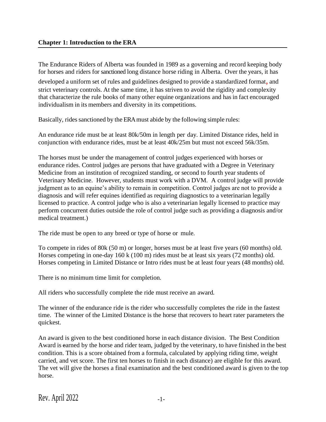The Endurance Riders of Alberta was founded in 1989 as a governing and record keeping body for horses and riders for sanctioned long distance horse riding in Alberta. Over the years, it has developed a uniform set of rules and guidelines designed to provide a standardized format, and strict veterinary controls. At the same time, it has striven to avoid the rigidity and complexity that characterize the rule books of many other equine organizations and hasin fact encouraged individualism in its members and diversity in its competitions.

Basically, rides sanctioned by the ERA must abide by the following simple rules:

An endurance ride must be at least 80k/50m in length per day. Limited Distance rides, held in conjunction with endurance rides, must be at least 40k/25m but must not exceed 56k/35m.

The horses must be under the management of control judges experienced with horses or endurance rides. Control judges are persons that have graduated with a Degree in Veterinary Medicine from an institution of recognized standing, or second to fourth year students of Veterinary Medicine. However, students must work with a DVM. A control judge will provide judgment as to an equine's ability to remain in competition. Control judges are not to provide a diagnosis and will refer equines identified as requiring diagnostics to a veterinarian legally licensed to practice. A control judge who is also a veterinarian legally licensed to practice may perform concurrent duties outside the role of control judge such as providing a diagnosis and/or medical treatment.)

The ride must be open to any breed or type of horse or mule.

To compete in rides of 80k (50 m) or longer, horses must be at least five years (60 months) old. Horses competing in one-day 160 k (100 m) rides must be at least six years (72 months) old. Horses competing in Limited Distance or Intro rides must be at least four years (48 months) old.

There is no minimum time limit for completion.

All riders who successfully complete the ride must receive an award.

The winner of the endurance ride is the rider who successfully completes the ride in the fastest time. The winner of the Limited Distance is the horse that recovers to heart rater parameters the quickest.

An award is given to the best conditioned horse in each distance division. The Best Condition Award is earned by the horse and rider team, judged by the veterinary, to have finished in the best condition. This is a score obtained from a formula, calculated by applying riding time, weight carried, and vet score. The first ten horses to finish in each distance) are eligible for this award. The vet will give the horses a final examination and the best conditioned award is given to the top horse.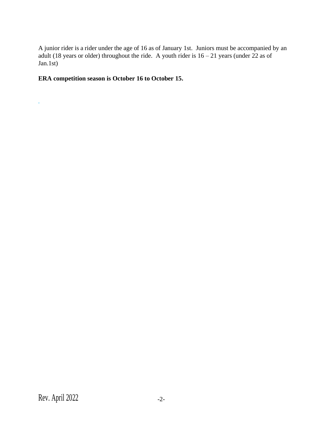A junior rider is a rider under the age of 16 as of January 1st. Juniors must be accompanied by an adult (18 years or older) throughout the ride. A youth rider is  $16 - 21$  years (under 22 as of Jan.1st)

# **ERA competition season is October 16 to October 15.**

*.*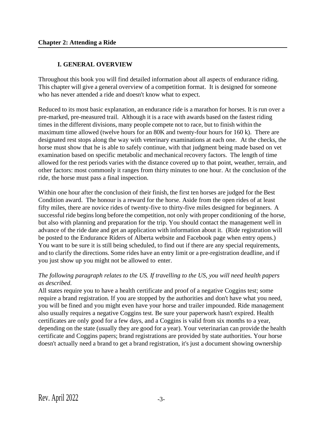#### **I. GENERAL OVERVIEW**

Throughout this book you will find detailed information about all aspects of endurance riding. This chapter will give a general overview of a competition format. It is designed for someone who has never attended a ride and doesn't know what to expect.

Reduced to its most basic explanation, an endurance ride is a marathon for horses. It is run over a pre-marked, pre-measured trail. Although it is a race with awards based on the fastest riding times in the different divisions, many people compete not to race, but to finish within the maximum time allowed (twelve hours for an 80K and twenty-four hours for 160 k). There are designated rest stops along the way with veterinary examinations at each one. At the checks, the horse must show that he is able to safely continue, with that judgment being made based on vet examination based on specific metabolic and mechanical recovery factors. The length of time allowed for the rest periods varies with the distance covered up to that point, weather, terrain, and other factors: most commonly it ranges from thirty minutes to one hour. At the conclusion of the ride, the horse must pass a final inspection.

Within one hour after the conclusion of their finish, the first ten horses are judged for the Best Condition award. The honour is a reward for the horse. Aside from the open rides of at least fifty miles, there are novice rides of twenty-five to thirty-five miles designed for beginners. A successful ride begins long before the competition, not only with proper conditioning of the horse, but also with planning and preparation for the trip. You should contact the management well in advance of the ride date and get an application with information about it. (Ride registration will be posted to the Endurance Riders of Alberta website and Facebook page when entry opens.) You want to be sure it is still being scheduled, to find out if there are any special requirements, and to clarify the directions. Some rides have an entry limit or a pre-registration deadline, and if you just show up you might not be allowed to enter.

#### *The following paragraph relates to the US. If travelling to the US, you will need health papers as described.*

All states require you to have a health certificate and proof of a negative Coggins test; some require a brand registration. If you are stopped by the authorities and don't have what you need, you will be fined and you might even have your horse and trailer impounded. Ride management also usually requires a negative Coggins test. Be sure your paperwork hasn't expired. Health certificates are only good for a few days, and a Coggins is valid from six months to a year, depending on the state (usually they are good for a year). Your veterinarian can provide the health certificate and Coggins papers; brand registrations are provided by state authorities. Your horse doesn't actually need a brand to get a brand registration, it's just a document showing ownership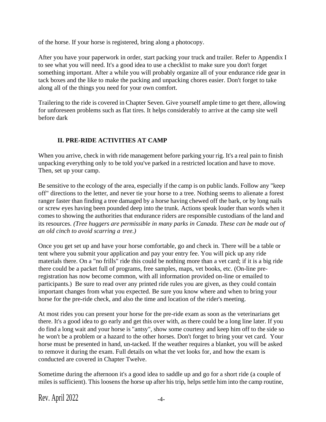of the horse. If your horse is registered, bring along a photocopy.

After you have your paperwork in order, start packing your truck and trailer. Refer to Appendix I to see what you will need. It's a good idea to use a checklist to make sure you don't forget something important. After a while you will probably organize all of your endurance ride gear in tack boxes and the like to make the packing and unpacking chores easier. Don't forget to take along all of the things you need for your own comfort.

Trailering to the ride is covered in Chapter Seven. Give yourself ample time to get there, allowing for unforeseen problems such as flat tires. It helps considerably to arrive at the camp site well before dark

# **II. PRE-RIDE ACTIVITIES AT CAMP**

When you arrive, check in with ride management before parking your rig. It's a real pain to finish unpacking everything only to be told you've parked in a restricted location and have to move. Then, set up your camp.

Be sensitive to the ecology of the area, especially if the camp is on public lands. Follow any "keep off" directions to the letter, and never tie your horse to a tree. Nothing seems to alienate a forest ranger faster than finding a tree damaged by a horse having chewed off the bark, or by long nails or screw eyes having been pounded deep into the trunk. Actions speak louder than words when it comes to showing the authorities that endurance riders are responsible custodians of the land and its resources. *(Tree huggers are permissible in many parks in Canada. These can be made out of an old cinch to avoid scarring a tree.)*

Once you get set up and have your horse comfortable, go and check in. There will be a table or tent where you submit your application and pay your entry fee. You will pick up any ride materials there. On a "no frills" ride this could be nothing more than a vet card; if it is a big ride there could be a packet full of programs, free samples, maps, vet books, etc. (On-line preregistration has now become common, with all information provided on-line or emailed to participants.) Be sure to read over any printed ride rules you are given, as they could contain important changes from what you expected. Be sure you know where and when to bring your horse for the pre-ride check, and also the time and location of the rider's meeting.

At most rides you can present your horse for the pre-ride exam as soon as the veterinarians get there. It's a good idea to go early and get this over with, as there could be a long line later. If you do find a long wait and your horse is "antsy", show some courtesy and keep him off to the side so he won't be a problem or a hazard to the other horses. Don't forget to bring your vet card. Your horse must be presented in hand, un-tacked. If the weather requires a blanket, you will be asked to remove it during the exam. Full details on what the vet looks for, and how the exam is conducted are covered in Chapter Twelve.

Sometime during the afternoon it's a good idea to saddle up and go for a short ride (a couple of miles is sufficient). This loosens the horse up after his trip, helps settle him into the camp routine,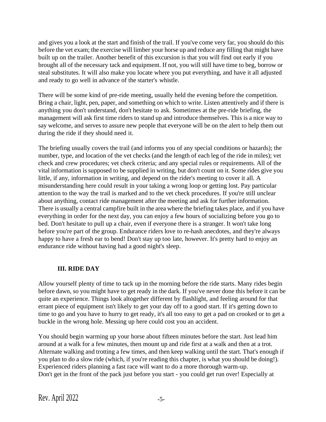and gives you a look at the start and finish of the trail. If you've come very far, you should do this before the vet exam; the exercise will limber your horse up and reduce any filling that might have built up on the trailer. Another benefit of this excursion is that you will find out early if you brought all of the necessary tack and equipment. If not, you will still have time to beg, borrow or steal substitutes. It will also make you locate where you put everything, and have it all adjusted and ready to go well in advance of the starter's whistle.

There will be some kind of pre-ride meeting, usually held the evening before the competition. Bring a chair, light, pen, paper, and something on which to write. Listen attentively and if there is anything you don't understand, don't hesitate to ask. Sometimes at the pre-ride briefing, the management will ask first time riders to stand up and introduce themselves. This is a nice way to say welcome, and serves to assure new people that everyone will be on the alert to help them out during the ride if they should need it.

The briefing usually covers the trail (and informs you of any special conditions or hazards); the number, type, and location of the vet checks (and the length of each leg of the ride in miles); vet check and crew procedures; vet check criteria; and any special rules or requirements. All of the vital information issupposed to be supplied in writing, but don't count on it. Some rides give you little, if any, information in writing, and depend on the rider's meeting to cover it all. A misunderstanding here could result in your taking a wrong loop or getting lost. Pay particular attention to the way the trail is marked and to the vet check procedures. If you're still unclear about anything, contact ride management after the meeting and ask for further information. There is usually a central campfire built in the area where the briefing takes place, and if you have everything in order for the next day, you can enjoy a few hours of socializing before you go to bed. Don't hesitate to pull up a chair, even if everyone there is a stranger. It won't take long before you're part of the group. Endurance riders love to re-hash anecdotes, and they're always happy to have a fresh ear to bend! Don't stay up too late, however. It's pretty hard to enjoy an endurance ride without having had a good night's sleep.

# **III. RIDE DAY**

Allow yourself plenty of time to tack up in the morning before the ride starts. Many rides begin before dawn, so you might have to get ready in the dark. If you've never done this before it can be quite an experience. Things look altogether different by flashlight, and feeling around for that errant piece of equipment isn't likely to get your day off to a good start. If it's getting down to time to go and you have to hurry to get ready, it's all too easy to get a pad on crooked or to get a buckle in the wrong hole. Messing up here could cost you an accident.

You should begin warming up your horse about fifteen minutes before the start. Just lead him around at a walk for a few minutes, then mount up and ride first at a walk and then at a trot. Alternate walking and trotting a few times, and then keep walking until the start. That's enough if you plan to do a slow ride (which, if you're reading this chapter, is what you should be doing!). Experienced riders planning a fast race will want to do a more thorough warm-up. Don't get in the front of the pack just before you start - you could get run over! Especially at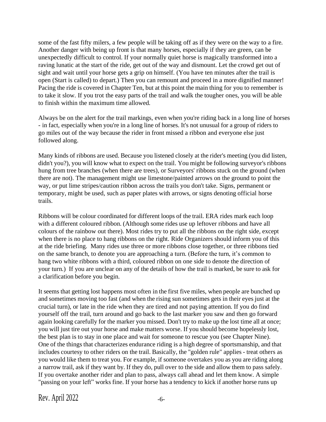some of the fast fifty milers, a few people will be taking off as if they were on the way to a fire. Another danger with being up front is that many horses, especially if they are green, can be unexpectedly difficult to control. If your normally quiet horse is magically transformed into a raving lunatic at the start of the ride, get out of the way and dismount. Let the crowd get out of sight and wait until your horse gets a grip on himself. (You have ten minutes after the trail is open (Start is called) to depart.) Then you can remount and proceed in a more dignified manner! Pacing the ride is covered in Chapter Ten, but at this point the main thing for you to remember is to take it slow. If you trot the easy parts of the trail and walk the tougher ones, you will be able to finish within the maximum time allowed.

Always be on the alert for the trail markings, even when you're riding back in a long line of horses - in fact, especially when you're in a long line of horses. It's not unusual for a group of riders to go miles out of the way because the rider in front missed a ribbon and everyone else just followed along.

Many kinds of ribbons are used. Because you listened closely at the rider's meeting (you did listen, didn't you?), you will know what to expect on the trail. You might be following surveyor's ribbons hung from tree branches (when there are trees), or Surveyors' ribbons stuck on the ground (when there are not). The management might use limestone/painted arrows on the ground to point the way, or put lime stripes/caution ribbon across the trails you don't take. Signs, permanent or temporary, might be used, such as paper plates with arrows, or signs denoting official horse trails.

Ribbons will be colour coordinated for different loops of the trail. ERA rides mark each loop with a different coloured ribbon. (Although some rides use up leftover ribbons and have all colours of the rainbow out there). Most rides try to put all the ribbons on the right side, except when there is no place to hang ribbons on the right. Ride Organizers should inform you of this at the ride briefing. Many rides use three or more ribbons close together, or three ribbons tied on the same branch, to denote you are approaching a turn. (Before the turn, it's common to hang two white ribbons with a third, coloured ribbon on one side to denote the direction of your turn.) If you are unclear on any of the details of how the trail is marked, be sure to ask for a clarification before you begin.

It seems that getting lost happens most often in the first five miles, when people are bunched up and sometimes moving too fast (and when the rising sun sometimes gets in their eyes just at the crucial turn), or late in the ride when they are tired and not paying attention. If you do find yourself off the trail, turn around and go back to the last marker you saw and then go forward again looking carefully for the marker you missed. Don't try to make up the lost time all at once; you will just tire out your horse and make matters worse. If you should become hopelessly lost, the best plan is to stay in one place and wait for someone to rescue you (see Chapter Nine). One of the things that characterizes endurance riding is a high degree of sportsmanship, and that includes courtesy to other riders on the trail. Basically, the "golden rule" applies - treat others as you would like them to treat you. For example, if someone overtakes you as you are riding along a narrow trail, ask if they want by. If they do, pull over to the side and allow them to pass safely. If you overtake another rider and plan to pass, always call ahead and let them know. A simple "passing on your left" works fine. If your horse has a tendency to kick if another horse runs up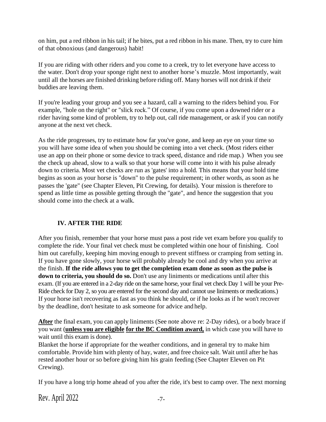on him, put a red ribbon in his tail; if he bites, put a red ribbon in his mane. Then, try to cure him of that obnoxious (and dangerous) habit!

If you are riding with other riders and you come to a creek, try to let everyone have access to the water. Don't drop your sponge right next to another horse's muzzle. Most importantly, wait until all the horses are finished drinking before riding off. Many horses will not drink if their buddies are leaving them.

If you're leading your group and you see a hazard, call a warning to the riders behind you. For example, "hole on the right" or "slick rock." Of course, if you come upon a downed rider or a rider having some kind of problem, try to help out, call ride management, or ask if you can notify anyone at the next vet check.

As the ride progresses, try to estimate how far you've gone, and keep an eye on your time so you will have some idea of when you should be coming into a vet check. (Most riders either use an app on their phone or some device to track speed, distance and ride map.) When you see the check up ahead, slow to a walk so that your horse will come into it with his pulse already down to criteria. Most vet checks are run as 'gates' into a hold. This means that your hold time begins as soon as your horse is "down" to the pulse requirement; in other words, as soon as he passes the 'gate" (see Chapter Eleven, Pit Crewing, for details). Your mission is therefore to spend as little time as possible getting through the "gate", and hence the suggestion that you should come into the check at a walk.

# **IV. AFTER THE RIDE**

After you finish, remember that your horse must pass a post ride vet exam before you qualify to complete the ride. Your final vet check must be completed within one hour of finishing. Cool him out carefully, keeping him moving enough to prevent stiffness or cramping from setting in. If you have gone slowly, your horse will probably already be cool and dry when you arrive at the finish. **If the ride allows you to get the completion exam done as soon as the pulse is down to criteria, you should do so.** Don't use any liniments or medications until after this exam. (If you are entered in a 2-day ride on the same horse, your final vet check Day 1 will be your Pre-Ride check for Day 2, so you are entered for the second day and cannot use liniments or medications.) If your horse isn't recovering as fast as you think he should, or if he looks as if he won't recover by the deadline, don't hesitate to ask someone for advice and help.

**After** the final exam, you can apply liniments (See note above re: 2-Day rides), or a body brace if you want (**unless you are eligible for the BC Condition award,** in which case you will have to wait until this exam is done).

Blanket the horse if appropriate for the weather conditions, and in general try to make him comfortable. Provide him with plenty of hay, water, and free choice salt. Wait until after he has rested another hour or so before giving him his grain feeding (See Chapter Eleven on Pit Crewing).

If you have a long trip home ahead of you after the ride, it's best to camp over. The next morning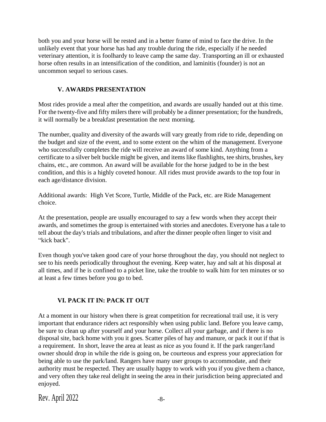both you and your horse will be rested and in a better frame of mind to face the drive. In the unlikely event that your horse has had any trouble during the ride, especially if he needed veterinary attention, it is foolhardy to leave camp the same day. Transporting an ill or exhausted horse often results in an intensification of the condition, and laminitis (founder) is not an uncommon sequel to serious cases.

#### **V. AWARDS PRESENTATION**

Most rides provide a meal after the competition, and awards are usually handed out at this time. For the twenty-five and fifty milers there will probably be a dinner presentation; for the hundreds, it will normally be a breakfast presentation the next morning.

The number, quality and diversity of the awards will vary greatly from ride to ride, depending on the budget and size of the event, and to some extent on the whim of the management. Everyone who successfully completes the ride will receive an award of some kind. Anything from a certificate to a silver belt buckle might be given, and items like flashlights, tee shirts, brushes, key chains, etc., are common. An award will be available for the horse judged to be in the best condition, and this is a highly coveted honour. All rides must provide awards to the top four in each age/distance division.

Additional awards: High Vet Score, Turtle, Middle of the Pack, etc. are Ride Management choice.

At the presentation, people are usually encouraged to say a few words when they accept their awards, and sometimes the group is entertained with stories and anecdotes. Everyone has a tale to tell about the day's trials and tribulations, and after the dinner people often linger to visit and "kick back".

Even though you've taken good care of your horse throughout the day, you should not neglect to see to his needs periodically throughout the evening. Keep water, hay and salt at his disposal at all times, and if he is confined to a picket line, take the trouble to walk him for ten minutes or so at least a few times before you go to bed.

# **VI. PACK IT IN: PACK IT OUT**

At a moment in our history when there is great competition for recreational trail use, it is very important that endurance riders act responsibly when using public land. Before you leave camp, be sure to clean up after yourself and your horse. Collect all your garbage, and if there is no disposal site, back home with you it goes. Scatter piles of hay and manure, or pack it out if that is a requirement. In short, leave the area at least as nice as you found it. If the park ranger/land owner should drop in while the ride is going on, be courteous and express your appreciation for being able to use the park/land. Rangers have many user groups to accommodate, and their authority must be respected. They are usually happy to work with you if you give them a chance, and very often they take real delight in seeing the area in their jurisdiction being appreciated and enjoyed.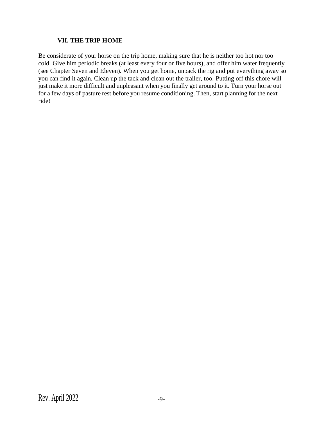#### **VII. THE TRIP HOME**

Be considerate of your horse on the trip home, making sure that he is neither too hot nor too cold. Give him periodic breaks (at least every four or five hours), and offer him water frequently (see Chapter Seven and Eleven). When you get home, unpack the rig and put everything away so you can find it again. Clean up the tack and clean out the trailer, too. Putting off this chore will just make it more difficult and unpleasant when you finally get around to it. Turn your horse out for a few days of pasture rest before you resume conditioning. Then, start planning for the next ride!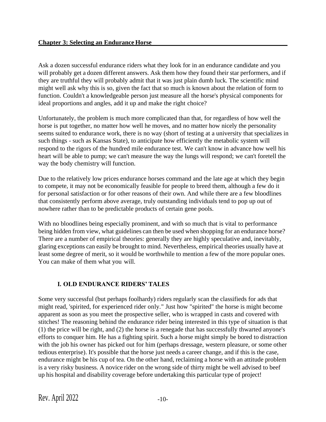Ask a dozen successful endurance riders what they look for in an endurance candidate and you will probably get a dozen different answers. Ask them how they found their star performers, and if they are truthful they will probably admit that it was just plain dumb luck. The scientific mind might well ask why this is so, given the fact that so much is known about the relation of form to function. Couldn't a knowledgeable person just measure all the horse's physical components for ideal proportions and angles, add it up and make the right choice?

Unfortunately, the problem is much more complicated than that, for regardless of how well the horse is put together, no matter how well he moves, and no matter how nicely the personality seems suited to endurance work, there is no way (short of testing at a university that specializes in such things - such as Kansas State), to anticipate how efficiently the metabolic system will respond to the rigors of the hundred mile endurance test. We can't know in advance how well his heart will be able to pump; we can't measure the way the lungs will respond; we can't foretell the way the body chemistry will function.

Due to the relatively low prices endurance horses command and the late age at which they begin to compete, it may not be economically feasible for people to breed them, although a few do it for personal satisfaction or for other reasons of their own. And while there are a few bloodlines that consistently perform above average, truly outstanding individuals tend to pop up out of nowhere rather than to be predictable products of certain gene pools.

With no bloodlines being especially prominent, and with so much that is vital to performance being hidden from view, what guidelines can then be used when shopping for an endurance horse? There are a number of empirical theories: generally they are highly speculative and, inevitably, glaring exceptions can easily be brought to mind. Nevertheless, empirical theories usually have at least some degree of merit, so it would be worthwhile to mention a few of the more popular ones. You can make of them what you will.

# **I. OLD ENDURANCE RIDERS' TALES**

Some very successful (but perhaps foolhardy) riders regularly scan the classifieds for ads that might read, 'spirited, for experienced rider only." Just how "spirited" the horse is might become apparent as soon as you meet the prospective seller, who is wrapped in casts and covered with stitches! The reasoning behind the endurance rider being interested in this type of situation is that (1) the price will be right, and (2) the horse is a renegade that has successfully thwarted anyone's efforts to conquer him. He has a fighting spirit. Such a horse might simply be bored to distraction with the job his owner has picked out for him (perhaps dressage, western pleasure, or some other tedious enterprise). It's possible that the horse just needs a career change, and if this is the case, endurance might be his cup of tea. On the other hand, reclaiming a horse with an attitude problem is a very risky business. A novice rider on the wrong side of thirty might be well advised to beef up his hospital and disability coverage before undertaking this particular type of project!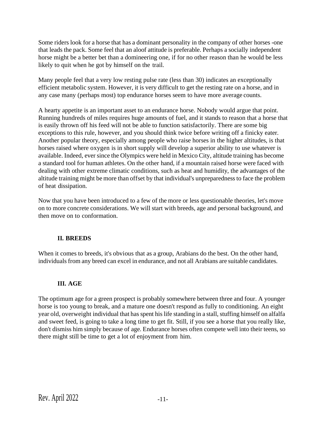Some riders look for a horse that has a dominant personality in the company of other horses -one that leads the pack. Some feel that an aloof attitude is preferable. Perhaps a socially independent horse might be a better bet than a domineering one, if for no other reason than he would be less likely to quit when he got by himself on the trail.

Many people feel that a very low resting pulse rate (less than 30) indicates an exceptionally efficient metabolic system. However, it is very difficult to get the resting rate on a horse, and in any case many (perhaps most) top endurance horses seem to have more average counts.

A hearty appetite is an important asset to an endurance horse. Nobody would argue that point. Running hundreds of miles requires huge amounts of fuel, and it stands to reason that a horse that is easily thrown off his feed will not be able to function satisfactorily. There are some big exceptions to this rule, however, and you should think twice before writing off a finicky eater. Another popular theory, especially among people who raise horses in the higher altitudes, is that horses raised where oxygen is in short supply will develop a superior ability to use whatever is available. Indeed, ever since the Olympics were held in Mexico City, altitude training has become a standard tool for human athletes. On the other hand, if a mountain raised horse were faced with dealing with other extreme climatic conditions, such as heat and humidity, the advantages of the altitude training might be more than offset by that individual's unpreparedness to face the problem of heat dissipation.

Now that you have been introduced to a few of the more or less questionable theories, let's move on to more concrete considerations. We will start with breeds, age and personal background, and then move on to conformation.

# **II. BREEDS**

When it comes to breeds, it's obvious that as a group, Arabians do the best. On the other hand, individuals from any breed can excel in endurance, and not all Arabians are suitable candidates.

#### **III. AGE**

The optimum age for a green prospect is probably somewhere between three and four. A younger horse is too young to break, and a mature one doesn't respond as fully to conditioning. An eight year old, overweight individual that has spent his life standing in a stall, stuffing himself on alfalfa and sweet feed, is going to take a long time to get fit. Still, if you see a horse that you really like, don't dismiss him simply because of age. Endurance horses often compete well into their teens, so there might still be time to get a lot of enjoyment from him.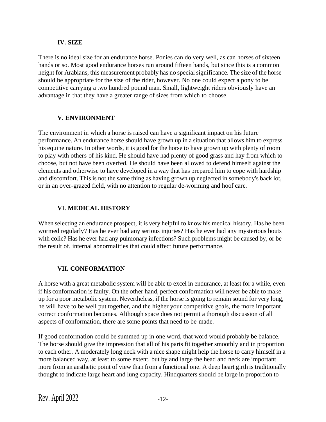#### **IV. SIZE**

There is no ideal size for an endurance horse. Ponies can do very well, as can horses of sixteen hands or so. Most good endurance horses run around fifteen hands, but since this is a common height for Arabians, this measurement probably has no special significance. The size of the horse should be appropriate for the size of the rider, however. No one could expect a pony to be competitive carrying a two hundred pound man. Small, lightweight riders obviously have an advantage in that they have a greater range of sizes from which to choose.

#### **V. ENVIRONMENT**

The environment in which a horse is raised can have a significant impact on his future performance. An endurance horse should have grown up in a situation that allows him to express his equine nature. In other words, it is good for the horse to have grown up with plenty of room to play with others of his kind. He should have had plenty of good grass and hay from which to choose, but not have been overfed. He should have been allowed to defend himself against the elements and otherwise to have developed in a way that has prepared him to cope with hardship and discomfort. This is not the same thing as having grown up neglected in somebody's back lot, or in an over-grazed field, with no attention to regular de-worming and hoof care.

# **VI. MEDICAL HISTORY**

When selecting an endurance prospect, it is very helpful to know his medical history. Has he been wormed regularly? Has he ever had any serious injuries? Has he ever had any mysterious bouts with colic? Has he ever had any pulmonary infections? Such problems might be caused by, or be the result of, internal abnormalities that could affect future performance.

# **VII. CONFORMATION**

A horse with a great metabolic system will be able to excel in endurance, at least for a while, even if his conformation isfaulty. On the other hand, perfect conformation will never be able to make up for a poor metabolic system. Nevertheless, if the horse is going to remain sound for very long, he will have to be well put together, and the higher your competitive goals, the more important correct conformation becomes. Although space does not permit a thorough discussion of all aspects of conformation, there are some points that need to be made.

If good conformation could be summed up in one word, that word would probably be balance. The horse should give the impression that all of his parts fit together smoothly and in proportion to each other. A moderately long neck with a nice shape might help the horse to carry himself in a more balanced way, at least to some extent, but by and large the head and neck are important more from an aesthetic point of view than from a functional one. A deep heart girth is traditionally thought to indicate large heart and lung capacity. Hindquarters should be large in proportion to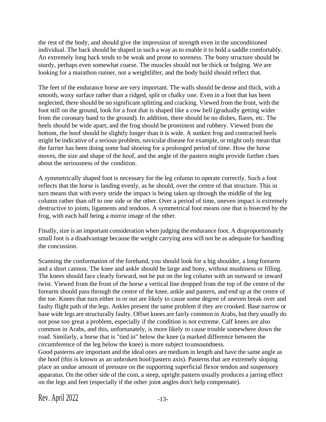the rest of the body, and should give the impression of strength even in the unconditioned individual. The back should be shaped in such a way as to enable it to hold a saddle comfortably. An extremely long back tends to be weak and prone to soreness. The bony structure should be sturdy, perhaps even somewhat coarse. The muscles should not be thick or bulging. We are looking for a marathon runner, not a weightlifter, and the body build should reflect that.

The feet of the endurance horse are very important. The walls should be dense and thick, with a smooth, waxy surface rather than a ridged, split or chalky one. Even in a foot that has been neglected, there should be no significant splitting and cracking. Viewed from the front, with the foot still on the ground, look for a foot that is shaped like a cow bell (gradually getting wider from the coronary band to the ground). In addition, there should be no dishes, flares, etc. The heels should be wide apart, and the frog should be prominent and rubbery. Viewed from the bottom, the hoof should be slightly longer than it is wide. A sunken frog and contracted heels might be indicative of a serious problem, navicular disease for example, or might only mean that the farrier has been doing some bad shoeing for a prolonged period of time. How the horse moves, the size and shape of the hoof, and the angle of the pastern might provide further clues about the seriousness of the condition.

A symmetrically shaped foot is necessary for the leg column to operate correctly. Such a foot reflects that the horse is landing evenly, as he should, over the centre of that structure. This in turn means that with every stride the impact is being taken up through the middle of the leg column rather than off to one side or the other. Over a period of time, uneven impact is extremely destructive to joints, ligaments and tendons. A symmetrical foot means one that is bisected by the frog, with each half being a mirror image of the other.

Finally, size is an important consideration when judging the endurance foot. A disproportionately small foot is a disadvantage because the weight carrying area will not be as adequate for handling the concussion.

Scanning the conformation of the forehand, you should look for a big shoulder, a long forearm and a short cannon. The knee and ankle should be large and bony, without mushiness or filling. The knees should face clearly forward, not be put on the leg column with an outward or inward twist. Viewed from the front of the horse a vertical line dropped from the top of the centre of the forearm should pass through the centre of the knee, ankle and pastern, and end up at the centre of the toe. Knees that turn either in or out are likely to cause some degree of uneven break over and faulty flight path of the legs. Ankles present the same problem if they are crooked. Base narrow or base wide legs are structurally faulty. Offset knees are fairly common in Arabs, but they usually do not pose too great a problem, especially if the condition is not extreme. Calf knees are also common in Arabs, and this, unfortunately, is more likely to cause trouble somewhere down the road. Similarly, a horse that is "tied in" below the knee (a marked difference between the circumference of the leg below the knee) is more subject tounsoundness.

Good pasterns are important and the ideal ones are medium in length and have the same angle as the hoof (this is known as an unbroken hoof/pastern axis). Pasterns that are extremely sloping place an undue amount of pressure on the supporting superficial flexor tendon and suspensory apparatus. On the other side of the coin, a steep, upright pastern usually produces a jarring effect on the legs and feet (especially if the other joint angles don't help compensate).

Rev. April 2022 -13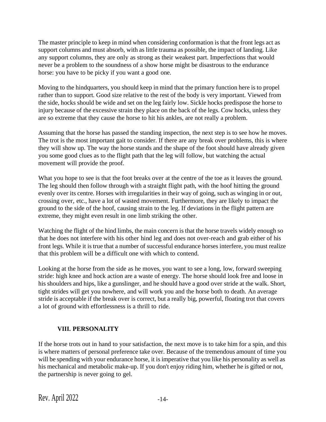The master principle to keep in mind when considering conformation is that the front legs act as support columns and must absorb, with as little trauma as possible, the impact of landing. Like any support columns, they are only as strong as their weakest part. Imperfections that would never be a problem to the soundness of a show horse might be disastrous to the endurance horse: you have to be picky if you want a good one.

Moving to the hindquarters, you should keep in mind that the primary function here is to propel rather than to support. Good size relative to the rest of the body is very important. Viewed from the side, hocks should be wide and set on the leg fairly low. Sickle hocks predispose the horse to injury because of the excessive strain they place on the back of the legs. Cow hocks, unless they are so extreme that they cause the horse to hit his ankles, are not really a problem.

Assuming that the horse has passed the standing inspection, the next step is to see how he moves. The trot is the most important gait to consider. If there are any break over problems, this is where they will show up. The way the horse stands and the shape of the foot should have already given you some good clues as to the flight path that the leg will follow, but watching the actual movement will provide the proof.

What you hope to see is that the foot breaks over at the centre of the toe as it leaves the ground. The leg should then follow through with a straight flight path, with the hoof hitting the ground evenly over its centre. Horses with irregularities in their way of going, such as winging in or out, crossing over, etc., have a lot of wasted movement. Furthermore, they are likely to impact the ground to the side of the hoof, causing strain to the leg. If deviations in the flight pattern are extreme, they might even result in one limb striking the other.

Watching the flight of the hind limbs, the main concern is that the horse travels widely enough so that he does not interfere with his other hind leg and does not over-reach and grab either of his front legs. While it is true that a number of successful endurance horses interfere, you must realize that this problem will be a difficult one with which to contend.

Looking at the horse from the side as he moves, you want to see a long, low, forward sweeping stride: high knee and hock action are a waste of energy. The horse should look free and loose in his shoulders and hips, like a gunslinger, and he should have a good over stride at the walk. Short, tight strides will get you nowhere, and will work you and the horse both to death. An average stride is acceptable if the break over is correct, but a really big, powerful, floating trot that covers a lot of ground with effortlessness is a thrill to ride.

# **VIII. PERSONALITY**

If the horse trots out in hand to your satisfaction, the next move is to take him for a spin, and this is where matters of personal preference take over. Because of the tremendous amount of time you will be spending with your endurance horse, it is imperative that you like his personality as well as his mechanical and metabolic make-up. If you don't enjoy riding him, whether he is gifted or not, the partnership is never going to gel.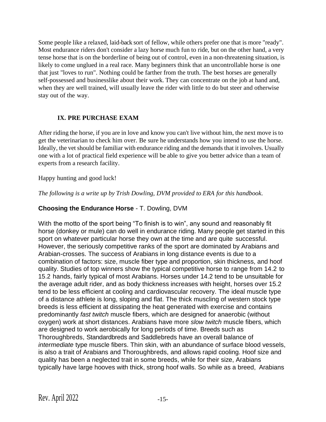Some people like a relaxed, laid-back sort of fellow, while others prefer one that is more "ready". Most endurance riders don't consider a lazy horse much fun to ride, but on the other hand, a very tense horse that is on the borderline of being out of control, even in a non-threatening situation, is likely to come unglued in a real race. Many beginners think that an uncontrollable horse is one that just "loves to run". Nothing could be farther from the truth. The best horses are generally self-possessed and businesslike about their work. They can concentrate on the job at hand and, when they are well trained, will usually leave the rider with little to do but steer and otherwise stay out of the way.

# **IX. PRE PURCHASE EXAM**

After riding the horse, if you are in love and know you can't live without him, the next move is to get the veterinarian to check him over. Be sure he understands how you intend to use the horse. Ideally, the vet should be familiar with endurance riding and the demands that it involves. Usually one with a lot of practical field experience will be able to give you better advice than a team of experts from a research facility.

#### Happy hunting and good luck!

*The following is a write up by Trish Dowling, DVM provided to ERA for this handbook*.

# **Choosing the Endurance Horse** - T. Dowling, DVM

With the motto of the sport being "To finish is to win", any sound and reasonably fit horse (donkey or mule) can do well in endurance riding. Many people get started in this sport on whatever particular horse they own at the time and are quite successful. However, the seriously competitive ranks of the sport are dominated by Arabians and Arabian-crosses. The success of Arabians in long distance events is due to a combination of factors: size, muscle fiber type and proportion, skin thickness, and hoof quality. Studies of top winners show the typical competitive horse to range from 14.2 to 15.2 hands, fairly typical of most Arabians. Horses under 14.2 tend to be unsuitable for the average adult rider, and as body thickness increases with height, horses over 15.2 tend to be less efficient at cooling and cardiovascular recovery. The ideal muscle type of a distance athlete is long, sloping and flat. The thick muscling of western stock type breeds is less efficient at dissipating the heat generated with exercise and contains predominantly *fast twitch* muscle fibers, which are designed for anaerobic (without oxygen) work at short distances. Arabians have more *slow twitch* muscle fibers, which are designed to work aerobically for long periods of time. Breeds such as Thoroughbreds, Standardbreds and Saddlebreds have an overall balance of *intermediate* type muscle fibers. Thin skin, with an abundance of surface blood vessels, is also a trait of Arabians and Thoroughbreds, and allows rapid cooling. Hoof size and quality has been a neglected trait in some breeds, while for their size, Arabians typically have large hooves with thick, strong hoof walls. So while as a breed, Arabians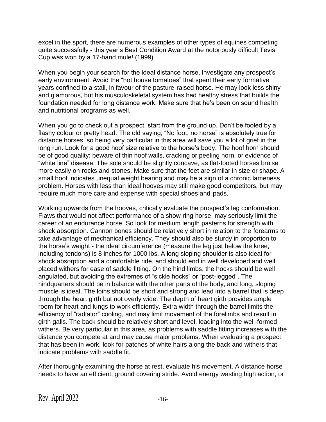excel in the sport, there are numerous examples of other types of equines competing quite successfully - this year's Best Condition Award at the notoriously difficult Tevis Cup was won by a 17-hand mule! (1999)

When you begin your search for the ideal distance horse, investigate any prospect's early environment. Avoid the "hot house tomatoes" that spent their early formative years confined to a stall, in favour of the pasture-raised horse. He may look less shiny and glamorous, but his musculoskeletal system has had healthy stress that builds the foundation needed for long distance work. Make sure that he's been on sound health and nutritional programs as well.

When you go to check out a prospect, start from the ground up. Don't be fooled by a flashy colour or pretty head. The old saying, "No foot, no horse" is absolutely true for distance horses, so being very particular in this area will save you a lot of grief in the long run. Look for a good hoof size relative to the horse's body. The hoof horn should be of good quality; beware of thin hoof walls, cracking or peeling horn, or evidence of "white line" disease. The sole should be slightly concave, as flat-footed horses bruise more easily on rocks and stones. Make sure that the feet are similar in size or shape. A small hoof indicates unequal weight bearing and may be a sign of a chronic lameness problem. Horses with less than ideal hooves may still make good competitors, but may require much more care and expense with special shoes and pads.

Working upwards from the hooves, critically evaluate the prospect's leg conformation. Flaws that would not affect performance of a show ring horse, may seriously limit the career of an endurance horse. So look for medium length pasterns for strength with shock absorption. Cannon bones should be relatively short in relation to the forearms to take advantage of mechanical efficiency. They should also be sturdy in proportion to the horse's weight - the ideal circumference (measure the leg just below the knee, including tendons) is 8 inches for 1000 lbs. A long sloping shoulder is also ideal for shock absorption and a comfortable ride, and should end in well developed and well placed withers for ease of saddle fitting. On the hind limbs, the hocks should be well angulated, but avoiding the extremes of "sickle hocks" or "post-legged". The hindquarters should be in balance with the other parts of the body, and long, sloping muscle is ideal. The loins should be short and strong and lead into a barrel that is deep through the heart girth but not overly wide. The depth of heart girth provides ample room for heart and lungs to work efficiently. Extra width through the barrel limits the efficiency of "radiator" cooling, and may limit movement of the forelimbs and result in girth galls. The back should be relatively short and level, leading into the well-formed withers. Be very particular in this area, as problems with saddle fitting increases with the distance you compete at and may cause major problems. When evaluating a prospect that has been in work, look for patches of white hairs along the back and withers that indicate problems with saddle fit.

After thoroughly examining the horse at rest, evaluate his movement. A distance horse needs to have an efficient, ground covering stride. Avoid energy wasting high action, or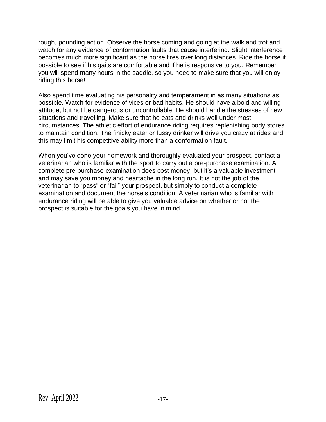rough, pounding action. Observe the horse coming and going at the walk and trot and watch for any evidence of conformation faults that cause interfering. Slight interference becomes much more significant as the horse tires over long distances. Ride the horse if possible to see if his gaits are comfortable and if he is responsive to you. Remember you will spend many hours in the saddle, so you need to make sure that you will enjoy riding this horse!

Also spend time evaluating his personality and temperament in as many situations as possible. Watch for evidence of vices or bad habits. He should have a bold and willing attitude, but not be dangerous or uncontrollable. He should handle the stresses of new situations and travelling. Make sure that he eats and drinks well under most circumstances. The athletic effort of endurance riding requires replenishing body stores to maintain condition. The finicky eater or fussy drinker will drive you crazy at rides and this may limit his competitive ability more than a conformation fault.

When you've done your homework and thoroughly evaluated your prospect, contact a veterinarian who is familiar with the sport to carry out a pre-purchase examination. A complete pre-purchase examination does cost money, but it's a valuable investment and may save you money and heartache in the long run. It is not the job of the veterinarian to "pass" or "fail" your prospect, but simply to conduct a complete examination and document the horse's condition. A veterinarian who is familiar with endurance riding will be able to give you valuable advice on whether or not the prospect is suitable for the goals you have in mind.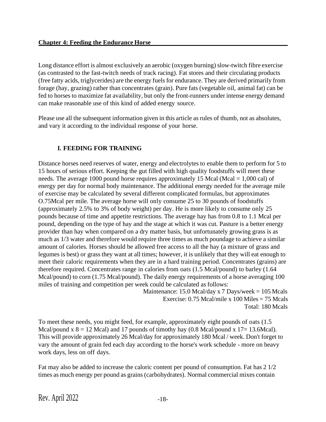Long distance effort is almost exclusively an aerobic (oxygen burning) slow-twitch fibre exercise (as contrasted to the fast-twitch needs of track racing). Fat stores and their circulating products (free fatty acids, triglycerides) are the energy fuels for endurance. They are derived primarily from forage (hay, grazing) rather than concentrates (grain). Pure fats (vegetable oil, animal fat) can be fed to horses to maximize fat availability, but only the front-runners under intense energy demand can make reasonable use of this kind of added energy source.

Please use all the subsequent information given in this article as rules of thumb, not as absolutes, and vary it according to the individual response of your horse.

# **I. FEEDING FOR TRAINING**

Distance horses need reserves of water, energy and electrolytes to enable them to perform for 5 to 15 hours of serious effort. Keeping the gut filled with high quality foodstuffs will meet these needs. The average 1000 pound horse requires approximately 15 Mcal (Mcal = 1,000 cal) of energy per day for normal body maintenance. The additional energy needed for the average mile of exercise may be calculated by several different complicated formulas, but approximates O.75Mcal per mile. The average horse will only consume 25 to 30 pounds of foodstuffs (approximately 2.5% to 3% of body weight) per day. He is more likely to consume only 25 pounds because of time and appetite restrictions. The average hay has from 0.8 to 1.1 Mcal per pound, depending on the type of hay and the stage at which it was cut. Pasture is a better energy provider than hay when compared on a dry matter basis, but unfortunately growing grass is as much as 1/3 water and therefore would require three times as much poundage to achieve a similar amount of calories. Horses should be allowed free access to all the hay (a mixture of grass and legumes is best) or grass they want at all times; however, it is unlikely that they will eat enough to meet their caloric requirements when they are in a hard training period. Concentrates (grains) are therefore required. Concentrates range in calories from oats (1.5 Mcal/pound) to barley (1.64 Mcal/pound) to corn (1.75 Mcal/pound). The daily energy requirements of a horse averaging 100 miles of training and competition per week could be calculated as follows:

Maintenance: 15.0 Mcal/day x 7 Days/week = 105 Mcals Exercise:  $0.75$  Mcal/mile x 100 Miles = 75 Mcals Total: 180 Mcals

To meet these needs, you might feed, for example, approximately eight pounds of oats (1.5 Mcal/pound x  $8 = 12$  Mcal) and 17 pounds of timothy hay (0.8 Mcal/pound x 17= 13.6Mcal). This will provide approximately 26 Mcal/day for approximately 180 Mcal / week. Don't forget to vary the amount of grain fed each day according to the horse's work schedule - more on heavy work days, less on off days.

Fat may also be added to increase the caloric content per pound of consumption. Fat has 2 1/2 times as much energy per pound as grains (carbohydrates). Normal commercial mixes contain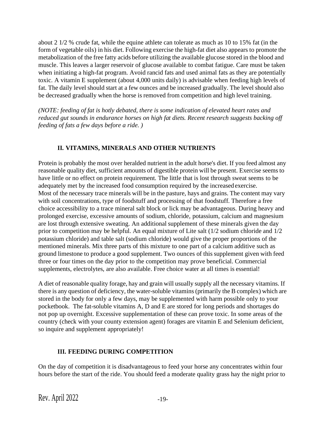about 2 1/2 % crude fat, while the equine athlete can tolerate as much as 10 to 15% fat (in the form of vegetable oils) in his diet. Following exercise the high-fat diet also appears to promote the metabolization of the free fatty acids before utilizing the available glucose stored in the blood and muscle. This leaves a larger reservoir of glucose available to combat fatigue. Care must be taken when initiating a high-fat program. Avoid rancid fats and used animal fats as they are potentially toxic. A vitamin E supplement (about 4,000 units daily) is advisable when feeding high levels of fat. The daily level should start at a few ounces and be increased gradually. The level should also be decreased gradually when the horse is removed from competition and high level training.

*(NOTE: feeding of fat is hotly debated, there is some indication of elevated heart rates and reduced gut sounds in endurance horses on high fat diets. Recent research suggests backing off feeding of fats a few days before a ride. )*

# **II. VITAMINS, MINERALS AND OTHER NUTRIENTS**

Protein is probably the most over heralded nutrient in the adult horse's diet. If you feed almost any reasonable quality diet, sufficient amounts of digestible protein will be present. Exercise seems to have little or no effect on protein requirement. The little that is lost through sweat seems to be adequately met by the increased food consumption required by the increased exercise. Most of the necessary trace minerals will be in the pasture, hays and grains. The content may vary with soil concentrations, type of foodstuff and processing of that foodstuff. Therefore a free choice accessibility to a trace mineral salt block or lick may be advantageous. During heavy and prolonged exercise, excessive amounts of sodium, chloride, potassium, calcium and magnesium are lost through extensive sweating. An additional supplement of these minerals given the day prior to competition may be helpful. An equal mixture of Lite salt (1/2 sodium chloride and 1/2 potassium chloride) and table salt (sodium chloride) would give the proper proportions of the mentioned minerals. Mix three parts of this mixture to one part of a calcium additive such as ground limestone to produce a good supplement. Two ounces of this supplement given with feed three or four times on the day prior to the competition may prove beneficial. Commercial supplements, electrolytes, are also available. Free choice water at all times is essential!

A diet of reasonable quality forage, hay and grain will usually supply all the necessary vitamins. If there is any question of deficiency, the water-soluble vitamins (primarily the B complex) which are stored in the body for only a few days, may be supplemented with harm possible only to your pocketbook. The fat-soluble vitamins A, D and E are stored for long periods and shortages do not pop up overnight. Excessive supplementation of these can prove toxic. In some areas of the country (check with your county extension agent) forages are vitamin E and Selenium deficient, so inquire and supplement appropriately!

# **III. FEEDING DURING COMPETITION**

On the day of competition it is disadvantageous to feed your horse any concentrates within four hours before the start of the ride. You should feed a moderate quality grass hay the night prior to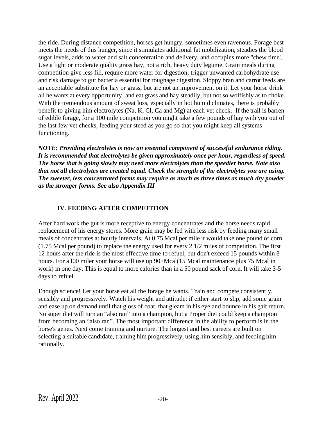the ride. During distance competition, horses get hungry, sometimes even ravenous. Forage best meets the needs of this hunger, since it stimulates additional fat mobilization, steadies the blood sugar levels, adds to water and salt concentration and delivery, and occupies more "chew time'. Use a light or moderate quality grass hay, not a rich, heavy duty legume. Grain meals during competition give less fill, require more water for digestion, trigger unwanted carbohydrate use and risk damage to gut bacteria essential for roughage digestion. Sloppy bran and carrot feeds are an acceptable substitute for hay or grass, but are not an improvement on it. Let your horse drink all he wants at every opportunity, and eat grass and hay steadily, but not so wolfishly as to choke. With the tremendous amount of sweat loss, especially in hot humid climates, there is probably benefit to giving him electrolytes (Na, K, Cl, Ca and Mg) at each vet check. If the trail is barren of edible forage, for a 100 mile competition you might take a few pounds of hay with you out of the last few vet checks, feeding your steed as you go so that you might keep all systems functioning.

*NOTE: Providing electrolytes is now an essential component of successful endurance riding. It is recommended that electrolytes be given approximately once per hour, regardless of speed. The horse that is going slowly may need more electrolytes than the speedier horse. Note also that not all electrolytes are created equal. Check the strength of the electrolytes you are using. The sweeter, less concentrated forms may require as much as three times as much dry powder as the stronger forms. See also Appendix III*

# **IV. FEEDING AFTER COMPETITION**

After hard work the gut is more receptive to energy concentrates and the horse needs rapid replacement of his energy stores. More grain may be fed with less risk by feeding many small meals of concentrates at hourly intervals. At 0.75 Mcal per mile it would take one pound of corn (1.75 Mcal per pound) to replace the energy used for every 2 1/2 miles of competition. The first 12 hours after the ride is the most effective time to refuel, but don't exceed 15 pounds within 8 hours. For a 100 miler your horse will use up 90+Mcal(15 Mcal maintenance plus 75 Mcal in work) in one day. This is equal to more calories than in a 50 pound sack of corn. It will take 3-5 days to refuel.

Enough science! Let your horse eat all the forage he wants. Train and compete consistently, sensibly and progressively. Watch his weight and attitude: if either start to slip, add some grain and ease up on demand until that gloss of coat, that gleam in his eye and bounce in his gait return. No super diet will turn an "also ran" into a champion, but a Proper diet could keep a champion from becoming an "also ran". The most important difference in the ability to perform is in the horse's genes. Next come training and nurture. The longest and best careers are built on selecting a suitable candidate, training him progressively, using him sensibly, and feeding him rationally.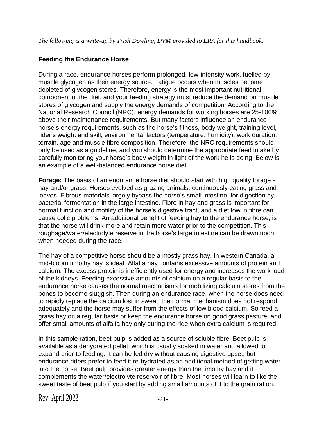*The following is a write-up by Trish Dowling, DVM provided to ERA for this handbook*.

# **Feeding the Endurance Horse**

During a race, endurance horses perform prolonged, low-intensity work, fuelled by muscle glycogen as their energy source. Fatigue occurs when muscles become depleted of glycogen stores. Therefore, energy is the most important nutritional component of the diet, and your feeding strategy must reduce the demand on muscle stores of glycogen and supply the energy demands of competition. According to the National Research Council (NRC), energy demands for working horses are 25-100% above their maintenance requirements. But many factors influence an endurance horse's energy requirements, such as the horse's fitness, body weight, training level, rider's weight and skill, environmental factors (temperature, humidity), work duration, terrain, age and muscle fibre composition. Therefore, the NRC requirements should only be used as a guideline, and you should determine the appropriate feed intake by carefully monitoring your horse's body weight in light of the work he is doing. Below is an example of a well-balanced endurance horse diet.

**Forage:** The basis of an endurance horse diet should start with high quality forage hay and/or grass. Horses evolved as grazing animals, continuously eating grass and leaves. Fibrous materials largely bypass the horse's small intestine, for digestion by bacterial fermentation in the large intestine. Fibre in hay and grass is important for normal function and motility of the horse's digestive tract, and a diet low in fibre can cause colic problems. An additional benefit of feeding hay to the endurance horse, is that the horse will drink more and retain more water prior to the competition. This roughage/water/electrolyte reserve in the horse's large intestine can be drawn upon when needed during the race.

The hay of a competitive horse should be a mostly grass hay. In western Canada, a mid-bloom timothy hay is ideal. Alfalfa hay contains excessive amounts of protein and calcium. The excess protein is inefficiently used for energy and increases the work load of the kidneys. Feeding excessive amounts of calcium on a regular basis to the endurance horse causes the normal mechanisms for mobilizing calcium stores from the bones to become sluggish. Then during an endurance race, when the horse does need to rapidly replace the calcium lost in sweat, the normal mechanism does not respond adequately and the horse may suffer from the effects of low blood calcium. So feed a grass hay on a regular basis or keep the endurance horse on good grass pasture, and offer small amounts of alfalfa hay only during the ride when extra calcium is required.

In this sample ration, beet pulp is added as a source of soluble fibre. Beet pulp is available as a dehydrated pellet, which is usually soaked in water and allowed to expand prior to feeding. It can be fed dry without causing digestive upset, but endurance riders prefer to feed it re-hydrated as an additional method of getting water into the horse. Beet pulp provides greater energy than the timothy hay and it complements the water/electrolyte reservoir of fibre. Most horses will learn to like the sweet taste of beet pulp if you start by adding small amounts of it to the grain ration.

Rev. April  $2022$   $-21$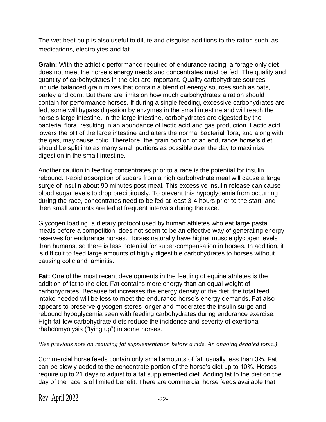The wet beet pulp is also useful to dilute and disguise additions to the ration such as medications, electrolytes and fat.

**Grain:** With the athletic performance required of endurance racing, a forage only diet does not meet the horse's energy needs and concentrates must be fed. The quality and quantity of carbohydrates in the diet are important. Quality carbohydrate sources include balanced grain mixes that contain a blend of energy sources such as oats, barley and corn. But there are limits on how much carbohydrates a ration should contain for performance horses. If during a single feeding, excessive carbohydrates are fed, some will bypass digestion by enzymes in the small intestine and will reach the horse's large intestine. In the large intestine, carbohydrates are digested by the bacterial flora, resulting in an abundance of lactic acid and gas production. Lactic acid lowers the pH of the large intestine and alters the normal bacterial flora, and along with the gas, may cause colic. Therefore, the grain portion of an endurance horse's diet should be split into as many small portions as possible over the day to maximize digestion in the small intestine.

Another caution in feeding concentrates prior to a race is the potential for insulin rebound. Rapid absorption of sugars from a high carbohydrate meal will cause a large surge of insulin about 90 minutes post-meal. This excessive insulin release can cause blood sugar levels to drop precipitously. To prevent this hypoglycemia from occurring during the race, concentrates need to be fed at least 3-4 hours prior to the start, and then small amounts are fed at frequent intervals during the race.

Glycogen loading, a dietary protocol used by human athletes who eat large pasta meals before a competition, does not seem to be an effective way of generating energy reserves for endurance horses. Horses naturally have higher muscle glycogen levels than humans, so there is less potential for super-compensation in horses. In addition, it is difficult to feed large amounts of highly digestible carbohydrates to horses without causing colic and laminitis.

**Fat:** One of the most recent developments in the feeding of equine athletes is the addition of fat to the diet. Fat contains more energy than an equal weight of carbohydrates. Because fat increases the energy density of the diet, the total feed intake needed will be less to meet the endurance horse's energy demands. Fat also appears to preserve glycogen stores longer and moderates the insulin surge and rebound hypoglycemia seen with feeding carbohydrates during endurance exercise. High fat-low carbohydrate diets reduce the incidence and severity of exertional rhabdomyolysis ("tying up") in some horses.

#### *(See previous note on reducing fat supplementation before a ride. An ongoing debated topic.)*

Commercial horse feeds contain only small amounts of fat, usually less than 3%. Fat can be slowly added to the concentrate portion of the horse's diet up to 10%. Horses require up to 21 days to adjust to a fat supplemented diet. Adding fat to the diet on the day of the race is of limited benefit. There are commercial horse feeds available that

Rev. April  $2022$   $-22$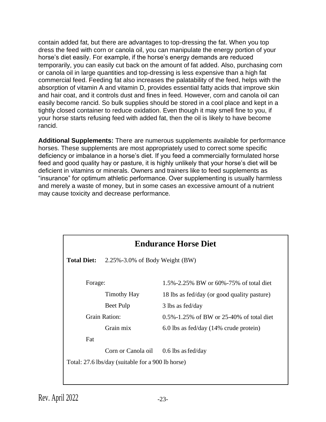contain added fat, but there are advantages to top-dressing the fat. When you top dress the feed with corn or canola oil, you can manipulate the energy portion of your horse's diet easily. For example, if the horse's energy demands are reduced temporarily, you can easily cut back on the amount of fat added. Also, purchasing corn or canola oil in large quantities and top-dressing is less expensive than a high fat commercial feed. Feeding fat also increases the palatability of the feed, helps with the absorption of vitamin A and vitamin D, provides essential fatty acids that improve skin and hair coat, and it controls dust and fines in feed. However, corn and canola oil can easily become rancid. So bulk supplies should be stored in a cool place and kept in a tightly closed container to reduce oxidation. Even though it may smell fine to you, if your horse starts refusing feed with added fat, then the oil is likely to have become rancid.

**Additional Supplements:** There are numerous supplements available for performance horses. These supplements are most appropriately used to correct some specific deficiency or imbalance in a horse's diet. If you feed a commercially formulated horse feed and good quality hay or pasture, it is highly unlikely that your horse's diet will be deficient in vitamins or minerals. Owners and trainers like to feed supplements as "insurance" for optimum athletic performance. Over supplementing is usually harmless and merely a waste of money, but in some cases an excessive amount of a nutrient may cause toxicity and decrease performance.

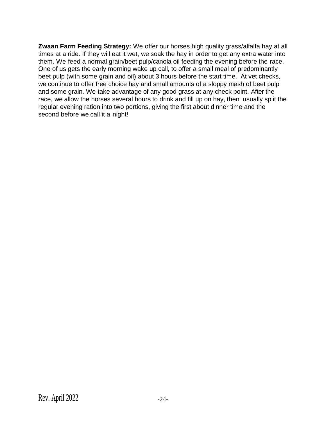**Zwaan Farm Feeding Strategy:** We offer our horses high quality grass/alfalfa hay at all times at a ride. If they will eat it wet, we soak the hay in order to get any extra water into them. We feed a normal grain/beet pulp/canola oil feeding the evening before the race. One of us gets the early morning wake up call, to offer a small meal of predominantly beet pulp (with some grain and oil) about 3 hours before the start time. At vet checks, we continue to offer free choice hay and small amounts of a sloppy mash of beet pulp and some grain. We take advantage of any good grass at any check point. After the race, we allow the horses several hours to drink and fill up on hay, then usually split the regular evening ration into two portions, giving the first about dinner time and the second before we call it a night!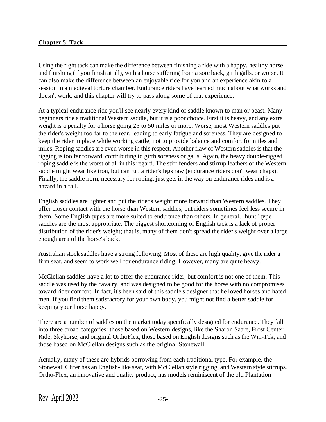#### **Chapter 5: Tack**

Using the right tack can make the difference between finishing a ride with a happy, healthy horse and finishing (if you finish at all), with a horse suffering from a sore back, girth galls, or worse. It can also make the difference between an enjoyable ride for you and an experience akin to a session in a medieval torture chamber. Endurance riders have learned much about what works and doesn't work, and this chapter will try to pass along some of that experience.

At a typical endurance ride you'll see nearly every kind of saddle known to man or beast. Many beginners ride a traditional Western saddle, but it is a poor choice. First it is heavy, and any extra weight is a penalty for a horse going 25 to 50 miles or more. Worse, most Western saddles put the rider's weight too far to the rear, leading to early fatigue and soreness. They are designed to keep the rider in place while working cattle, not to provide balance and comfort for miles and miles. Roping saddles are even worse in this respect. Another flaw of Western saddles is that the rigging istoo far forward, contributing to girth soreness or galls. Again, the heavy double-rigged roping saddle is the worst of all in this regard. The stiff fenders and stirrup leathers of the Western saddle might wear like iron, but can rub a rider's legs raw (endurance riders don't wear chaps). Finally, the saddle horn, necessary for roping, just gets in the way on endurance rides and is a hazard in a fall.

English saddles are lighter and put the rider's weight more forward than Western saddles. They offer closer contact with the horse than Western saddles, but riders sometimes feel less secure in them. Some English types are more suited to endurance than others. In general, "hunt" type saddles are the most appropriate. The biggest shortcoming of English tack is a lack of proper distribution of the rider's weight; that is, many of them don't spread the rider's weight over a large enough area of the horse's back.

Australian stock saddles have a strong following. Most of these are high quality, give the rider a firm seat, and seem to work well for endurance riding. However, many are quite heavy.

McClellan saddles have a lot to offer the endurance rider, but comfort is not one of them. This saddle was used by the cavalry, and was designed to be good for the horse with no compromises toward rider comfort. In fact, it's been said of this saddle's designer that he loved horses and hated men. If you find them satisfactory for your own body, you might not find a better saddle for keeping your horse happy.

There are a number of saddles on the market today specifically designed for endurance. They fall into three broad categories: those based on Western designs, like the Sharon Saare, Frost Center Ride, Skyhorse, and original OrthoFlex; those based on English designs such as the Win-Tek, and those based on McClellan designs such as the original Stonewall.

Actually, many of these are hybrids borrowing from each traditional type. For example, the Stonewall Clifer has an English- like seat, with McClellan style rigging, and Western style stirrups. Ortho-Flex, an innovative and quality product, has models reminiscent of the old Plantation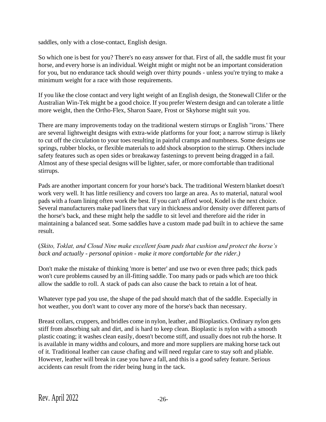saddles, only with a close-contact, English design.

So which one is best for you? There's no easy answer for that. First of all, the saddle must fit your horse, and every horse is an individual. Weight might or might not be an important consideration for you, but no endurance tack should weigh over thirty pounds - unless you're trying to make a minimum weight for a race with those requirements.

If you like the close contact and very light weight of an English design, the Stonewall Clifer or the Australian Win-Tek might be a good choice. If you prefer Western design and can tolerate a little more weight, then the Ortho-Flex, Sharon Saare, Frost or Skyhorse might suit you.

There are many improvements today on the traditional western stirrups or English "irons.' There are several lightweight designs with extra-wide platforms for your foot; a narrow stirrup is likely to cut off the circulation to your toes resulting in painful cramps and numbness. Some designs use springs, rubber blocks, or flexible materials to add shock absorption to the stirrup. Others include safety features such as open sides or breakaway fastenings to prevent being dragged in a fail. Almost any of these special designs will be lighter, safer, or more comfortable than traditional stirrups.

Pads are another important concern for your horse's back. The traditional Western blanket doesn't work very well. It has little resiliency and covers too large an area. As to material, natural wool pads with a foam lining often work the best. If you can't afford wool, Kodel is the next choice. Several manufacturers make pad liners that vary in thickness and/or density over different parts of the horse's back, and these might help the saddle to sit level and therefore aid the rider in maintaining a balanced seat. Some saddles have a custom made pad built in to achieve the same result.

#### (*Skito, Toklat, and Cloud Nine make excellent foam pads that cushion and protect the horse's back and actually - personal opinion - make it more comfortable for the rider.)*

Don't make the mistake of thinking 'more is better' and use two or even three pads; thick pads won't cure problems caused by an ill-fitting saddle. Too many pads or pads which are too thick allow the saddle to roll. A stack of pads can also cause the back to retain a lot of heat.

Whatever type pad you use, the shape of the pad should match that of the saddle. Especially in hot weather, you don't want to cover any more of the horse's back than necessary.

Breast collars, cruppers, and bridles come in nylon, leather, and Bioplastics. Ordinary nylon gets stiff from absorbing salt and dirt, and is hard to keep clean. Bioplastic is nylon with a smooth plastic coating; it washes clean easily, doesn't become stiff, and usually does not rub the horse. It is available in many widths and colours, and more and more suppliers are making horse tack out of it. Traditional leather can cause chafing and will need regular care to stay soft and pliable. However, leather will break in case you have a fall, and this is a good safety feature. Serious accidents can result from the rider being hung in the tack.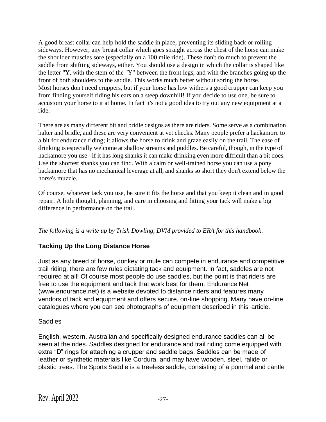A good breast collar can help hold the saddle in place, preventing its sliding back or rolling sideways. However, any breast collar which goes straight across the chest of the horse can make the shoulder muscles sore (especially on a 100 mile ride). These don't do much to prevent the saddle from shifting sideways, either. You should use a design in which the collar is shaped like the letter "Y, with the stem of the "Y" between the front legs, and with the branches going up the front of both shoulders to the saddle. This works much better without soring the horse. Most horses don't need cruppers, but if your horse has low withers a good crupper can keep you from finding yourself riding his ears on a steep downhill! If you decide to use one, be sure to accustom your horse to it at home. In fact it's not a good idea to try out any new equipment at a ride.

There are as many different bit and bridle designs as there are riders. Some serve as a combination halter and bridle, and these are very convenient at vet checks. Many people prefer a hackamore to a bit for endurance riding; it allows the horse to drink and graze easily on the trail. The ease of drinking is especially welcome at shallow streams and puddles. Be careful, though, in the type of hackamore you use - if it has long shanks it can make drinking even more difficult than a bit does. Use the shortest shanks you can find. With a calm or well-trained horse you can use a pony hackamore that has no mechanical leverage at all, and shanks so short they don't extend below the horse's muzzle.

Of course, whatever tack you use, be sure it fits the horse and that you keep it clean and in good repair. A little thought, planning, and care in choosing and fitting your tack will make a big difference in performance on the trail.

*The following is a write up by Trish Dowling, DVM provided to ERA for this handbook*.

# **Tacking Up the Long Distance Horse**

Just as any breed of horse, donkey or mule can compete in endurance and competitive trail riding, there are few rules dictating tack and equipment. In fact, saddles are not required at all! Of course most people do use saddles, but the point is that riders are free to use the equipment and tack that work best for them. Endurance Net (www.endurance.net) is a website devoted to distance riders and features many vendors of tack and equipment and offers secure, on-line shopping. Many have on-line catalogues where you can see photographs of equipment described in this article.

# **Saddles**

English, western, Australian and specifically designed endurance saddles can all be seen at the rides. Saddles designed for endurance and trail riding come equipped with extra "D" rings for attaching a crupper and saddle bags. Saddles can be made of leather or synthetic materials like Cordura, and may have wooden, steel, ralide or plastic trees. The Sports Saddle is a treeless saddle, consisting of a pommel and cantle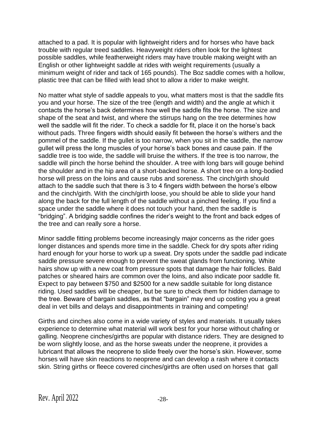attached to a pad. It is popular with lightweight riders and for horses who have back trouble with regular treed saddles. Heavyweight riders often look for the lightest possible saddles, while featherweight riders may have trouble making weight with an English or other lightweight saddle at rides with weight requirements (usually a minimum weight of rider and tack of 165 pounds). The Boz saddle comes with a hollow, plastic tree that can be filled with lead shot to allow a rider to make weight.

No matter what style of saddle appeals to you, what matters most is that the saddle fits you and your horse. The size of the tree (length and width) and the angle at which it contacts the horse's back determines how well the saddle fits the horse. The size and shape of the seat and twist, and where the stirrups hang on the tree determines how well the saddle will fit the rider. To check a saddle for fit, place it on the horse's back without pads. Three fingers width should easily fit between the horse's withers and the pommel of the saddle. If the gullet is too narrow, when you sit in the saddle, the narrow gullet will press the long muscles of your horse's back bones and cause pain. If the saddle tree is too wide, the saddle will bruise the withers. If the tree is too narrow, the saddle will pinch the horse behind the shoulder. A tree with long bars will gouge behind the shoulder and in the hip area of a short-backed horse. A short tree on a long-bodied horse will press on the loins and cause rubs and soreness. The cinch/girth should attach to the saddle such that there is 3 to 4 fingers width between the horse's elbow and the cinch/girth. With the cinch/girth loose, you should be able to slide your hand along the back for the full length of the saddle without a pinched feeling. If you find a space under the saddle where it does not touch your hand, then the saddle is "bridging". A bridging saddle confines the rider's weight to the front and back edges of the tree and can really sore a horse.

Minor saddle fitting problems become increasingly major concerns as the rider goes longer distances and spends more time in the saddle. Check for dry spots after riding hard enough for your horse to work up a sweat. Dry spots under the saddle pad indicate saddle pressure severe enough to prevent the sweat glands from functioning. White hairs show up with a new coat from pressure spots that damage the hair follicles. Bald patches or sheared hairs are common over the loins, and also indicate poor saddle fit. Expect to pay between \$750 and \$2500 for a new saddle suitable for long distance riding. Used saddles will be cheaper, but be sure to check them for hidden damage to the tree. Beware of bargain saddles, as that "bargain" may end up costing you a great deal in vet bills and delays and disappointments in training and competing!

Girths and cinches also come in a wide variety of styles and materials. It usually takes experience to determine what material will work best for your horse without chafing or galling. Neoprene cinches/girths are popular with distance riders. They are designed to be worn slightly loose, and as the horse sweats under the neoprene, it provides a lubricant that allows the neoprene to slide freely over the horse's skin. However, some horses will have skin reactions to neoprene and can develop a rash where it contacts skin. String girths or fleece covered cinches/girths are often used on horses that gall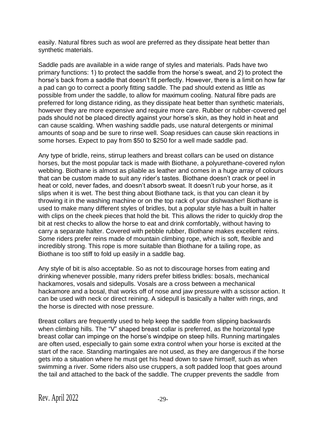easily. Natural fibres such as wool are preferred as they dissipate heat better than synthetic materials.

Saddle pads are available in a wide range of styles and materials. Pads have two primary functions: 1) to protect the saddle from the horse's sweat, and 2) to protect the horse's back from a saddle that doesn't fit perfectly. However, there is a limit on how far a pad can go to correct a poorly fitting saddle. The pad should extend as little as possible from under the saddle, to allow for maximum cooling. Natural fibre pads are preferred for long distance riding, as they dissipate heat better than synthetic materials, however they are more expensive and require more care. Rubber or rubber-covered gel pads should not be placed directly against your horse's skin, as they hold in heat and can cause scalding. When washing saddle pads, use natural detergents or minimal amounts of soap and be sure to rinse well. Soap residues can cause skin reactions in some horses. Expect to pay from \$50 to \$250 for a well made saddle pad.

Any type of bridle, reins, stirrup leathers and breast collars can be used on distance horses, but the most popular tack is made with Biothane, a polyurethane-covered nylon webbing. Biothane is almost as pliable as leather and comes in a huge array of colours that can be custom made to suit any rider's tastes. Biothane doesn't crack or peel in heat or cold, never fades, and doesn't absorb sweat. It doesn't rub your horse, as it slips when it is wet. The best thing about Biothane tack, is that you can clean it by throwing it in the washing machine or on the top rack of your dishwasher! Biothane is used to make many different styles of bridles, but a popular style has a built in halter with clips on the cheek pieces that hold the bit. This allows the rider to quickly drop the bit at rest checks to allow the horse to eat and drink comfortably, without having to carry a separate halter. Covered with pebble rubber, Biothane makes excellent reins. Some riders prefer reins made of mountain climbing rope, which is soft, flexible and incredibly strong. This rope is more suitable than Biothane for a tailing rope, as Biothane is too stiff to fold up easily in a saddle bag.

Any style of bit is also acceptable. So as not to discourage horses from eating and drinking whenever possible, many riders prefer bitless bridles: bosals, mechanical hackamores, vosals and sidepulls. Vosals are a cross between a mechanical hackamore and a bosal, that works off of nose and jaw pressure with a scissor action. It can be used with neck or direct reining. A sidepull is basically a halter with rings, and the horse is directed with nose pressure.

Breast collars are frequently used to help keep the saddle from slipping backwards when climbing hills. The "V" shaped breast collar is preferred, as the horizontal type breast collar can impinge on the horse's windpipe on steep hills. Running martingales are often used, especially to gain some extra control when your horse is excited at the start of the race. Standing martingales are not used, as they are dangerous if the horse gets into a situation where he must get his head down to save himself, such as when swimming a river. Some riders also use cruppers, a soft padded loop that goes around the tail and attached to the back of the saddle. The crupper prevents the saddle from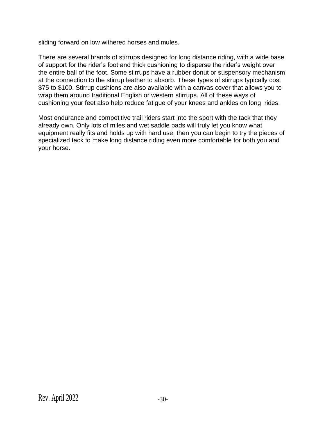sliding forward on low withered horses and mules.

There are several brands of stirrups designed for long distance riding, with a wide base of support for the rider's foot and thick cushioning to disperse the rider's weight over the entire ball of the foot. Some stirrups have a rubber donut or suspensory mechanism at the connection to the stirrup leather to absorb. These types of stirrups typically cost \$75 to \$100. Stirrup cushions are also available with a canvas cover that allows you to wrap them around traditional English or western stirrups. All of these ways of cushioning your feet also help reduce fatigue of your knees and ankles on long rides.

Most endurance and competitive trail riders start into the sport with the tack that they already own. Only lots of miles and wet saddle pads will truly let you know what equipment really fits and holds up with hard use; then you can begin to try the pieces of specialized tack to make long distance riding even more comfortable for both you and your horse.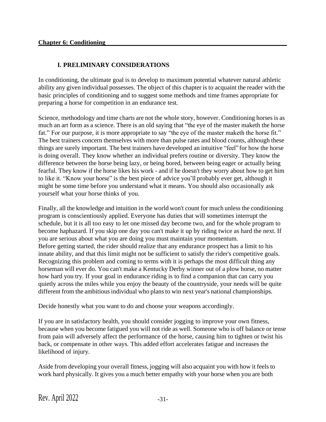# **I. PRELIMINARY CONSIDERATIONS**

In conditioning, the ultimate goal is to develop to maximum potential whatever natural athletic ability any given individual possesses. The object of this chapter is to acquaint the reader with the basic principles of conditioning and to suggest some methods and time frames appropriate for preparing a horse for competition in an endurance test.

Science, methodology and time charts are not the whole story, however. Conditioning horses is as much an art form as a science. There is an old saying that "the eye of the master maketh the horse fat." For our purpose, it is more appropriate to say "the eye of the master maketh the horse fit." The best trainers concern themselves with more than pulse rates and blood counts, although these things are surely important. The best trainers have developed an intuitive "feel" for how the horse is doing overall. They know whether an individual prefers routine or diversity. They know the difference between the horse being lazy, or being bored, between being eager or actually being fearful. They know if the horse likes his work - and if he doesn't they worry about how to get him to like it. "Know your horse" is the best piece of advice you'll probably ever get, although it might be some time before you understand what it means. You should also occasionally ask yourself what your horse thinks of you.

Finally, all the knowledge and intuition in the world won't count for much unless the conditioning program is conscientiously applied. Everyone has duties that will sometimes interrupt the schedule, but it is all too easy to let one missed day become two, and for the whole program to become haphazard. If you skip one day you can't make it up by riding twice as hard the next. If you are serious about what you are doing you must maintain your momentum. Before getting started, the rider should realize that any endurance prospect has a limit to his innate ability, and that this limit might not be sufficient to satisfy the rider's competitive goals. Recognizing this problem and coming to terms with it is perhaps the most difficult thing any horseman will ever do. You can't make a Kentucky Derby winner out of a plow horse, no matter how hard you try. If your goal in endurance riding is to find a companion that can carry you quietly across the miles while you enjoy the beauty of the countryside, your needs will be quite different from the ambitious individual who plans to win next year's national championships.

Decide honestly what you want to do and choose your weapons accordingly.

If you are in satisfactory health, you should consider jogging to improve your own fitness, because when you become fatigued you will not ride as well. Someone who is off balance or tense from pain will adversely affect the performance of the horse, causing him to tighten or twist his back, or compensate in other ways. This added effort accelerates fatigue and increases the likelihood of injury.

Aside from developing your overall fitness, jogging will also acquaint you with how it feels to work hard physically. It gives you a much better empathy with your horse when you are both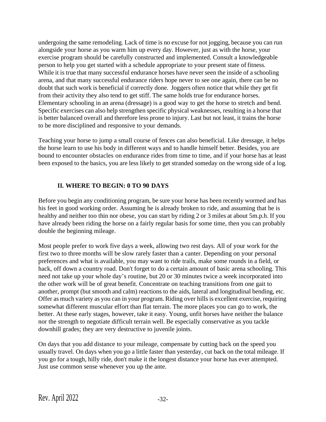undergoing the same remodeling. Lack of time is no excuse for not jogging, because you can run alongside your horse as you warm him up every day. However, just as with the horse, your exercise program should be carefully constructed and implemented. Consult a knowledgeable person to help you get started with a schedule appropriate to your present state of fitness. While it is true that many successful endurance horses have never seen the inside of a schooling arena, and that many successful endurance riders hope never to see one again, there can be no doubt that such work is beneficial if correctly done. Joggers often notice that while they get fit from their activity they also tend to get stiff. The same holds true for endurance horses. Elementary schooling in an arena (dressage) is a good way to get the horse to stretch and bend. Specific exercises can also help strengthen specific physical weaknesses, resulting in a horse that is better balanced overall and therefore less prone to injury. Last but not least, it trains the horse to be more disciplined and responsive to your demands.

Teaching your horse to jump a small course of fences can also beneficial. Like dressage, it helps the horse learn to use his body in different ways and to handle himself better. Besides, you are bound to encounter obstacles on endurance rides from time to time, and if your horse has at least been exposed to the basics, you are less likely to get stranded someday on the wrong side of a log.

### **II. WHERE TO BEGIN: 0 TO 90 DAYS**

Before you begin any conditioning program, be sure your horse has been recently wormed and has his feet in good working order. Assuming he is already broken to ride, and assuming that he is healthy and neither too thin nor obese, you can start by riding 2 or 3 miles at about 5m.p.h. If you have already been riding the horse on a fairly regular basis for some time, then you can probably double the beginning mileage.

Most people prefer to work five days a week, allowing two rest days. All of your work for the first two to three months will be slow rarely faster than a canter. Depending on your personal preferences and what is available, you may want to ride trails, make some rounds in a field, or hack, off down a country road. Don't forget to do a certain amount of basic arena schooling. This need not take up your whole day's routine, but 20 or 30 minutes twice a week incorporated into the other work will be of great benefit. Concentrate on teaching transitions from one gait to another, prompt (but smooth and calm) reactions to the aids, lateral and longitudinal bending, etc. Offer as much variety as you can in your program. Riding over hills is excellent exercise, requiring somewhat different muscular effort than flat terrain. The more places you can go to work, the better. At these early stages, however, take it easy. Young, unfit horses have neither the balance nor the strength to negotiate difficult terrain well. Be especially conservative as you tackle downhill grades; they are very destructive to juvenile joints.

On days that you add distance to your mileage, compensate by cutting back on the speed you usually travel. On days when you go a little faster than yesterday, cut back on the total mileage. If you go for a tough, hilly ride, don't make it the longest distance your horse has ever attempted. Just use common sense whenever you up the ante.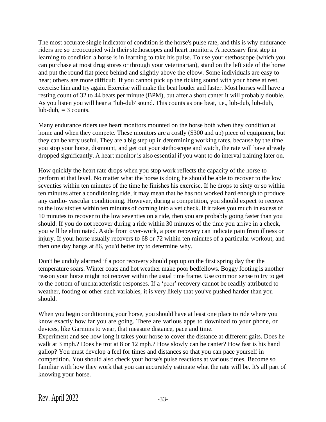The most accurate single indicator of condition is the horse's pulse rate, and this is why endurance riders are so preoccupied with their stethoscopes and heart monitors. A necessary first step in learning to condition a horse is in learning to take his pulse. To use your stethoscope (which you can purchase at most drug stores or through your veterinarian), stand on the left side of the horse and put the round flat piece behind and slightly above the elbow. Some individuals are easy to hear; others are more difficult. If you cannot pick up the ticking sound with your horse at rest, exercise him and try again. Exercise will make the beat louder and faster. Most horses will have a resting count of 32 to 44 beats per minute (BPM), but after a short canter it will probably double. As you listen you will hear a "lub-dub' sound. This counts as one beat, i.e., lub-dub, lub-dub, lub-dub,  $=$  3 counts.

Many endurance riders use heart monitors mounted on the horse both when they condition at home and when they compete. These monitors are a costly (\$300 and up) piece of equipment, but they can be very useful. They are a big step up in determining working rates, because by the time you stop your horse, dismount, and get out your stethoscope and watch, the rate will have already dropped significantly. A heart monitor is also essential if you want to do interval training later on.

How quickly the heart rate drops when you stop work reflects the capacity of the horse to perform at that level. No matter what the horse is doing he should be able to recover to the low seventies within ten minutes of the time he finishes his exercise. If he drops to sixty or so within ten minutes after a conditioning ride, it may mean that he has not worked hard enough to produce any cardio- vascular conditioning. However, during a competition, you should expect to recover to the low sixties within ten minutes of coming into a vet check. If it takes you much in excess of 10 minutes to recover to the low seventies on a ride, then you are probably going faster than you should. If you do not recover during a ride within 30 minutes of the time you arrive in a check, you will be eliminated. Aside from over-work, a poor recovery can indicate pain from illness or injury. If your horse usually recovers to 68 or 72 within ten minutes of a particular workout, and then one day hangs at 86, you'd better try to determine why.

Don't be unduly alarmed if a poor recovery should pop up on the first spring day that the temperature soars. Winter coats and hot weather make poor bedfellows. Boggy footing is another reason your horse might not recover within the usual time frame. Use common sense to try to get to the bottom of uncharacteristic responses. If a 'poor' recovery cannot be readily attributed to weather, footing or other such variables, it is very likely that you've pushed harder than you should.

When you begin conditioning your horse, you should have at least one place to ride where you know exactly how far you are going. There are various apps to download to your phone, or devices, like Garmins to wear, that measure distance, pace and time.

Experiment and see how long it takes your horse to cover the distance at different gaits. Does he walk at 3 mph.? Does he trot at 8 or 12 mph.? How slowly can he canter? How fast is his hand gallop? You must develop a feel for times and distances so that you can pace yourself in competition. You should also check your horse's pulse reactions at various times. Become so familiar with how they work that you can accurately estimate what the rate will be. It's all part of knowing your horse.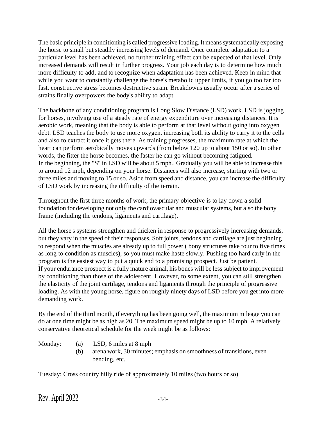The basic principle in conditioning is called progressive loading. It means systematically exposing the horse to small but steadily increasing levels of demand. Once complete adaptation to a particular level has been achieved, no further training effect can be expected of that level. Only increased demands will result in further progress. Your job each day is to determine how much more difficulty to add, and to recognize when adaptation has been achieved. Keep in mind that while you want to constantly challenge the horse's metabolic upper limits, if you go too far too fast, constructive stress becomes destructive strain. Breakdowns usually occur after a series of strains finally overpowers the body's ability to adapt.

The backbone of any conditioning program is Long Slow Distance (LSD) work. LSD is jogging for horses, involving use of a steady rate of energy expenditure over increasing distances. It is aerobic work, meaning that the body is able to perform at that level without going into oxygen debt. LSD teaches the body to use more oxygen, increasing both its ability to carry it to the cells and also to extract it once it gets there. As training progresses, the maximum rate at which the heart can perform aerobically moves upwards (from below 120 up to about 150 or so). In other words, the fitter the horse becomes, the faster he can go without becoming fatigued. In the beginning, the "S" in LSD will be about 5 mph.. Gradually you will be able to increase this to around 12 mph, depending on your horse. Distances will also increase, starting with two or three miles and moving to 15 or so. Aside from speed and distance, you can increase the difficulty of LSD work by increasing the difficulty of the terrain.

Throughout the first three months of work, the primary objective is to lay down a solid foundation for developing not only the cardiovascular and muscular systems, but also the bony frame (including the tendons, ligaments and cartilage).

All the horse's systems strengthen and thicken in response to progressively increasing demands, but they vary in the speed of their responses. Soft joints, tendons and cartilage are just beginning to respond when the muscles are already up to full power ( bony structures take four to five times as long to condition as muscles), so you must make haste slowly. Pushing too hard early in the program is the easiest way to put a quick end to a promising prospect. Just be patient. If your endurance prospect is a fully mature animal, his bones will be less subject to improvement by conditioning than those of the adolescent. However, to some extent, you can still strengthen the elasticity of the joint cartilage, tendons and ligaments through the principle of progressive loading. As with the young horse, figure on roughly ninety days of LSD before you get into more demanding work.

By the end of the third month, if everything has been going well, the maximum mileage you can do at one time might be as high as 20. The maximum speed might be up to 10 mph. A relatively conservative theoretical schedule for the week might be as follows:

- Monday: (a) LSD, 6 miles at 8 mph
	- (b) arena work, 30 minutes; emphasis on smoothness of transitions, even bending, etc.

Tuesday: Cross country hilly ride of approximately 10 miles (two hours or so)

Rev. April  $2022$   $-34$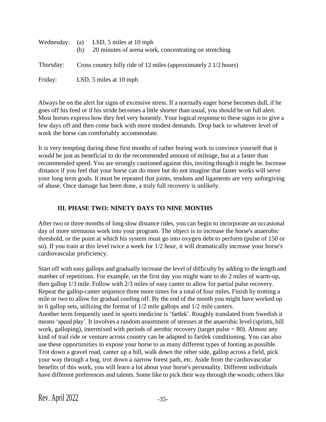|           | Wednesday: (a) LSD, 5 miles at 10 mph<br>20 minutes of arena work, concentrating on stretching<br>(h) |
|-----------|-------------------------------------------------------------------------------------------------------|
| Thursday: | Cross country hilly ride of 12 miles (approximately 2 1/2 hours)                                      |
| Friday:   | LSD, 5 miles at 10 mph                                                                                |

Always be on the alert for signs of excessive stress. If a normally eager horse becomes dull, if he goes off his feed or if his stride becomes a little shorter than usual, you should be on full alert. Most horses express how they feel very honestly. Your logical response to these signs is to give a few days off and then come back with more modest demands. Drop back to whatever level of work the horse can comfortably accommodate.

It is very tempting during these first months of rather boring work to convince yourself that it would be just as beneficial to do the recommended amount of mileage, but at a faster than recommended speed. You are strongly cautioned against this, inviting though it might be. Increase distance if you feel that your horse can do more but do not imagine that faster works will serve your long term goals. It must be repeated that joints, tendons and ligaments are very unforgiving of abuse. Once damage has been done, a truly full recovery is unlikely.

### **III. PHASE TWO: NINETY DAYS TO NINE MONTHS**

After two or three months of long slow distance rides, you can begin to incorporate an occasional day of more strenuous work into your program. The object is to increase the horse's anaerobic threshold, or the point at which his system must go into oxygen debt to perform (pulse of 150 or so). If you train at this level twice a week for 1/2 hour, it will dramatically increase your horse's cardiovascular proficiency.

Start off with easy gallops and gradually increase the level of difficulty by adding to the length and number of repetitions. For example, on the first day you might want to do 2 miles of warm-up, then gallop 1/3 mile. Follow with 2/3 miles of easy canter to allow for partial pulse recovery. Repeat the gallop-canter sequence three more times for a total of four miles. Finish by trotting a mile or two to allow for gradual cooling off. By the end of the month you might have worked up to 6 gallop sets, utilizing the format of 1/2 mile gallops and 1/2 mile canters. Another term frequently used in sports medicine is 'fartlek'. Roughly translated from Swedish it means 'speed play'. It involves a random assortment of stresses at the anaerobic level (sprints, hill work, galloping), intermixed with periods of aerobic recovery (target pulse = 80). Almost any kind of trail ride or venture across country can be adapted to fartlek conditioning. You can also use these opportunities to expose your horse to as many different types of footing as possible. Trot down a gravel road, canter up a hill, walk down the other side, gallop across a field, pick your way through a bog, trot down a narrow forest path, etc. Aside from the cardiovascular benefits of this work, you will learn a lot about your horse's personality. Different individuals have different preferences and talents. Some like to pick their way through the woods; others like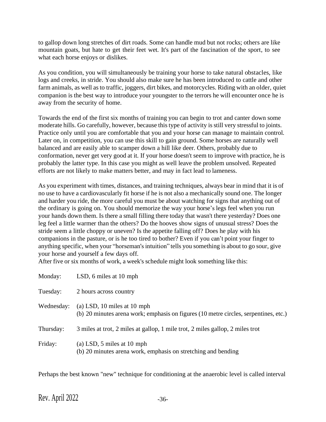to gallop down long stretches of dirt roads. Some can handle mud but not rocks; others are like mountain goats, but hate to get their feet wet. It's part of the fascination of the sport, to see what each horse enjoys or dislikes.

As you condition, you will simultaneously be training your horse to take natural obstacles, like logs and creeks, in stride. You should also make sure he has been introduced to cattle and other farm animals, as well asto traffic, joggers, dirt bikes, and motorcycles. Riding with an older, quiet companion is the best way to introduce your youngster to the terrors he will encounter once he is away from the security of home.

Towards the end of the first six months of training you can begin to trot and canter down some moderate hills. Go carefully, however, because this type of activity is still very stressful to joints. Practice only until you are comfortable that you and your horse can manage to maintain control. Later on, in competition, you can use this skill to gain ground. Some horses are naturally well balanced and are easily able to scamper down a hill like deer. Others, probably due to conformation, never get very good at it. If your horse doesn't seem to improve with practice, he is probably the latter type. In this case you might as well leave the problem unsolved. Repeated efforts are not likely to make matters better, and may in fact lead to lameness.

As you experiment with times, distances, and training techniques, always bear in mind that it is of no use to have a cardiovascularly fit horse if he is not also a mechanically sound one. The longer and harder you ride, the more careful you must be about watching for signs that anything out of the ordinary is going on. You should memorize the way your horse's legs feel when you run your hands down them. Is there a small filling there today that wasn't there yesterday? Does one leg feel a little warmer than the others? Do the hooves show signs of unusual stress? Does the stride seem a little choppy or uneven? Is the appetite falling off? Does he play with his companions in the pasture, or is he too tired to bother? Even if you can't point your finger to anything specific, when your "horseman's intuition" tells you something is about to go sour, give your horse and yourself a few days off.

After five or six months of work, a week's schedule might look something like this:

| Monday:    | LSD, 6 miles at 10 mph                                                                                              |
|------------|---------------------------------------------------------------------------------------------------------------------|
| Tuesday:   | 2 hours across country                                                                                              |
| Wednesday: | (a) LSD, 10 miles at 10 mph<br>(b) 20 minutes arena work; emphasis on figures (10 metre circles, serpentines, etc.) |
| Thursday:  | 3 miles at trot, 2 miles at gallop, 1 mile trot, 2 miles gallop, 2 miles trot                                       |
| Friday:    | (a) LSD, $5$ miles at 10 mph<br>(b) 20 minutes arena work, emphasis on stretching and bending                       |

Perhaps the best known "new" technique for conditioning at the anaerobic level is called interval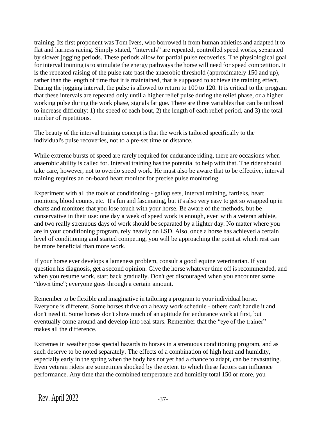training. Its first proponent was Tom Ivers, who borrowed it from human athletics and adapted it to flat and harness racing. Simply stated, "intervals" are repeated, controlled speed works, separated by slower jogging periods. These periods allow for partial pulse recoveries. The physiological goal for interval training is to stimulate the energy pathways the horse will need for speed competition. It is the repeated raising of the pulse rate past the anaerobic threshold (approximately 150 and up), rather than the length of time that it is maintained, that is supposed to achieve the training effect. During the jogging interval, the pulse is allowed to return to 100 to 120. It is critical to the program that these intervals are repeated only until a higher relief pulse during the relief phase, or a higher working pulse during the work phase, signals fatigue. There are three variables that can be utilized to increase difficulty: 1) the speed of each bout, 2) the length of each relief period, and 3) the total number of repetitions.

The beauty of the interval training concept is that the work is tailored specifically to the individual's pulse recoveries, not to a pre-set time or distance.

While extreme bursts of speed are rarely required for endurance riding, there are occasions when anaerobic ability is called for. Interval training has the potential to help with that. The rider should take care, however, not to overdo speed work. He must also be aware that to be effective, interval training requires an on-board heart monitor for precise pulse monitoring.

Experiment with all the tools of conditioning - gallop sets, interval training, fartleks, heart monitors, blood counts, etc. It's fun and fascinating, but it's also very easy to get so wrapped up in charts and monitors that you lose touch with your horse. Be aware of the methods, but be conservative in their use: one day a week of speed work is enough, even with a veteran athlete, and two really strenuous days of work should be separated by a lighter day. No matter where you are in your conditioning program, rely heavily on LSD. Also, once a horse has achieved a certain level of conditioning and started competing, you will be approaching the point at which rest can be more beneficial than more work.

If your horse ever develops a lameness problem, consult a good equine veterinarian. If you question his diagnosis, get a second opinion. Give the horse whatever time off is recommended, and when you resume work, start back gradually. Don't get discouraged when you encounter some "down time"; everyone goes through a certain amount.

Remember to be flexible and imaginative in tailoring a program to your individual horse. Everyone is different. Some horses thrive on a heavy work schedule - others can't handle it and don't need it. Some horses don't show much of an aptitude for endurance work at first, but eventually come around and develop into real stars. Remember that the "eye of the trainer" makes all the difference.

Extremes in weather pose special hazards to horses in a strenuous conditioning program, and as such deserve to be noted separately. The effects of a combination of high heat and humidity, especially early in the spring when the body has not yet had a chance to adapt, can be devastating. Even veteran riders are sometimes shocked by the extent to which these factors can influence performance. Any time that the combined temperature and humidity total 150 or more, you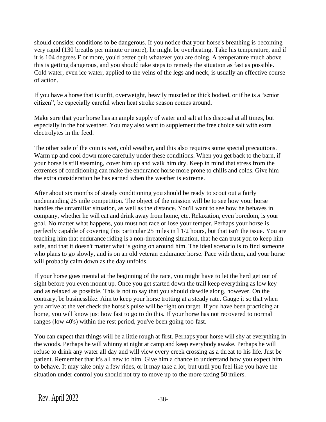should consider conditions to be dangerous. If you notice that your horse's breathing is becoming very rapid (130 breaths per minute or more), he might be overheating. Take his temperature, and if it is 104 degrees F or more, you'd better quit whatever you are doing. A temperature much above this is getting dangerous, and you should take steps to remedy the situation as fast as possible. Cold water, even ice water, applied to the veins of the legs and neck, is usually an effective course of action.

If you have a horse that is unfit, overweight, heavily muscled or thick bodied, or if he is a "senior citizen", be especially careful when heat stroke season comes around.

Make sure that your horse has an ample supply of water and salt at his disposal at all times, but especially in the hot weather. You may also want to supplement the free choice salt with extra electrolytes in the feed.

The other side of the coin is wet, cold weather, and this also requires some special precautions. Warm up and cool down more carefully under these conditions. When you get back to the barn, if your horse is still steaming, cover him up and walk him dry. Keep in mind that stress from the extremes of conditioning can make the endurance horse more prone to chills and colds. Give him the extra consideration he has earned when the weather is extreme.

After about six months of steady conditioning you should be ready to scout out a fairly undemanding 25 mile competition. The object of the mission will be to see how your horse handles the unfamiliar situation, as well as the distance. You'll want to see how he behaves in company, whether he will eat and drink away from home, etc. Relaxation, even boredom, is your goal. No matter what happens, you must not race or lose your temper. Perhaps your horse is perfectly capable of covering this particular 25 miles in l 1/2 hours, but that isn't the issue. You are teaching him that endurance riding is a non-threatening situation, that he can trust you to keep him safe, and that it doesn't matter what is going on around him. The ideal scenario is to find someone who plans to go slowly, and is on an old veteran endurance horse. Pace with them, and your horse will probably calm down as the day unfolds.

If your horse goes mental at the beginning of the race, you might have to let the herd get out of sight before you even mount up. Once you get started down the trail keep everything as low key and as relaxed as possible. This is not to say that you should dawdle along, however. On the contrary, be businesslike. Aim to keep your horse trotting at a steady rate. Gauge it so that when you arrive at the vet check the horse's pulse will be right on target. If you have been practicing at home, you will know just how fast to go to do this. If your horse has not recovered to normal ranges (low 40's) within the rest period, you've been going too fast.

You can expect that things will be a little rough at first. Perhaps your horse will shy at everything in the woods. Perhaps he will whinny at night at camp and keep everybody awake. Perhaps he will refuse to drink any water all day and will view every creek crossing as a threat to his life. Just be patient. Remember that it's all new to him. Give him a chance to understand how you expect him to behave. It may take only a few rides, or it may take a lot, but until you feel like you have the situation under control you should not try to move up to the more taxing 50 milers.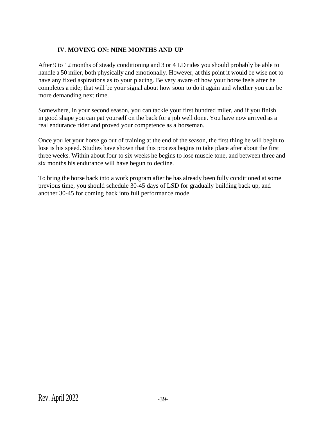# **IV. MOVING ON: NINE MONTHS AND UP**

After 9 to 12 months of steady conditioning and 3 or 4 LD rides you should probably be able to handle a 50 miler, both physically and emotionally. However, at this point it would be wise not to have any fixed aspirations as to your placing. Be very aware of how your horse feels after he completes a ride; that will be your signal about how soon to do it again and whether you can be more demanding next time.

Somewhere, in your second season, you can tackle your first hundred miler, and if you finish in good shape you can pat yourself on the back for a job well done. You have now arrived as a real endurance rider and proved your competence as a horseman.

Once you let your horse go out of training at the end of the season, the first thing he will begin to lose is his speed. Studies have shown that this process begins to take place after about the first three weeks. Within about four to six weeks he begins to lose muscle tone, and between three and six months his endurance will have begun to decline.

To bring the horse back into a work program after he has already been fully conditioned at some previous time, you should schedule 30-45 days of LSD for gradually building back up, and another 30-45 for coming back into full performance mode.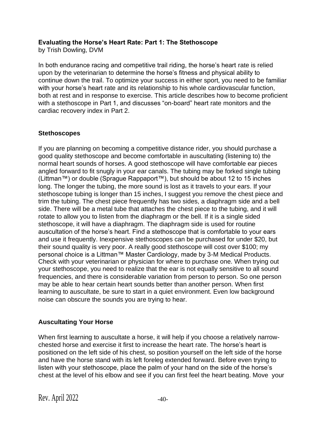#### **Evaluating the Horse's Heart Rate: Part 1: The Stethoscope**

by Trish Dowling, DVM

In both endurance racing and competitive trail riding, the horse's heart rate is relied upon by the veterinarian to determine the horse's fitness and physical ability to continue down the trail. To optimize your success in either sport, you need to be familiar with your horse's heart rate and its relationship to his whole cardiovascular function, both at rest and in response to exercise. This article describes how to become proficient with a stethoscope in Part 1, and discusses "on-board" heart rate monitors and the cardiac recovery index in Part 2.

### **Stethoscopes**

If you are planning on becoming a competitive distance rider, you should purchase a good quality stethoscope and become comfortable in auscultating (listening to) the normal heart sounds of horses. A good stethoscope will have comfortable ear pieces angled forward to fit snugly in your ear canals. The tubing may be forked single tubing (Littman™) or double (Sprague Rappaport™), but should be about 12 to 15 inches long. The longer the tubing, the more sound is lost as it travels to your ears. If your stethoscope tubing is longer than 15 inches, I suggest you remove the chest piece and trim the tubing. The chest piece frequently has two sides, a diaphragm side and a bell side. There will be a metal tube that attaches the chest piece to the tubing, and it will rotate to allow you to listen from the diaphragm or the bell. If it is a single sided stethoscope, it will have a diaphragm. The diaphragm side is used for routine auscultation of the horse's heart. Find a stethoscope that is comfortable to your ears and use it frequently. Inexpensive stethoscopes can be purchased for under \$20, but their sound quality is very poor. A really good stethoscope will cost over \$100; my personal choice is a Littman™ Master Cardiology, made by 3-M Medical Products. Check with your veterinarian or physician for where to purchase one. When trying out your stethoscope, you need to realize that the ear is not equally sensitive to all sound frequencies, and there is considerable variation from person to person. So one person may be able to hear certain heart sounds better than another person. When first learning to auscultate, be sure to start in a quiet environment. Even low background noise can obscure the sounds you are trying to hear.

# **Auscultating Your Horse**

When first learning to auscultate a horse, it will help if you choose a relatively narrowchested horse and exercise it first to increase the heart rate. The horse's heart is positioned on the left side of his chest, so position yourself on the left side of the horse and have the horse stand with its left foreleg extended forward. Before even trying to listen with your stethoscope, place the palm of your hand on the side of the horse's chest at the level of his elbow and see if you can first feel the heart beating. Move your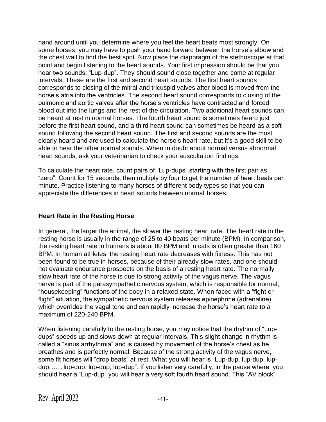hand around until you determine where you feel the heart beats most strongly. On some horses, you may have to push your hand forward between the horse's elbow and the chest wall to find the best spot. Now place the diaphragm of the stethoscope at that point and begin listening to the heart sounds. Your first impression should be that you hear two sounds: "Lup-dup". They should sound close together and come at regular intervals. These are the first and second heart sounds. The first heart sounds corresponds to closing of the mitral and tricuspid valves after blood is moved from the horse's atria into the ventricles. The second heart sound corresponds to closing of the pulmonic and aortic valves after the horse's ventricles have contracted and forced blood out into the lungs and the rest of the circulation. Two additional heart sounds can be heard at rest in normal horses. The fourth heart sound is sometimes heard just before the first heart sound, and a third heart sound can sometimes be heard as a soft sound following the second heart sound. The first and second sounds are the most clearly heard and are used to calculate the horse's heart rate, but it's a good skill to be able to hear the other normal sounds. When in doubt about normal versus abnormal heart sounds, ask your veterinarian to check your auscultation findings.

To calculate the heart rate, count pairs of "Lup-dups" starting with the first pair as "zero". Count for 15 seconds, then multiply by four to get the number of heart beats per minute. Practice listening to many horses of different body types so that you can appreciate the differences in heart sounds between normal horses.

### **Heart Rate in the Resting Horse**

In general, the larger the animal, the slower the resting heart rate. The heart rate in the resting horse is usually in the range of 25 to 40 beats per minute (BPM). In comparison, the resting heart rate in humans is about 80 BPM and in cats is often greater than 160 BPM. In human athletes, the resting heart rate decreases with fitness. This has not been found to be true in horses, because of their already slow rates, and one should not evaluate endurance prospects on the basis of a resting heart rate. The normally slow heart rate of the horse is due to strong activity of the vagus nerve. The vagus nerve is part of the parasympathetic nervous system, which is responsible for normal, "housekeeping" functions of the body in a relaxed state. When faced with a "fight or flight" situation, the sympathetic nervous system releases epinephrine (adrenaline), which overrides the vagal tone and can rapidly increase the horse's heart rate to a maximum of 220-240 BPM.

When listening carefully to the resting horse, you may notice that the rhythm of "Lupdups" speeds up and slows down at regular intervals. This slight change in rhythm is called a "sinus arrhythmia" and is caused by movement of the horse's chest as he breathes and is perfectly normal. Because of the strong activity of the vagus nerve, some fit horses will "drop beats" at rest. What you will hear is "Lup-dup, lup-dup, lupdup, ...... lup-dup, lup-dup, lup-dup". If you listen very carefully, in the pause where you should hear a "Lup-dup" you will hear a very soft fourth heart sound. This "AV block"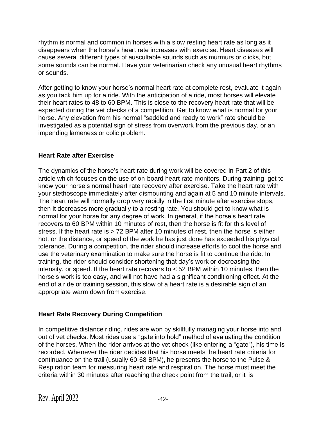rhythm is normal and common in horses with a slow resting heart rate as long as it disappears when the horse's heart rate increases with exercise. Heart diseases will cause several different types of auscultable sounds such as murmurs or clicks, but some sounds can be normal. Have your veterinarian check any unusual heart rhythms or sounds.

After getting to know your horse's normal heart rate at complete rest, evaluate it again as you tack him up for a ride. With the anticipation of a ride, most horses will elevate their heart rates to 48 to 60 BPM. This is close to the recovery heart rate that will be expected during the vet checks of a competition. Get to know what is normal for your horse. Any elevation from his normal "saddled and ready to work" rate should be investigated as a potential sign of stress from overwork from the previous day, or an impending lameness or colic problem.

# **Heart Rate after Exercise**

The dynamics of the horse's heart rate during work will be covered in Part 2 of this article which focuses on the use of on-board heart rate monitors. During training, get to know your horse's normal heart rate recovery after exercise. Take the heart rate with your stethoscope immediately after dismounting and again at 5 and 10 minute intervals. The heart rate will normally drop very rapidly in the first minute after exercise stops, then it decreases more gradually to a resting rate. You should get to know what is normal for your horse for any degree of work. In general, if the horse's heart rate recovers to 60 BPM within 10 minutes of rest, then the horse is fit for this level of stress. If the heart rate is > 72 BPM after 10 minutes of rest, then the horse is either hot, or the distance, or speed of the work he has just done has exceeded his physical tolerance. During a competition, the rider should increase efforts to cool the horse and use the veterinary examination to make sure the horse is fit to continue the ride. In training, the rider should consider shortening that day's work or decreasing the intensity, or speed. If the heart rate recovers to < 52 BPM within 10 minutes, then the horse's work is too easy, and will not have had a significant conditioning effect. At the end of a ride or training session, this slow of a heart rate is a desirable sign of an appropriate warm down from exercise.

### **Heart Rate Recovery During Competition**

In competitive distance riding, rides are won by skillfully managing your horse into and out of vet checks. Most rides use a "gate into hold" method of evaluating the condition of the horses. When the rider arrives at the vet check (like entering a "gate"), his time is recorded. Whenever the rider decides that his horse meets the heart rate criteria for continuance on the trail (usually 60-68 BPM), he presents the horse to the Pulse & Respiration team for measuring heart rate and respiration. The horse must meet the criteria within 30 minutes after reaching the check point from the trail, or it is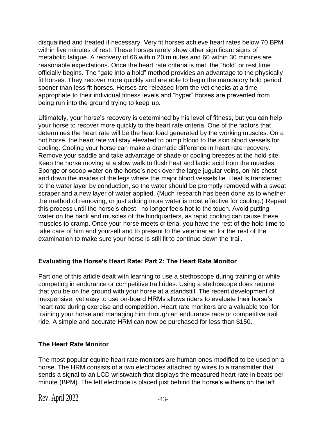disqualified and treated if necessary. Very fit horses achieve heart rates below 70 BPM within five minutes of rest. These horses rarely show other significant signs of metabolic fatigue. A recovery of 66 within 20 minutes and 60 within 30 minutes are reasonable expectations. Once the heart rate criteria is met, the "hold" or rest time officially begins. The "gate into a hold" method provides an advantage to the physically fit horses. They recover more quickly and are able to begin the mandatory hold period sooner than less fit horses. Horses are released from the vet checks at a time appropriate to their individual fitness levels and "hyper" horses are prevented from being run into the ground trying to keep up.

Ultimately, your horse's recovery is determined by his level of fitness, but you can help your horse to recover more quickly to the heart rate criteria. One of the factors that determines the heart rate will be the heat load generated by the working muscles. On a hot horse, the heart rate will stay elevated to pump blood to the skin blood vessels for cooling. Cooling your horse can make a dramatic difference in heart rate recovery. Remove your saddle and take advantage of shade or cooling breezes at the hold site. Keep the horse moving at a slow walk to flush heat and lactic acid from the muscles. Sponge or scoop water on the horse's neck over the large jugular veins, on his chest and down the insides of the legs where the major blood vessels lie. Heat is transferred to the water layer by conduction, so the water should be promptly removed with a sweat scraper and a new layer of water applied. (Much research has been done as to whether the method of removing, or just adding more water is most effective for cooling.) Repeat this process until the horse's chest no longer feels hot to the touch. Avoid putting water on the back and muscles of the hindquarters, as rapid cooling can cause these muscles to cramp. Once your horse meets criteria, you have the rest of the hold time to take care of him and yourself and to present to the veterinarian for the rest of the examination to make sure your horse is still fit to continue down the trail.

# **Evaluating the Horse's Heart Rate: Part 2: The Heart Rate Monitor**

Part one of this article dealt with learning to use a stethoscope during training or while competing in endurance or competitive trail rides. Using a stethoscope does require that you be on the ground with your horse at a standstill. The recent development of inexpensive, yet easy to use on-board HRMs allows riders to evaluate their horse's heart rate during exercise and competition. Heart rate monitors are a valuable tool for training your horse and managing him through an endurance race or competitive trail ride. A simple and accurate HRM can now be purchased for less than \$150.

### **The Heart Rate Monitor**

The most popular equine heart rate monitors are human ones modified to be used on a horse. The HRM consists of a two electrodes attached by wires to a transmitter that sends a signal to an LCD wristwatch that displays the measured heart rate in beats per minute (BPM). The left electrode is placed just behind the horse's withers on the left

Rev. April  $2022$   $-43-$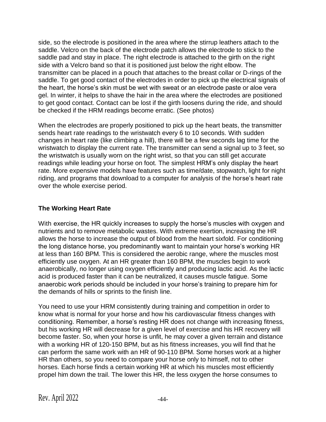side, so the electrode is positioned in the area where the stirrup leathers attach to the saddle. Velcro on the back of the electrode patch allows the electrode to stick to the saddle pad and stay in place. The right electrode is attached to the girth on the right side with a Velcro band so that it is positioned just below the right elbow. The transmitter can be placed in a pouch that attaches to the breast collar or D-rings of the saddle. To get good contact of the electrodes in order to pick up the electrical signals of the heart, the horse's skin must be wet with sweat or an electrode paste or aloe vera gel. In winter, it helps to shave the hair in the area where the electrodes are positioned to get good contact. Contact can be lost if the girth loosens during the ride, and should be checked if the HRM readings become erratic. (See photos)

When the electrodes are properly positioned to pick up the heart beats, the transmitter sends heart rate readings to the wristwatch every 6 to 10 seconds. With sudden changes in heart rate (like climbing a hill), there will be a few seconds lag time for the wristwatch to display the current rate. The transmitter can send a signal up to 3 feet, so the wristwatch is usually worn on the right wrist, so that you can still get accurate readings while leading your horse on foot. The simplest HRM's only display the heart rate. More expensive models have features such as time/date, stopwatch, light for night riding, and programs that download to a computer for analysis of the horse's heart rate over the whole exercise period.

#### **The Working Heart Rate**

With exercise, the HR quickly increases to supply the horse's muscles with oxygen and nutrients and to remove metabolic wastes. With extreme exertion, increasing the HR allows the horse to increase the output of blood from the heart sixfold. For conditioning the long distance horse, you predominantly want to maintain your horse's working HR at less than 160 BPM. This is considered the aerobic range, where the muscles most efficiently use oxygen. At an HR greater than 160 BPM, the muscles begin to work anaerobically, no longer using oxygen efficiently and producing lactic acid. As the lactic acid is produced faster than it can be neutralized, it causes muscle fatigue. Some anaerobic work periods should be included in your horse's training to prepare him for the demands of hills or sprints to the finish line.

You need to use your HRM consistently during training and competition in order to know what is normal for your horse and how his cardiovascular fitness changes with conditioning. Remember, a horse's resting HR does not change with increasing fitness, but his working HR will decrease for a given level of exercise and his HR recovery will become faster. So, when your horse is unfit, he may cover a given terrain and distance with a working HR of 120-150 BPM, but as his fitness increases, you will find that he can perform the same work with an HR of 90-110 BPM. Some horses work at a higher HR than others, so you need to compare your horse only to himself, not to other horses. Each horse finds a certain working HR at which his muscles most efficiently propel him down the trail. The lower this HR, the less oxygen the horse consumes to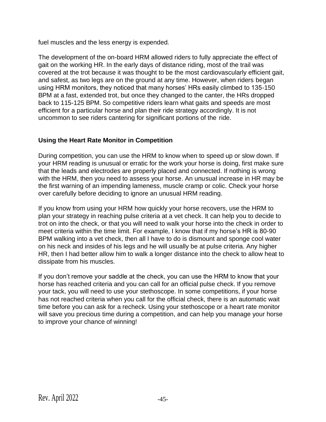fuel muscles and the less energy is expended.

The development of the on-board HRM allowed riders to fully appreciate the effect of gait on the working HR. In the early days of distance riding, most of the trail was covered at the trot because it was thought to be the most cardiovascularly efficient gait, and safest, as two legs are on the ground at any time. However, when riders began using HRM monitors, they noticed that many horses' HRs easily climbed to 135-150 BPM at a fast, extended trot, but once they changed to the canter, the HRs dropped back to 115-125 BPM. So competitive riders learn what gaits and speeds are most efficient for a particular horse and plan their ride strategy accordingly. It is not uncommon to see riders cantering for significant portions of the ride.

# **Using the Heart Rate Monitor in Competition**

During competition, you can use the HRM to know when to speed up or slow down. If your HRM reading is unusual or erratic for the work your horse is doing, first make sure that the leads and electrodes are properly placed and connected. If nothing is wrong with the HRM, then you need to assess your horse. An unusual increase in HR may be the first warning of an impending lameness, muscle cramp or colic. Check your horse over carefully before deciding to ignore an unusual HRM reading.

If you know from using your HRM how quickly your horse recovers, use the HRM to plan your strategy in reaching pulse criteria at a vet check. It can help you to decide to trot on into the check, or that you will need to walk your horse into the check in order to meet criteria within the time limit. For example, I know that if my horse's HR is 80-90 BPM walking into a vet check, then all I have to do is dismount and sponge cool water on his neck and insides of his legs and he will usually be at pulse criteria. Any higher HR, then I had better allow him to walk a longer distance into the check to allow heat to dissipate from his muscles.

If you don't remove your saddle at the check, you can use the HRM to know that your horse has reached criteria and you can call for an official pulse check. If you remove your tack, you will need to use your stethoscope. In some competitions, if your horse has not reached criteria when you call for the official check, there is an automatic wait time before you can ask for a recheck. Using your stethoscope or a heart rate monitor will save you precious time during a competition, and can help you manage your horse to improve your chance of winning!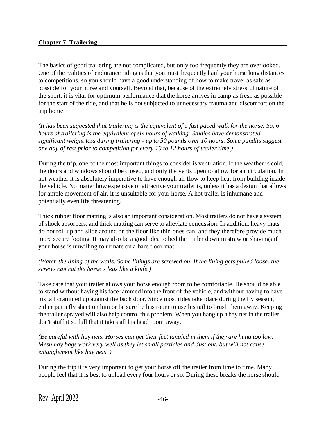#### **Chapter 7: Trailering**

The basics of good trailering are not complicated, but only too frequently they are overlooked. One of the realities of endurance riding is that you must frequently haul your horse long distances to competitions, so you should have a good understanding of how to make travel as safe as possible for your horse and yourself. Beyond that, because of the extremely stressful nature of the sport, it is vital for optimum performance that the horse arrives in camp as fresh as possible for the start of the ride, and that he is not subjected to unnecessary trauma and discomfort on the trip home.

*(It has been suggested that trailering is the equivalent of a fast paced walk for the horse. So, 6 hours of trailering is the equivalent of six hours of walking. Studies have demonstrated significant weight loss during trailering - up to 50 pounds over 10 hours. Some pundits suggest one day of rest prior to competition for every 10 to 12 hours of trailer time.)*

During the trip, one of the most important things to consider is ventilation. If the weather is cold, the doors and windows should be closed, and only the vents open to allow for air circulation. In hot weather it is absolutely imperative to have enough air flow to keep heat from building inside the vehicle. No matter how expensive or attractive your trailer is, unless it has a design that allows for ample movement of air, it is unsuitable for your horse. A hot trailer is inhumane and potentially even life threatening.

Thick rubber floor matting is also an important consideration. Most trailers do not have a system of shock absorbers, and thick matting can serve to alleviate concussion. In addition, heavy mats do not roll up and slide around on the floor like thin ones can, and they therefore provide much more secure footing. It may also be a good idea to bed the trailer down in straw or shavings if your horse is unwilling to urinate on a bare floor mat.

#### *(Watch the lining of the walls. Some linings are screwed on. If the lining gets pulled loose, the screws can cut the horse's legs like a knife.)*

Take care that your trailer allows your horse enough room to be comfortable. He should be able to stand without having his face jammed into the front of the vehicle, and without having to have his tail crammed up against the back door. Since most rides take place during the fly season, either put a fly sheet on him or be sure he has room to use his tail to brush them away. Keeping the trailer sprayed will also help control this problem. When you hang up a hay net in the trailer, don't stuff it so full that it takes all his head room away.

*(Be careful with hay nets. Horses can get their feet tangled in them if they are hung too low. Mesh hay bags work very well as they let small particles and dust out, but will not cause entanglement like hay nets. )*

During the trip it is very important to get your horse off the trailer from time to time. Many people feel that it is best to unload every four hours or so. During these breaks the horse should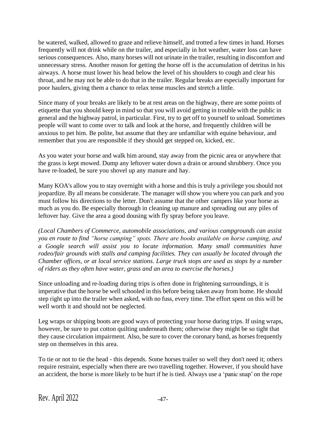be watered, walked, allowed to graze and relieve himself, and trotted a few times in hand. Horses frequently will not drink while on the trailer, and especially in hot weather, water loss can have serious consequences. Also, many horses will not urinate in the trailer, resulting in discomfort and unnecessary stress. Another reason for getting the horse off is the accumulation of detritus in his airways. A horse must lower his head below the level of his shoulders to cough and clear his throat, and he may not be able to do that in the trailer. Regular breaks are especially important for poor haulers, giving them a chance to relax tense muscles and stretch a little.

Since many of your breaks are likely to be at rest areas on the highway, there are some points of etiquette that you should keep in mind so that you will avoid getting in trouble with the public in general and the highway patrol, in particular. First, try to get off to yourself to unload. Sometimes people will want to come over to talk and look at the horse, and frequently children will be anxious to pet him. Be polite, but assume that they are unfamiliar with equine behaviour, and remember that you are responsible if they should get stepped on, kicked, etc.

As you water your horse and walk him around, stay away from the picnic area or anywhere that the grass is kept mowed. Dump any leftover water down a drain or around shrubbery. Once you have re-loaded, be sure you shovel up any manure and hay.

Many KOA's allow you to stay overnight with a horse and this is truly a privilege you should not jeopardize. By all means be considerate. The manager will show you where you can park and you must follow his directions to the letter. Don't assume that the other campers like your horse as much as you do. Be especially thorough in cleaning up manure and spreading out any piles of leftover hay. Give the area a good dousing with fly spray before you leave.

*(Local Chambers of Commerce, automobile associations, and various campgrounds can assist you en route to find "horse camping" spots. There are books available on horse camping, and a Google search will assist you to locate information. Many small communities have rodeo/fair grounds with stalls and camping facilities. They can usually be located through the Chamber offices, or at local service stations. Large truck stops are used as stops by a number of riders as they often have water, grass and an area to exercise the horses.)*

Since unloading and re-loading during trips is often done in frightening surroundings, it is imperative that the horse be well schooled in this before being taken away from home. He should step right up into the trailer when asked, with no fuss, every time. The effort spent on this will be well worth it and should not be neglected.

Leg wraps or shipping boots are good ways of protecting your horse during trips. If using wraps, however, be sure to put cotton quilting underneath them; otherwise they might be so tight that they cause circulation impairment. Also, be sure to cover the coronary band, as horses frequently step on themselves in this area.

To tie or not to tie the head - this depends. Some horses trailer so well they don't need it; others require restraint, especially when there are two travelling together. However, if you should have an accident, the horse is more likely to be hurt if he is tied. Always use a 'panic snap' on the rope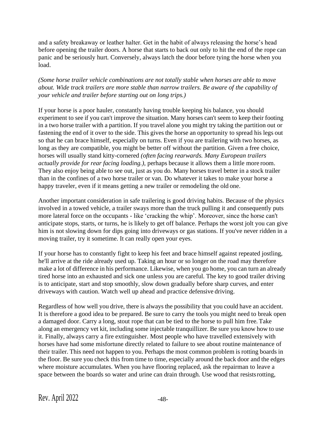and a safety breakaway or leather halter. Get in the habit of always releasing the horse's head before opening the trailer doors. A horse that starts to back out only to hit the end of the rope can panic and be seriously hurt. Conversely, always latch the door before tying the horse when you load.

*(Some horse trailer vehicle combinations are not totally stable when horses are able to move about. Wide track trailers are more stable than narrow trailers. Be aware of the capability of your vehicle and trailer before starting out on long trips.)*

If your horse is a poor hauler, constantly having trouble keeping his balance, you should experiment to see if you can't improve the situation. Many horses can't seem to keep their footing in a two horse trailer with a partition. If you travel alone you might try taking the partition out or fastening the end of it over to the side. This gives the horse an opportunity to spread his legs out so that he can brace himself, especially on turns. Even if you are trailering with two horses, as long as they are compatible, you might be better off without the partition. Given a free choice, horses will usually stand kitty-cornered *(often facing rearwards. Many European trailers actually provide for rear facing loading.)*, perhaps because it allows them a little more room. They also enjoy being able to see out, just as you do. Many horses travel better in a stock trailer than in the confines of a two horse trailer or van. Do whatever it takes to make your horse a happy traveler, even if it means getting a new trailer or remodeling the old one.

Another important consideration in safe trailering is good driving habits. Because of the physics involved in a towed vehicle, a trailer sways more than the truck pulling it and consequently puts more lateral force on the occupants - like 'cracking the whip'. Moreover, since the horse can't anticipate stops, starts, or turns, he is likely to get off balance. Perhaps the worst jolt you can give him is not slowing down for dips going into driveways or gas stations. If you've never ridden in a moving trailer, try it sometime. It can really open your eyes.

If your horse has to constantly fight to keep his feet and brace himself against repeated jostling, he'll arrive at the ride already used up. Taking an hour or so longer on the road may therefore make a lot of difference in his performance. Likewise, when you go home, you can turn an already tired horse into an exhausted and sick one unless you are careful. The key to good trailer driving is to anticipate, start and stop smoothly, slow down gradually before sharp curves, and enter driveways with caution. Watch well up ahead and practice defensive driving.

Regardless of how well you drive, there is always the possibility that you could have an accident. It is therefore a good idea to be prepared. Be sure to carry the tools you might need to break open a damaged door. Carry a long, stout rope that can be tied to the horse to pull him free. Take along an emergency vet kit, including some injectable tranquillizer. Be sure you know how to use it. Finally, always carry a fire extinguisher. Most people who have travelled extensively with horses have had some misfortune directly related to failure to see about routine maintenance of their trailer. This need not happen to you. Perhaps the most common problem is rotting boards in the floor. Be sure you check this from time to time, especially around the back door and the edges where moisture accumulates. When you have flooring replaced, ask the repairman to leave a space between the boards so water and urine can drain through. Use wood that resistsrotting,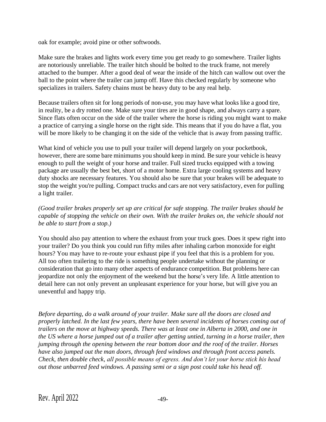oak for example; avoid pine or other softwoods.

Make sure the brakes and lights work every time you get ready to go somewhere. Trailer lights are notoriously unreliable. The trailer hitch should be bolted to the truck frame, not merely attached to the bumper. After a good deal of wear the inside of the hitch can wallow out over the ball to the point where the trailer can jump off. Have this checked regularly by someone who specializes in trailers. Safety chains must be heavy duty to be any real help.

Because trailers often sit for long periods of non-use, you may have what looks like a good tire, in reality, be a dry rotted one. Make sure your tires are in good shape, and always carry a spare. Since flats often occur on the side of the trailer where the horse is riding you might want to make a practice of carrying a single horse on the right side. This means that if you do have a flat, you will be more likely to be changing it on the side of the vehicle that is away from passing traffic.

What kind of vehicle you use to pull your trailer will depend largely on your pocketbook, however, there are some bare minimums you should keep in mind. Be sure your vehicle is heavy enough to pull the weight of your horse and trailer. Full sized trucks equipped with a towing package are usually the best bet, short of a motor home. Extra large cooling systems and heavy duty shocks are necessary features. You should also be sure that your brakes will be adequate to stop the weight you're pulling. Compact trucks and cars are not very satisfactory, even for pulling a light trailer.

#### *(Good trailer brakes properly set up are critical for safe stopping. The trailer brakes should be capable of stopping the vehicle on their own. With the trailer brakes on, the vehicle should not be able to start from a stop.)*

You should also pay attention to where the exhaust from your truck goes. Does it spew right into your trailer? Do you think you could run fifty miles after inhaling carbon monoxide for eight hours? You may have to re-route your exhaust pipe if you feel that this is a problem for you. All too often trailering to the ride is something people undertake without the planning or consideration that go into many other aspects of endurance competition. But problems here can jeopardize not only the enjoyment of the weekend but the horse's very life. A little attention to detail here can not only prevent an unpleasant experience for your horse, but will give you an uneventful and happy trip.

*Before departing, do a walk around of your trailer. Make sure all the doors are closed and properly latched. In the last few years, there have been several incidents of horses coming out of trailers on the move at highway speeds. There was at least one in Alberta in 2000, and one in the US where a horse jumped out of a trailer after getting untied, turning in a horse trailer, then jumping through the opening between the rear bottom door and the roof of the trailer. Horses have also jumped out the man doors, through feed windows and through front access panels. Check, then double check, all possible means of egress. And don't let your horse stick his head out those unbarred feed windows. A passing semi or a sign post could take his head off.*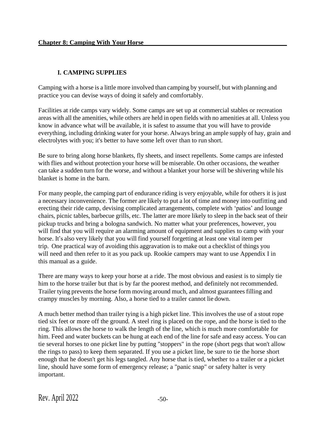# **I. CAMPING SUPPLIES**

Camping with a horse is a little more involved than camping by yourself, but with planning and practice you can devise ways of doing it safely and comfortably.

Facilities at ride camps vary widely. Some camps are set up at commercial stables or recreation areas with all the amenities, while others are held in open fields with no amenities at all. Unless you know in advance what will be available, it is safest to assume that you will have to provide everything, including drinking water for your horse. Always bring an ample supply of hay, grain and electrolytes with you; it's better to have some left over than to run short.

Be sure to bring along horse blankets, fly sheets, and insect repellents. Some camps are infested with flies and without protection your horse will be miserable. On other occasions, the weather can take a sudden turn for the worse, and without a blanket your horse will be shivering while his blanket is home in the barn.

For many people, the camping part of endurance riding is very enjoyable, while for others it is just a necessary inconvenience. The former are likely to put a lot of time and money into outfitting and erecting their ride camp, devising complicated arrangements, complete with 'patios' and lounge chairs, picnic tables, barbecue grills, etc. The latter are more likely to sleep in the back seat of their pickup trucks and bring a bologna sandwich. No matter what your preferences, however, you will find that you will require an alarming amount of equipment and supplies to camp with your horse. It's also very likely that you will find yourself forgetting at least one vital item per trip. One practical way of avoiding this aggravation is to make out a checklist of things you will need and then refer to it as you pack up. Rookie campers may want to use Appendix I in this manual as a guide.

There are many ways to keep your horse at a ride. The most obvious and easiest is to simply tie him to the horse trailer but that is by far the poorest method, and definitely not recommended. Trailer tying prevents the horse form moving around much, and almost guaranteesfilling and crampy muscles by morning. Also, a horse tied to a trailer cannot lie down.

A much better method than trailer tying is a high picket line. This involves the use of a stout rope tied six feet or more off the ground. A steel ring is placed on the rope, and the horse is tied to the ring. This allows the horse to walk the length of the line, which is much more comfortable for him. Feed and water buckets can be hung at each end of the line for safe and easy access. You can tie several horses to one picket line by putting "stoppers" in the rope (short pegs that won't allow the rings to pass) to keep them separated. If you use a picket line, be sure to tie the horse short enough that he doesn't get his legs tangled. Any horse that is tied, whether to a trailer or a picket line, should have some form of emergency release; a "panic snap" or safety halter is very important.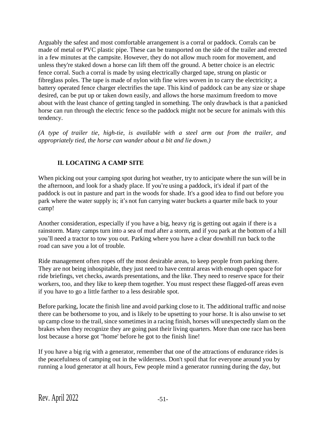Arguably the safest and most comfortable arrangement is a corral or paddock. Corrals can be made of metal or PVC plastic pipe. These can be transported on the side of the trailer and erected in a few minutes at the campsite. However, they do not allow much room for movement, and unless they're staked down a horse can lift them off the ground. A better choice is an electric fence corral. Such a corral is made by using electrically charged tape, strung on plastic or fibreglass poles. The tape is made of nylon with fine wires woven in to carry the electricity; a battery operated fence charger electrifies the tape. This kind of paddock can be any size or shape desired, can be put up or taken down easily, and allows the horse maximum freedom to move about with the least chance of getting tangled in something. The only drawback is that a panicked horse can run through the electric fence so the paddock might not be secure for animals with this tendency.

*(A type of trailer tie, high-tie, is available with a steel arm out from the trailer, and appropriately tied, the horse can wander about a bit and lie down.)*

# **II. LOCATING A CAMP SITE**

When picking out your camping spot during hot weather, try to anticipate where the sun will be in the afternoon, and look for a shady place. If you're using a paddock, it's ideal if part of the paddock is out in pasture and part in the woods for shade. It's a good idea to find out before you park where the water supply is; it's not fun carrying water buckets a quarter mile back to your camp!

Another consideration, especially if you have a big, heavy rig is getting out again if there is a rainstorm. Many camps turn into a sea of mud after a storm, and if you park at the bottom of a hill you'll need a tractor to tow you out. Parking where you have a clear downhill run back to the road can save you a lot of trouble.

Ride management often ropes off the most desirable areas, to keep people from parking there. They are not being inhospitable, they just need to have central areas with enough open space for ride briefings, vet checks, awards presentations, and the like. They need to reserve space for their workers, too, and they like to keep them together. You must respect these flagged-off areas even if you have to go a little farther to a less desirable spot.

Before parking, locate the finish line and avoid parking close to it. The additional traffic and noise there can be bothersome to you, and is likely to be upsetting to your horse. It is also unwise to set up camp close to the trail, since sometimes in a racing finish, horses will unexpectedly slam on the brakes when they recognize they are going past their living quarters. More than one race has been lost because a horse got "home' before he got to the finish line!

If you have a big rig with a generator, remember that one of the attractions of endurance rides is the peacefulness of camping out in the wilderness. Don't spoil that for everyone around you by running a loud generator at all hours, Few people mind a generator running during the day, but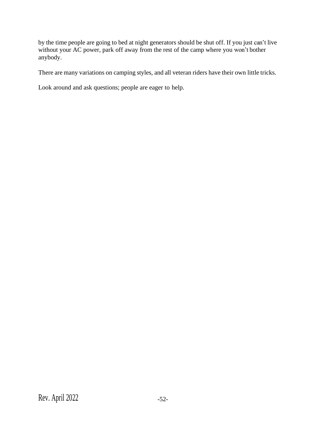by the time people are going to bed at night generators should be shut off. If you just can't live without your AC power, park off away from the rest of the camp where you won't bother anybody.

There are many variations on camping styles, and all veteran riders have their own little tricks.

Look around and ask questions; people are eager to help.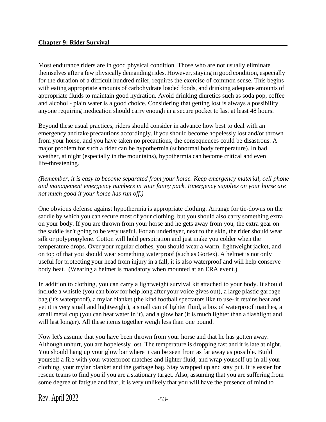Most endurance riders are in good physical condition. Those who are not usually eliminate themselves after a few physically demanding rides. However, staying in good condition, especially for the duration of a difficult hundred miler, requires the exercise of common sense. This begins with eating appropriate amounts of carbohydrate loaded foods, and drinking adequate amounts of appropriate fluids to maintain good hydration. Avoid drinking diuretics such as soda pop, coffee and alcohol - plain water is a good choice. Considering that getting lost is always a possibility, anyone requiring medication should carry enough in a secure pocket to last at least 48 hours.

Beyond these usual practices, riders should consider in advance how best to deal with an emergency and take precautions accordingly. If you should become hopelessly lost and/or thrown from your horse, and you have taken no precautions, the consequences could be disastrous. A major problem for such a rider can be hypothermia (subnormal body temperature). In bad weather, at night (especially in the mountains), hypothermia can become critical and even life-threatening.

*(Remember, it is easy to become separated from your horse. Keep emergency material, cell phone and management emergency numbers in your fanny pack. Emergency supplies on your horse are not much good if your horse has run off.)*

One obvious defense against hypothermia is appropriate clothing. Arrange for tie-downs on the saddle by which you can secure most of your clothing, but you should also carry something extra on your body. If you are thrown from your horse and he gets away from you, the extra gear on the saddle isn't going to be very useful. For an underlayer, next to the skin, the rider should wear silk or polypropylene. Cotton will hold perspiration and just make you colder when the temperature drops. Over your regular clothes, you should wear a warm, lightweight jacket, and on top of that you should wear something waterproof (such as Gortex). A helmet is not only useful for protecting your head from injury in a fall, it is also waterproof and will help conserve body heat. (Wearing a helmet is mandatory when mounted at an ERA event.)

In addition to clothing, you can carry a lightweight survival kit attached to your body. It should include a whistle (you can blow for help long after your voice gives out), a large plastic garbage bag (it's waterproof), a mylar blanket (the kind football spectators like to use- it retains heat and yet it is very small and lightweight), a small can of lighter fluid, a box of waterproof matches, a small metal cup (you can heat water in it), and a glow bar (it is much lighter than a flashlight and will last longer). All these items together weigh less than one pound.

Now let's assume that you have been thrown from your horse and that he has gotten away. Although unhurt, you are hopelessly lost. The temperature is dropping fast and it is late at night. You should hang up your glow bar where it can be seen from as far away as possible. Build yourself a fire with your waterproof matches and lighter fluid, and wrap yourself up in all your clothing, your mylar blanket and the garbage bag. Stay wrapped up and stay put. It is easier for rescue teams to find you if you are a stationary target. Also, assuming that you are suffering from some degree of fatigue and fear, it is very unlikely that you will have the presence of mind to

Rev. April  $2022$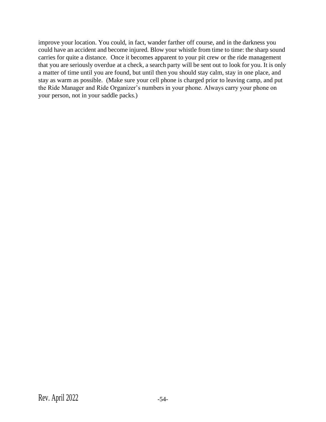improve your location. You could, in fact, wander farther off course, and in the darkness you could have an accident and become injured. Blow your whistle from time to time: the sharp sound carries for quite a distance. Once it becomes apparent to your pit crew or the ride management that you are seriously overdue at a check, a search party will be sent out to look for you. It is only a matter of time until you are found, but until then you should stay calm, stay in one place, and stay as warm as possible. (Make sure your cell phone is charged prior to leaving camp, and put the Ride Manager and Ride Organizer's numbers in your phone. Always carry your phone on your person, not in your saddle packs.)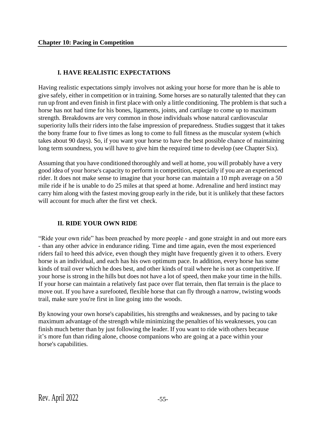### **I. HAVE REALISTIC EXPECTATIONS**

Having realistic expectations simply involves not asking your horse for more than he is able to give safely, either in competition or in training. Some horses are so naturally talented that they can run up front and even finish in first place with only a little conditioning. The problem is that such a horse has not had time for his bones, ligaments, joints, and cartilage to come up to maximum strength. Breakdowns are very common in those individuals whose natural cardiovascular superiority lulls their riders into the false impression of preparedness. Studies suggest that it takes the bony frame four to five times as long to come to full fitness as the muscular system (which takes about 90 days). So, if you want your horse to have the best possible chance of maintaining long term soundness, you will have to give him the required time to develop (see Chapter Six).

Assuming that you have conditioned thoroughly and well at home, you will probably have a very good idea of your horse's capacity to perform in competition, especially if you are an experienced rider. It does not make sense to imagine that your horse can maintain a 10 mph average on a 50 mile ride if he is unable to do 25 miles at that speed at home. Adrenaline and herd instinct may carry him along with the fastest moving group early in the ride, but it is unlikely that these factors will account for much after the first vet check.

### **II. RIDE YOUR OWN RIDE**

"Ride your own ride" has been preached by more people - and gone straight in and out more ears - than any other advice in endurance riding. Time and time again, even the most experienced riders fail to heed this advice, even though they might have frequently given it to others. Every horse is an individual, and each has his own optimum pace. In addition, every horse has some kinds of trail over which he does best, and other kinds of trail where he is not as competitive. If your horse is strong in the hills but does not have a lot of speed, then make your time in the hills. If your horse can maintain a relatively fast pace over flat terrain, then flat terrain is the place to move out. If you have a surefooted, flexible horse that can fly through a narrow, twisting woods trail, make sure you're first in line going into the woods.

By knowing your own horse's capabilities, his strengths and weaknesses, and by pacing to take maximum advantage of the strength while minimizing the penalties of his weaknesses, you can finish much better than by just following the leader. If you want to ride with others because it's more fun than riding alone, choose companions who are going at a pace within your horse's capabilities.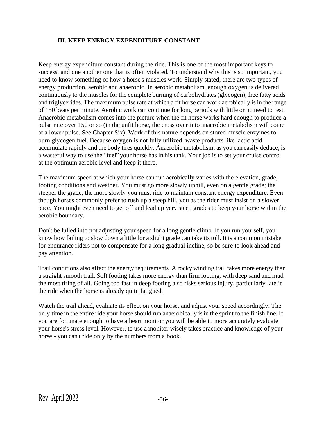#### **III. KEEP ENERGY EXPENDITURE CONSTANT**

Keep energy expenditure constant during the ride. This is one of the most important keys to success, and one another one that is often violated. To understand why this is so important, you need to know something of how a horse's muscles work. Simply stated, there are two types of energy production, aerobic and anaerobic. In aerobic metabolism, enough oxygen is delivered continuously to the muscles for the complete burning of carbohydrates (glycogen), free fatty acids and triglycerides. The maximum pulse rate at which a fit horse can work aerobically is in the range of 150 beats per minute. Aerobic work can continue for long periods with little or no need to rest. Anaerobic metabolism comes into the picture when the fit horse works hard enough to produce a pulse rate over 150 or so (in the unfit horse, the cross over into anaerobic metabolism will come at a lower pulse. See Chapter Six). Work of this nature depends on stored muscle enzymes to burn glycogen fuel. Because oxygen is not fully utilized, waste products like lactic acid accumulate rapidly and the body tires quickly. Anaerobic metabolism, as you can easily deduce, is a wasteful way to use the "fuel" your horse has in his tank. Your job is to set your cruise control at the optimum aerobic level and keep it there.

The maximum speed at which your horse can run aerobically varies with the elevation, grade, footing conditions and weather. You must go more slowly uphill, even on a gentle grade; the steeper the grade, the more slowly you must ride to maintain constant energy expenditure. Even though horses commonly prefer to rush up a steep hill, you as the rider must insist on a slower pace. You might even need to get off and lead up very steep grades to keep your horse within the aerobic boundary.

Don't be lulled into not adjusting your speed for a long gentle climb. If you run yourself, you know how failing to slow down a little for a slight grade can take its toll. It is a common mistake for endurance riders not to compensate for a long gradual incline, so be sure to look ahead and pay attention.

Trail conditions also affect the energy requirements. A rocky winding trail takes more energy than a straight smooth trail. Soft footing takes more energy than firm footing, with deep sand and mud the most tiring of all. Going too fast in deep footing also risks serious injury, particularly late in the ride when the horse is already quite fatigued.

Watch the trail ahead, evaluate its effect on your horse, and adjust your speed accordingly. The only time in the entire ride your horse should run anaerobically is in the sprint to the finish line. If you are fortunate enough to have a heart monitor you will be able to more accurately evaluate your horse's stress level. However, to use a monitor wisely takes practice and knowledge of your horse - you can't ride only by the numbers from a book.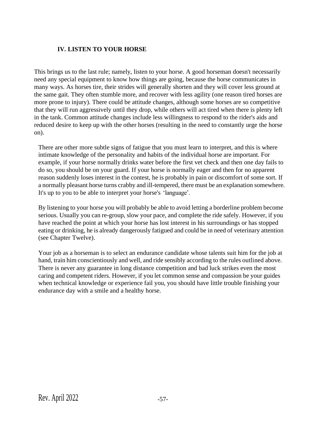#### **IV. LISTEN TO YOUR HORSE**

This brings us to the last rule; namely, listen to your horse. A good horseman doesn't necessarily need any special equipment to know how things are going, because the horse communicates in many ways. As horses tire, their strides will generally shorten and they will cover less ground at the same gait. They often stumble more, and recover with less agility (one reason tired horses are more prone to injury). There could be attitude changes, although some horses are so competitive that they will run aggressively until they drop, while others will act tired when there is plenty left in the tank. Common attitude changes include less willingness to respond to the rider's aids and reduced desire to keep up with the other horses (resulting in the need to constantly urge the horse on).

There are other more subtle signs of fatigue that you must learn to interpret, and this is where intimate knowledge of the personality and habits of the individual horse are important. For example, if your horse normally drinks water before the first vet check and then one day fails to do so, you should be on your guard. If your horse is normally eager and then for no apparent reason suddenly loses interest in the contest, he is probably in pain or discomfort of some sort. If a normally pleasant horse turns crabby and ill-tempered, there must be an explanation somewhere. It's up to you to be able to interpret your horse's 'language'.

By listening to your horse you will probably be able to avoid letting a borderline problem become serious. Usually you can re-group, slow your pace, and complete the ride safely. However, if you have reached the point at which your horse has lost interest in his surroundings or has stopped eating or drinking, he is already dangerously fatigued and could be in need of veterinary attention (see Chapter Twelve).

Your job as a horseman is to select an endurance candidate whose talents suit him for the job at hand, train him conscientiously and well, and ride sensibly according to the rules outlined above. There is never any guarantee in long distance competition and bad luck strikes even the most caring and competent riders. However, if you let common sense and compassion be your guides when technical knowledge or experience fail you, you should have little trouble finishing your endurance day with a smile and a healthy horse.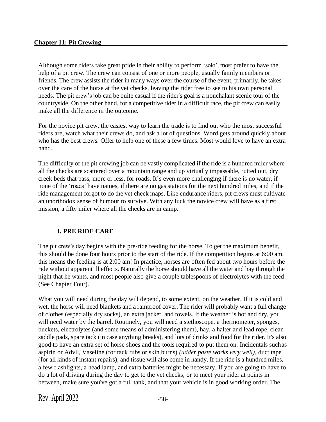Although some riders take great pride in their ability to perform 'solo', most prefer to have the help of a pit crew. The crew can consist of one or more people, usually family members or friends. The crew assists the rider in many ways over the course of the event, primarily, he takes over the care of the horse at the vet checks, leaving the rider free to see to his own personal needs. The pit crew's job can be quite casual if the rider's goal is a nonchalant scenic tour of the countryside. On the other hand, for a competitive rider in a difficult race, the pit crew can easily make all the difference in the outcome.

For the novice pit crew, the easiest way to learn the trade is to find out who the most successful riders are, watch what their crews do, and ask a lot of questions. Word gets around quickly about who has the best crews. Offer to help one of these a few times. Most would love to have an extra hand.

The difficulty of the pit crewing job can be vastly complicated if the ride is a hundred miler where all the checks are scattered over a mountain range and up virtually impassable, rutted out, dry creek beds that pass, more or less, for roads. It's even more challenging if there is no water, if none of the 'roads' have names, if there are no gas stations for the next hundred miles, and if the ride management forgot to do the vet check maps. Like endurance riders, pit crews must cultivate an unorthodox sense of humour to survive. With any luck the novice crew will have as a first mission, a fifty miler where all the checks are in camp.

### **I. PRE RIDE CARE**

The pit crew's day begins with the pre-ride feeding for the horse. To get the maximum benefit, this should be done four hours prior to the start of the ride. If the competition begins at 6:00 am, this means the feeding is at 2:00 am! In practice, horses are often fed about two hours before the ride without apparent ill effects. Naturally the horse should have all the water and hay through the night that he wants, and most people also give a couple tablespoons of electrolytes with the feed (See Chapter Four).

What you will need during the day will depend, to some extent, on the weather. If it is cold and wet, the horse will need blankets and a rainproof cover. The rider will probably want a full change of clothes (especially dry socks), an extra jacket, and towels. If the weather is hot and dry, you will need water by the barrel. Routinely, you will need a stethoscope, a thermometer, sponges, buckets, electrolytes (and some means of administering them), hay, a halter and lead rope, clean saddle pads, spare tack (in case anything breaks), and lots of drinks and food for the rider. It's also good to have an extra set of horse shoes and the tools required to put them on. Incidentals suchas aspirin or Advil, Vaseline (for tack rubs or skin burns) *(udder paste works very well)*, duct tape (for all kinds of instant repairs), and tissue will also come in handy. If the ride is a hundred miles, a few flashlights, a head lamp, and extra batteries might be necessary. If you are going to have to do a lot of driving during the day to get to the vet checks, or to meet your rider at points in between, make sure you've got a full tank, and that your vehicle is in good working order. The

Rev. April  $2022$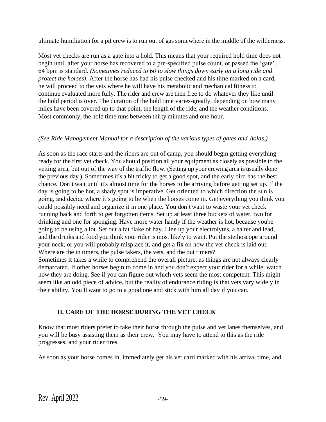ultimate humiliation for a pit crew is to run out of gas somewhere in the middle of the wilderness.

Most vet checks are run as a gate into a hold. This means that your required hold time does not begin until after your horse has recovered to a pre-specified pulse count, or passed the 'gate'. 64 bpm is standard. *(Sometimes reduced to 60 to slow things down early on a long ride and protect the horses)*. After the horse has had his pulse checked and his time marked on a card, he will proceed to the vets where he will have his metabolic and mechanical fitness to continue evaluated more fully. The rider and crew are then free to do whatever they like until the hold period is over. The duration of the hold time varies-greatly, depending on how many miles have been covered up to that point, the length of the ride, and the weather conditions. Most commonly, the hold time runs between thirty minutes and one hour.

#### *(See Ride Management Manual for a description of the various types of gates and holds.)*

As soon as the race starts and the riders are out of camp, you should begin getting everything ready for the first vet check. You should position all your equipment as closely as possible to the vetting area, but out of the way of the traffic flow. (Setting up your crewing area is usually done the previous day.) Sometimes it's a bit tricky to get a good spot, and the early bird has the best chance. Don't wait until it's almost time for the horses to be arriving before getting set up. If the day is going to be hot, a shady spot is imperative. Get oriented to which direction the sun is going, and decide where it's going to be when the horses come in. Get everything you think you could possibly need and organize it in one place. You don't want to waste your vet check running back and forth to get forgotten items. Set up at least three buckets of water, two for drinking and one for sponging. Have more water handy if the weather is hot, because you're going to be using a lot. Set out a fat flake of hay. Line up your electrolytes, a halter and lead, and the drinks and food you think your rider is most likely to want. Put the stethoscope around your neck, or you will probably misplace it, and get a fix on how the vet check is laid out. Where are the in timers, the pulse takers, the vets, and the out timers?

Sometimes it takes a while to comprehend the overall picture, as things are not always clearly demarcated. If other horses begin to come in and you don't expect your rider for a while, watch how they are doing. See if you can figure out which vets seem the most competent. This might seem like an odd piece of advice, but the reality of endurance riding is that vets vary widely in their ability. You'll want to go to a good one and stick with him all day if you can.

# **II. CARE OF THE HORSE DURING THE VET CHECK**

Know that most riders prefer to take their horse through the pulse and vet lanes themselves, and you will be busy assisting them as their crew. You may have to attend to this as the ride progresses, and your rider tires.

As soon as your horse comes in, immediately get his vet card marked with his arrival time, and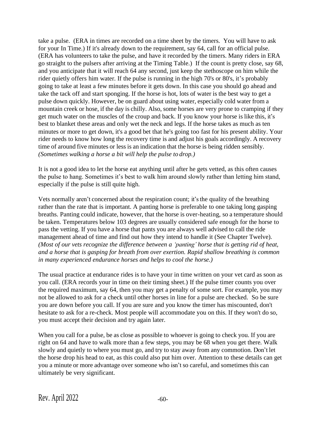take a pulse. (ERA in times are recorded on a time sheet by the timers. You will have to ask for your In Time.) If it's already down to the requirement, say 64, call for an official pulse. (ERA has volunteers to take the pulse, and have it recorded by the timers. Many riders in ERA go straight to the pulsers after arriving at the Timing Table.) If the count is pretty close, say 68, and you anticipate that it will reach 64 any second, just keep the stethoscope on him while the rider quietly offers him water. If the pulse is running in the high 70's or 80's, it's probably going to take at least a few minutes before it gets down. In this case you should go ahead and take the tack off and start sponging. If the horse is hot, lots of water is the best way to get a pulse down quickly. However, be on guard about using water, especially cold water from a mountain creek or hose, if the day is chilly. Also, some horses are very prone to cramping if they get much water on the muscles of the croup and back. If you know your horse is like this, it's best to blanket these areas and only wet the neck and legs. If the horse takes as much as ten minutes or more to get down, it's a good bet that he's going too fast for his present ability. Your rider needs to know how long the recovery time is and adjust his goals accordingly. A recovery time of around five minutes or less is an indication that the horse is being ridden sensibly. *(Sometimes walking a horse a bit will help the pulse to drop.)*

It is not a good idea to let the horse eat anything until after he gets vetted, as this often causes the pulse to hang. Sometimes it's best to walk him around slowly rather than letting him stand, especially if the pulse is still quite high.

Vets normally aren't concerned about the respiration count; it's the quality of the breathing rather than the rate that is important. A panting horse is preferable to one taking long gasping breaths. Panting could indicate, however, that the horse is over-heating, so a temperature should be taken. Temperatures below 103 degrees are usually considered safe enough for the horse to pass the vetting. If you have a horse that pants you are always well advised to call the ride management ahead of time and find out how they intend to handle it (See Chapter Twelve). *(Most of our vets recognize the difference between a 'panting' horse that is getting rid of heat, and a horse that is gasping for breath from over exertion. Rapid shallow breathing is common in many experienced endurance horses and helps to cool the horse.)*

The usual practice at endurance rides is to have your in time written on your vet card as soon as you call. (ERA records your in time on their timing sheet.) If the pulse timer counts you over the required maximum, say 64, then you may get a penalty of some sort. For example, you may not be allowed to ask for a check until other horses in line for a pulse are checked. So be sure you are down before you call. If you are sure and you know the timer has miscounted, don't hesitate to ask for a re-check. Most people will accommodate you on this. If they won't do so, you must accept their decision and try again later.

When you call for a pulse, be as close as possible to whoever is going to check you. If you are right on 64 and have to walk more than a few steps, you may be 68 when you get there. Walk slowly and quietly to where you must go, and try to stay away from any commotion. Don't let the horse drop his head to eat, as this could also put him over. Attention to these details can get you a minute or more advantage over someone who isn't so careful, and sometimes this can ultimately be very significant.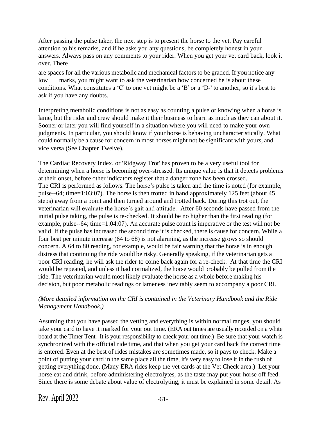After passing the pulse taker, the next step is to present the horse to the vet. Pay careful attention to his remarks, and if he asks you any questions, be completely honest in your answers. Always pass on any comments to your rider. When you get your vet card back, look it over. There

are spaces for all the various metabolic and mechanical factors to be graded. If you notice any low marks, you might want to ask the veterinarian how concerned he is about these conditions. What constitutes a 'C' to one vet might be a 'B' or a 'D-' to another, so it's best to ask if you have any doubts.

Interpreting metabolic conditions is not as easy as counting a pulse or knowing when a horse is lame, but the rider and crew should make it their business to learn as much as they can about it. Sooner or later you will find yourself in a situation where you will need to make your own judgments. In particular, you should know if your horse is behaving uncharacteristically. What could normally be a cause for concern in most horses might not be significant with yours, and vice versa (See Chapter Twelve).

The Cardiac Recovery Index, or 'Ridgway Trot' has proven to be a very useful tool for determining when a horse is becoming over-stressed. Its unique value is that it detects problems at their onset, before other indicators register that a danger zone has been crossed. The CRI is performed as follows. The horse's pulse is taken and the time is noted (for example, pulse--64; time=1:03:07). The horse is then trotted in hand approximately 125 feet (about 45 steps) away from a point and then turned around and trotted back. During this trot out, the veterinarian will evaluate the horse's gait and attitude. After 60 seconds have passed from the initial pulse taking, the pulse is re-checked. It should be no higher than the first reading (for example, pulse--64; time=1:04:07). An accurate pulse count is imperative or the test will not be valid. If the pulse has increased the second time it is checked, there is cause for concern. While a four beat per minute increase (64 to 68) is not alarming, as the increase grows so should concern. A 64 to 80 reading, for example, would be fair warning that the horse is in enough distress that continuing the ride would be risky. Generally speaking, if the veterinarian gets a poor CRI reading, he will ask the rider to come back again for a re-check. At that time the CRI would be repeated, and unless it had normalized, the horse would probably be pulled from the ride. The veterinarian would most likely evaluate the horse as a whole before making his decision, but poor metabolic readings or lameness inevitably seem to accompany a poor CRI.

#### *(More detailed information on the CRI is contained in the Veterinary Handbook and the Ride Management Handbook.)*

Assuming that you have passed the vetting and everything is within normal ranges, you should take your card to have it marked for your out time. (ERA out times are usually recorded on a white board at the Timer Tent. It is your responsibility to check your out time.) Be sure that your watch is synchronized with the official ride time, and that when you get your card back the correct time is entered. Even at the best of rides mistakes are sometimes made, so it pays to check. Make a point of putting your card in the same place all the time, it's very easy to lose it in the rush of getting everything done. (Many ERA rides keep the vet cards at the Vet Check area.) Let your horse eat and drink, before administering electrolytes, as the taste may put your horse off feed. Since there is some debate about value of electrolyting, it must be explained in some detail. As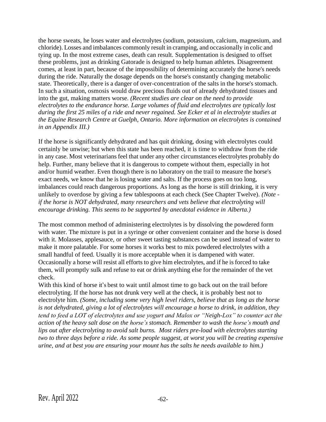the horse sweats, he loses water and electrolytes (sodium, potassium, calcium, magnesium, and chloride). Losses and imbalances commonly result in cramping, and occasionally in colic and tying up. In the most extreme cases, death can result. Supplementation is designed to offset these problems, just as drinking Gatorade is designed to help human athletes. Disagreement comes, at least in part, because of the impossibility of determining accurately the horse's needs during the ride. Naturally the dosage depends on the horse's constantly changing metabolic state. Theoretically, there is a danger of over-concentration of the salts in the horse's stomach. In such a situation, osmosis would draw precious fluids out of already dehydrated tissues and into the gut, making matters worse. *(Recent studies are clear on the need to provide electrolytes to the endurance horse. Large volumes of fluid and electrolytes are typically lost during the first 25 miles of a ride and never regained. See Ecker et al in electrolyte studies at the Equine Research Centre at Guelph, Ontario. More information on electrolytes is contained in an Appendix III.)*

If the horse is significantly dehydrated and has quit drinking, dosing with electrolytes could certainly be unwise; but when this state has been reached, it is time to withdraw from the ride in any case. Most veterinariansfeel that under any other circumstances electrolytes probably do help. Further, many believe that it is dangerous to compete without them, especially in hot and/or humid weather. Even though there is no laboratory on the trail to measure the horse's exact needs, we know that he is losing water and salts. If the process goes on too long, imbalances could reach dangerous proportions. As long as the horse is still drinking, it is very unlikely to overdose by giving a few tablespoons at each check (See Chapter Twelve). *(Note if the horse is NOT dehydrated, many researchers and vets believe that electrolyting will encourage drinking. This seems to be supported by anecdotal evidence in Alberta.)*

The most common method of administering electrolytes is by dissolving the powdered form with water. The mixture is put in a syringe or other convenient container and the horse is dosed with it. Molasses, applesauce, or other sweet tasting substances can be used instead of water to make it more palatable. For some horses it works best to mix powdered electrolytes with a small handful of feed. Usually it is more acceptable when it is dampened with water. Occasionally a horse will resist all efforts to give him electrolytes, and if he is forced to take them, will promptly sulk and refuse to eat or drink anything else for the remainder of the vet check.

With this kind of horse it's best to wait until almost time to go back out on the trail before electrolyting. If the horse has not drunk very well at the check, it is probably best not to electrolyte him. *(Some, including some very high level riders, believe that as long as the horse is not dehydrated, giving a lot of electrolytes will encourage a horse to drink, in addition, they tend to feed a LOT of electrolytes and use yogurt and Malox or "Neigh-Lox" to counter act the action of the heavy salt dose on the horse's stomach. Remember to wash the horse's mouth and lips out after electrolyting to avoid salt burns. Most riders pre-load with electrolytes starting two to three days before a ride. As some people suggest, at worst you will be creating expensive urine, and at best you are ensuring your mount has the salts he needs available to him.)*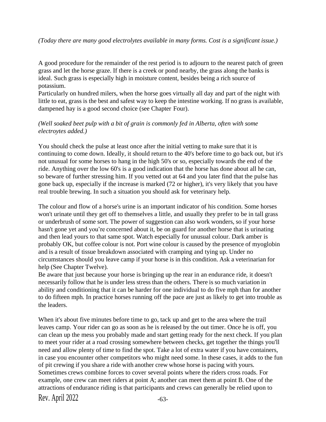#### *(Today there are many good electrolytes available in many forms. Cost is a significant issue.)*

A good procedure for the remainder of the rest period is to adjourn to the nearest patch of green grass and let the horse graze. If there is a creek or pond nearby, the grass along the banks is ideal. Such grass is especially high in moisture content, besides being a rich source of potassium.

Particularly on hundred milers, when the horse goes virtually all day and part of the night with little to eat, grass is the best and safest way to keep the intestine working. If no grass is available, dampened hay is a good second choice (see Chapter Four).

#### *(Well soaked beet pulp with a bit of grain is commonly fed in Alberta, often with some electroytes added.)*

You should check the pulse at least once after the initial vetting to make sure that it is continuing to come down. Ideally, it should return to the 40's before time to go back out, but it's not unusual for some horses to hang in the high 50's or so, especially towards the end of the ride. Anything over the low 60's is a good indication that the horse has done about all he can, so beware of further stressing him. If you vetted out at 64 and you later find that the pulse has gone back up, especially if the increase is marked (72 or higher), it's very likely that you have real trouble brewing. In such a situation you should ask for veterinary help.

The colour and flow of a horse's urine is an important indicator of his condition. Some horses won't urinate until they get off to themselves a little, and usually they prefer to be in tall grass or underbrush of some sort. The power of suggestion can also work wonders, so if your horse hasn't gone yet and you're concerned about it, be on guard for another horse that is urinating and then lead yours to that same spot. Watch especially for unusual colour. Dark amber is probably OK, but coffee colour is not. Port wine colour is caused by the presence of myoglobin and is a result of tissue breakdown associated with cramping and tying up. Under no circumstances should you leave camp if your horse is in this condition. Ask a veterinarian for help (See Chapter Twelve).

Be aware that just because your horse is bringing up the rear in an endurance ride, it doesn't necessarily follow that he is under less stress than the others. There is so much variation in ability and conditioning that it can be harder for one individual to do five mph than for another to do fifteen mph. In practice horses running off the pace are just as likely to get into trouble as the leaders.

Rev. April  $2022$   $-63$ When it's about five minutes before time to go, tack up and get to the area where the trail leaves camp. Your rider can go as soon as he is released by the out timer. Once he is off, you can clean up the mess you probably made and start getting ready for the next check. If you plan to meet your rider at a road crossing somewhere between checks, get together the things you'll need and allow plenty of time to find the spot. Take a lot of extra water if you have containers, in case you encounter other competitors who might need some. ln these cases, it adds to the fun of pit crewing if you share a ride with another crew whose horse is pacing with yours. Sometimes crews combine forces to cover several points where the riders cross roads. For example, one crew can meet riders at point A; another can meet them at point B. One of the attractions of endurance riding is that participants and crews can generally be relied upon to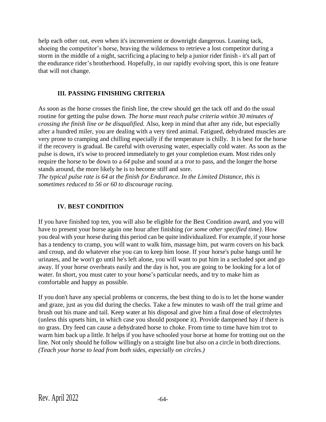help each other out, even when it's inconvenient or downright dangerous. Loaning tack, shoeing the competitor's horse, braving the wilderness to retrieve a lost competitor during a storm in the middle of a night, sacrificing a placing to help a junior rider finish - it's all part of the endurance rider's brotherhood. Hopefully, in our rapidly evolving sport, this is one feature that will not change.

#### **III. PASSING FINISHING CRITERIA**

As soon as the horse crosses the finish line, the crew should get the tack off and do the usual routine for getting the pulse down. *The horse must reach pulse criteria within 30 minutes of crossing the finish line or be disqualified.* Also, keep in mind that after any ride, but especially after a hundred miler, you are dealing with a very tired animal. Fatigued, dehydrated muscles are very prone to cramping and chilling especially if the temperature is chilly. It is best for the horse if the recovery is gradual. Be careful with overusing water, especially cold water. As soon as the pulse is down, it's wise to proceed immediately to get your completion exam. Most rides only require the horse to be down to a *64* pulse and sound at a *trot* to pass, and the longer the horse stands around, the more likely he is to become stiff and sore.

*The typical pulse rate is 64 at the finish for Endurance. In the Limited Distance, this is sometimes reduced to 56 or 60 to discourage racing.*

### **IV. BEST CONDITION**

If you have finished top ten, you will also be eligible for the Best Condition award, and you will have to present your horse again one hour after finishing *(or some other specified time)*. How you deal with your horse during this period can be quite individualized. For example, if your horse has a tendency to cramp, you will want to walk him, massage him, put warm covers on his back and croup, and do whatever else you can to keep him loose. If your horse's pulse hangs until he urinates, and he won't go until he's left alone, you will want to put him in a secluded spot and go away. If your horse overheats easily and the day is hot, you are going to be looking for a lot of water. In short, you must cater to your horse's particular needs, and try to make him as comfortable and happy as possible.

If you don't have any special problems or concerns, the best thing to do is to let the horse wander and graze, just as you did during the checks. Take a few minutes to wash off the trail grime and brush out his mane and tail. Keep water at his disposal and give him a final dose of electrolytes (unless this upsets him, in which case you should postpone it). Provide dampened hay if there is no grass. Dry feed can cause a dehydrated horse to choke. From time to time have him trot to warm him back up a little. It helps if you have schooled your horse at home for trotting out on the line. Not only should he follow willingly on a straight line but also on a circle in both directions. *(Teach your horse to lead from both sides, especially on circles.)*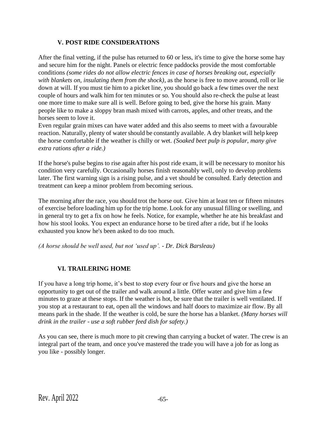### **V. POST RIDE CONSIDERATIONS**

After the final vetting, if the pulse has returned to 60 or less, it's time to give the horse some hay and secure him for the night. Panels or electric fence paddocks provide the most comfortable conditions *(some rides do not allow electric fences in case of horses breaking out, especially with blankets on, insulating them from the shock)*, as the horse is free to move around, roll or lie down at will. If you must tie him to a picket line, you should go back a few times over the next couple of hours and walk him for ten minutes or so. You should also re-check the pulse at least one more time to make sure all is well. Before going to bed, give the horse his grain. Many people like to make a sloppy bran mash mixed with carrots, apples, and other treats, and the horses seem to love it.

Even regular grain mixes can have water added and this also seems to meet with a favourable reaction. Naturally, plenty of water should be constantly available. A dry blanket will help keep the horse comfortable if the weather is chilly or wet. *(Soaked beet pulp is popular, many give extra rations after a ride.)*

If the horse's pulse begins to rise again after his post ride exam, it will be necessary to monitor his condition very carefully. Occasionally horses finish reasonably well, only to develop problems later. The first warning sign is a rising pulse, and a vet should be consulted. Early detection and treatment can keep a minor problem from becoming serious.

The morning after the race, you should trot the horse out. Give him at least ten or fifteen minutes of exercise before loading him up for the trip home. Look for any unusual filling or swelling, and in general try to get a fix on how he feels. Notice, for example, whether he ate his breakfast and how his stool looks. You expect an endurance horse to be tired after a ride, but if he looks exhausted you know he's been asked to do too much.

*(A horse should be well used, but not 'used up'. - Dr. Dick Barsleau)*

### **VI. TRAILERING HOME**

If you have a long trip home, it's best to stop every four or five hours and give the horse an opportunity to get out of the trailer and walk around a little. Offer water and give him a few minutes to graze at these stops. If the weather is hot, be sure that the trailer is well ventilated. If you stop at a restaurant to eat, open all the windows and half doors to maximize air flow. By all means park in the shade. If the weather is cold, be sure the horse has a blanket. *(Many horses will drink in the trailer - use a soft rubber feed dish for safety.)*

As you can see, there is much more to pit crewing than carrying a bucket of water. The crew is an integral part of the team, and once you've mastered the trade you will have a job for as long as you like - possibly longer.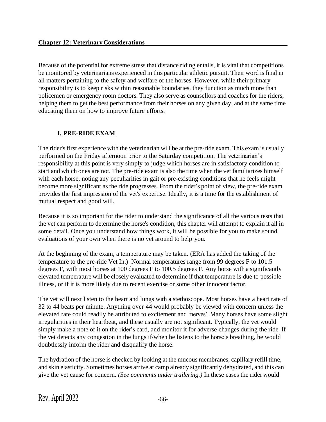Because of the potential for extreme stress that distance riding entails, it is vital that competitions be monitored by veterinarians experienced in this particular athletic pursuit. Their word is final in all matters pertaining to the safety and welfare of the horses. However, while their primary responsibility is to keep risks within reasonable boundaries, they function as much more than policemen or emergency room doctors. They also serve as counsellors and coaches for the riders, helping them to get the best performance from their horses on any given day, and at the same time educating them on how to improve future efforts.

# **I. PRE-RIDE EXAM**

The rider's first experience with the veterinarian will be at the pre-ride exam. This exam is usually performed on the Friday afternoon prior to the Saturday competition. The veterinarian's responsibility at this point is very simply to judge which horses are in satisfactory condition to start and which ones are not. The pre-ride exam is also the time when the vet familiarizes himself with each horse, noting any peculiarities in gait or pre-existing conditions that he feels might become more significant as the ride progresses. From the rider's point of view, the pre-ride exam provides the first impression of the vet's expertise. Ideally, it is a time for the establishment of mutual respect and good will.

Because it is so important for the rider to understand the significance of all the various tests that the vet can perform to determine the horse's condition, this chapter will attempt to explain it all in some detail. Once you understand how things work, it will be possible for you to make sound evaluations of your own when there is no vet around to help you.

At the beginning of the exam, a temperature may be taken. (ERA has added the taking of the temperature to the pre-ride Vet In.) Normal temperatures range from 99 degrees F to 101.5 degrees F, with most horses at 100 degrees F to 100.5 degrees F. Any horse with a significantly elevated temperature will be closely evaluated to determine if that temperature is due to possible illness, or if it is more likely due to recent exercise or some other innocent factor.

The vet will next listen to the heart and lungs with a stethoscope. Most horses have a heart rate of 32 to 44 beats per minute. Anything over 44 would probably be viewed with concern unless the elevated rate could readily be attributed to excitement and 'nerves'. Many horses have some slight irregularities in their heartbeat, and these usually are not significant. Typically, the vet would simply make a note of it on the rider's card, and monitor it for adverse changes during the ride. If the vet detects any congestion in the lungs if/when he listens to the horse's breathing, he would doubtlessly inform the rider and disqualify the horse.

The hydration of the horse is checked by looking at the mucous membranes, capillary refill time, and skin elasticity. Sometimes horses arrive at camp already significantly dehydrated, and this can give the vet cause for concern. *(See comments under trailering.)* In these cases the rider would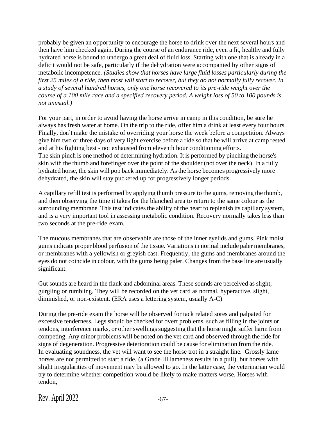probably be given an opportunity to encourage the horse to drink over the next several hours and then have him checked again. During the course of an endurance ride, even a fit, healthy and fully hydrated horse is bound to undergo a great deal of fluid loss. Starting with one that is already in a deficit would not be safe, particularly if the dehydration were accompanied by other signs of metabolic incompetence. *(Studies show that horses have large fluid losses particularly during the first 25 miles of a ride, then most will start to recover, but they do not normally fully recover. In a study of several hundred horses, only one horse recovered to its pre-ride weight over the course of a 100 mile race and a specified recovery period. A weight loss of 50 to 100 pounds is not unusual.)*

For your part, in order to avoid having the horse arrive in camp in this condition, be sure he always has fresh water at home. On the trip to the ride, offer him a drink at least every four hours. Finally, don't make the mistake of overriding your horse the week before a competition. Always give him two or three days of very light exercise before a ride so that he will arrive at camp rested and at his fighting best - not exhausted from eleventh hour conditioning efforts. The skin pinch is one method of determining hydration. It is performed by pinching the horse's skin with the thumb and forefinger over the point of the shoulder (not over the neck). In a fully hydrated horse, the skin will pop back immediately. Asthe horse becomes progressively more dehydrated, the skin will stay puckered up for progressively longer periods.

A capillary refill test is performed by applying thumb pressure to the gums, removing the thumb, and then observing the time it takes for the blanched area to return to the same colour as the surrounding membrane. This test indicates the ability of the heart to replenish its capillary system, and is a very important tool in assessing metabolic condition. Recovery normally takes less than two seconds at the pre-ride exam.

The mucous membranes that are observable are those of the inner eyelids and gums. Pink moist gums indicate proper blood perfusion of the tissue. Variations in normal include paler membranes, or membranes with a yellowish or greyish cast. Frequently, the gums and membranes around the eyes do not coincide in colour, with the gums being paler. Changes from the base line are usually significant.

Gut sounds are heard in the flank and abdominal areas. These sounds are perceived as slight, gurgling or rumbling. They will be recorded on the vet card as normal, hyperactive, slight, diminished, or non-existent. (ERA uses a lettering system, usually A-C)

During the pre-ride exam the horse will be observed for tack related sores and palpated for excessive tenderness. Legs should be checked for overt problems, such as filling in the joints or tendons, interference marks, or other swellings suggesting that the horse might suffer harm from competing. Any minor problems will be noted on the vet card and observed through the ride for signs of degeneration. Progressive deterioration could be cause for elimination from the ride. In evaluating soundness, the vet will want to see the horse trot in a straight line. Grossly lame horses are not permitted to start a ride, (a Grade III lameness results in a pull), but horses with slight irregularities of movement may be allowed to go. In the latter case, the veterinarian would try to determine whether competition would be likely to make matters worse. Horses with tendon,

Rev. April  $2022$   $-67$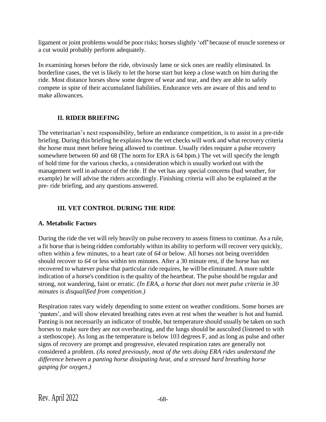ligament or joint problems would be poor risks; horses slightly 'off'because of muscle soreness or a cut would probably perform adequately.

In examining horses before the ride, obviously lame or sick ones are readily eliminated. In borderline cases, the vet is likely to let the horse start but keep a close watch on him during the ride. Most distance horses show some degree of wear and tear, and they are able to safely compete in spite of their accumulated liabilities. Endurance vets are aware of this and tend to make allowances.

# **II. RIDER BRIEFING**

The veterinarian's next responsibility, before an endurance competition, is to assist in a pre-ride briefing. During this briefing he explains how the vet checks will work and what recovery criteria the horse must meet before being allowed to continue. Usually rides require a pulse recovery somewhere between 60 and 68 (The norm for ERA is 64 bpm.) The vet will specify the length of hold time for the various checks, a consideration which is usually worked out with the management well in advance of the ride. If the vet has any special concerns (bad weather, for example) he will advise the riders accordingly. Finishing criteria will also be explained at the pre- ride briefing, and any questions answered.

# **III. VET CONTROL DURING THE RIDE**

# **A. Metabolic Factors**

During the ride the vet will rely heavily on pulse recovery to assess fitness to continue. As a rule, a fit horse that is being ridden comfortably within its ability to perform will recover very quickly, often within a few minutes, to a heart rate of *64* or below. All horses not being overridden should recover to *64* or less within ten minutes. After a 30 minute rest, if the horse has not recovered to whatever pulse that particular ride requires, he will be eliminated. A more subtle indication of a horse's condition is the quality of the heartbeat. The pulse should be regular and strong, not wandering, faint or erratic. *(In ERA, a horse that does not meet pulse criteria in 30 minutes is disqualified from competition.)*

Respiration rates vary widely depending to some extent on weather conditions. Some horses are 'panters', and will show elevated breathing rates even at rest when the weather is hot and humid. Panting is not necessarily an indicator of trouble, but temperature should usually be taken on such horses to make sure they are not overheating, and the lungs should be ausculted (listened to with a stethoscope). As long as the temperature is below 103 degrees F, and as long as pulse and other signs of recovery are prompt and progressive, elevated respiration rates are generally not considered a problem. *(As noted previously, most of the vets doing ERA rides understand the difference between a panting horse dissipating heat, and a stressed hard breathing horse gasping for oxygen.)*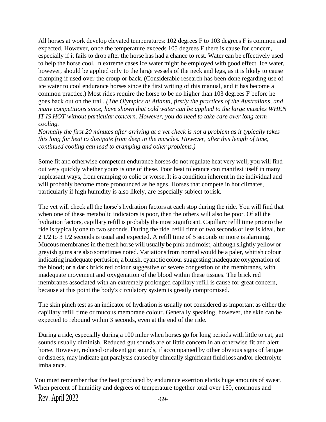All horses at work develop elevated temperatures: 102 degrees F to 103 degrees F is common and expected. However, once the temperature exceeds 105 degrees F there is cause for concern, especially if it fails to drop after the horse has had a chance to rest. Water can be effectively used to help the horse cool. In extreme cases ice water might be employed with good effect. Ice water, however, should be applied only to the large vessels of the neck and legs, as it is likely to cause cramping if used over the croup or back. (Considerable research has been done regarding use of ice water to cool endurance horses since the first writing of this manual, and it has become a common practice.) Most rides require the horse to be no higher than 103 degrees F before he goes back out on the trail. *(The Olympics at Atlanta, firstly the practices of the Australians, and many competitions since, have shown that cold water can be applied to the large muscles WHEN IT IS HOT without particular concern. However, you do need to take care over long term cooling.*

*Normally the first 20 minutes after arriving at a vet check is not a problem as it typically takes this long for heat to dissipate from deep in the muscles. However, after this length of time, continued cooling can lead to cramping and other problems.)*

Some fit and otherwise competent endurance horses do not regulate heat very well; you will find out very quickly whether yours is one of these. Poor heat tolerance can manifest itself in many unpleasant ways, from cramping to colic or worse. It is a condition inherent in the individual and will probably become more pronounced as he ages. Horses that compete in hot climates, particularly if high humidity is also likely, are especially subject to risk.

The vet will check all the horse's hydration factors at each stop during the ride. You will find that when one of these metabolic indicators is poor, then the others will also be poor. Of all the hydration factors, capillary refill is probably the most significant. Capillary refill time prior to the ride is typically one to two seconds. During the ride, refill time of two seconds or less is ideal, but 2 1/2 to 3 1/2 seconds is usual and expected. A refill time of 5 seconds or more is alarming. Mucous membranes in the fresh horse will usually be pink and moist, although slightly yellow or greyish gums are also sometimes noted. Variationsfrom normal would be a paler, whitish colour indicating inadequate perfusion; a bluish, cyanotic colour suggesting inadequate oxygenation of the blood; or a dark brick red colour suggestive of severe congestion of the membranes, with inadequate movement and oxygenation of the blood within these tissues. The brick red membranes associated with an extremely prolonged capillary refill is cause for great concern, because at this point the body's circulatory system is greatly compromised.

The skin pinch test as an indicator of hydration is usually not considered as important as either the capillary refill time or mucous membrane colour. Generally speaking, however, the skin can be expected to rebound within 3 seconds, even at the end of the ride.

During a ride, especially during a 100 miler when horses go for long periods with little to eat, gut sounds usually diminish. Reduced gut sounds are of little concern in an otherwise fit and alert horse. However, reduced or absent gut sounds, if accompanied by other obvious signs of fatigue or distress, may indicate gut paralysis caused by clinically significant fluid loss and/or electrolyte imbalance.

You must remember that the heat produced by endurance exertion elicits huge amounts of sweat. When percent of humidity and degrees of temperature together total over 150, enormous and

Rev. April  $2022$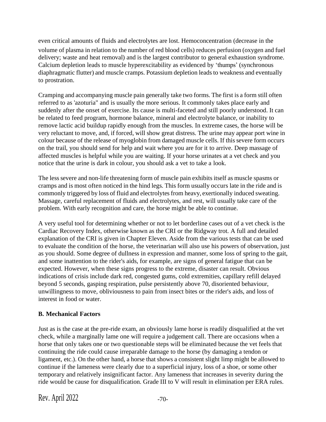even critical amounts of fluids and electrolytes are lost. Hemoconcentration (decrease in the volume of plasma in relation to the number of red blood cells) reduces perfusion (oxygen and fuel delivery; waste and heat removal) and is the largest contributor to general exhaustion syndrome. Calcium depletion leads to muscle hyperexcitability as evidenced by 'thumps' (synchronous diaphragmatic flutter) and muscle cramps. Potassium depletion leads to weakness and eventually to prostration.

Cramping and accompanying muscle pain generally take two forms. The first is a form still often referred to as 'azoturia" and is usually the more serious. It commonly takes place early and suddenly after the onset of exercise. Its cause is multi-faceted and still poorly understood. It can be related to feed program, hormone balance, mineral and electrolyte balance, or inability to remove lactic acid buildup rapidly enough from the muscles. In extreme cases, the horse will be very reluctant to move, and, if forced, will show great distress. The urine may appear port wine in colour because of the release of myoglobin from damaged muscle cells. If this severe form occurs on the trail, you should send for help and wait where you are for it to arrive. Deep massage of affected muscles is helpful while you are waiting. If your horse urinates at a vet check and you notice that the urine is dark in colour, you should ask a vet to take a look.

The less severe and non-life threatening form of muscle pain exhibits itself as muscle spasms or cramps and is most often noticed in the hind legs. This form usually occurs late in the ride and is commonly triggered by loss of fluid and electrolytes from heavy, exertionally induced sweating. Massage, careful replacement of fluids and electrolytes, and rest, will usually take care of the problem. With early recognition and care, the horse might be able to continue.

A very useful tool for determining whether or not to let borderline cases out of a vet check is the Cardiac Recovery Index, otherwise known as the CRI or the Ridgway trot. A full and detailed explanation of the CRI is given in Chapter Eleven. Aside from the various tests that can be used to evaluate the condition of the horse, the veterinarian will also use his powers of observation, just as you should. Some degree of dullness in expression and manner, some loss of spring to the gait, and some inattention to the rider's aids, for example, are signs of general fatigue that can be expected. However, when these signs progress to the extreme, disaster can result. Obvious indications of crisis include dark red, congested gums, cold extremities, capillary refill delayed beyond 5 seconds, gasping respiration, pulse persistently above 70, disoriented behaviour, unwillingness to move, obliviousness to pain from insect bites or the rider's aids, and loss of interest in food or water.

# **B. Mechanical Factors**

Just as is the case at the pre-ride exam, an obviously lame horse is readily disqualified at the vet check, while a marginally lame one will require a judgement call. There are occasions when a horse that only takes one or two questionable steps will be eliminated because the vet feels that continuing the ride could cause irreparable damage to the horse (by damaging a tendon or ligament, etc.). On the other hand, a horse that shows a consistent slight limp might be allowed to continue if the lameness were clearly due to a superficial injury, loss of a shoe, or some other temporary and relatively insignificant factor. Any lameness that increases in severity during the ride would be cause for disqualification. Grade III to V will result in elimination per ERA rules.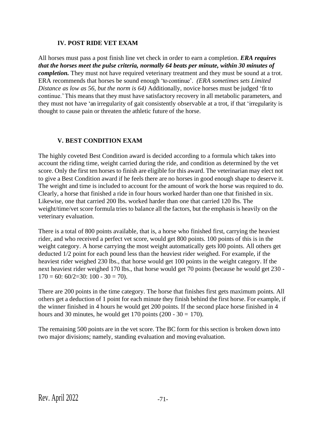### **IV. POST RIDE VET EXAM**

All horses must pass a post finish line vet check in order to earn a completion. *ERA requires that the horses meet the pulse criteria, normally 64 beats per minute, within 30 minutes of completion*. They must not have required veterinary treatment and they must be sound at a trot. ERA recommends that horses be sound enough 'to continue'. *(ERA sometimes sets Limited Distance as low as 56, but the norm is 64)* Additionally, novice horses must be judged 'fit to continue.'This means that they must have satisfactory recovery in all metabolic parameters, and they must not have 'an irregularity of gait consistently observable at a trot, if that 'irregularity is thought to cause pain or threaten the athletic future of the horse.

# **V. BEST CONDITION EXAM**

The highly coveted Best Condition award is decided according to a formula which takes into account the riding time, weight carried during the ride, and condition as determined by the vet score. Only the first ten horses to finish are eligible for this award. The veterinarian may elect not to give a Best Condition award if he feels there are no horses in good enough shape to deserve it. The weight and time is included to account for the amount of work the horse was required to do. Clearly, a horse that finished a ride in four hours worked harder than one that finished in six. Likewise, one that carried 200 lbs. worked harder than one that carried 120 lbs. The weight/time/vet score formula tries to balance all the factors, but the emphasis is heavily on the veterinary evaluation.

There is a total of 800 points available, that is, a horse who finished first, carrying the heaviest rider, and who received a perfect vet score, would get 800 points. 100 points of this is in the weight category. A horse carrying the most weight automatically gets l00 points. All others get deducted 1/2 point for each pound less than the heaviest rider weighed. For example, if the heaviest rider weighed 230 lbs., that horse would get 100 points in the weight category. If the next heaviest rider weighed 170 lbs., that horse would get 70 points (because he would get 230 -  $170 = 60$ :  $60/2 = 30$ :  $100 - 30 = 70$ ).

There are 200 points in the time category. The horse that finishes first gets maximum points. All others get a deduction of 1 point for each minute they finish behind the first horse. For example, if the winner finished in 4 hours he would get 200 points. If the second place horse finished in 4 hours and 30 minutes, he would get 170 points  $(200 - 30 = 170)$ .

The remaining 500 points are in the vet score. The BC form for this section is broken down into two major divisions; namely, standing evaluation and moving evaluation.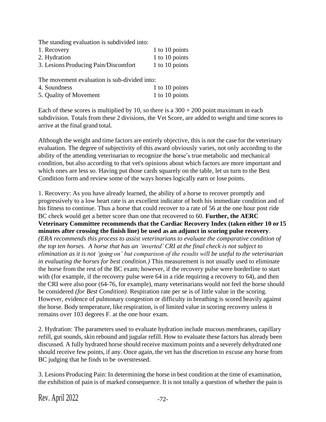The standing evaluation is subdivided into:

| 1. Recovery                          | 1 to 10 points |
|--------------------------------------|----------------|
| 2. Hydration                         | 1 to 10 points |
| 3. Lesions Producing Pain/Discomfort | 1 to 10 points |

The movement evaluation is sub-divided into:

| 4. Soundness           | 1 to 10 points |
|------------------------|----------------|
| 5. Quality of Movement | 1 to 10 points |

Each of these scores is multiplied by 10, so there is a  $300 + 200$  point maximum in each subdivision. Totals from these 2 divisions, the Vet Score, are added to weight and time scores to arrive at the final grand total.

Although the weight and time factors are entirely objective, this is not the case for the veterinary evaluation. The degree of subjectivity of this award obviously varies, not only according to the ability of the attending veterinarian to recognize the horse's true metabolic and mechanical condition, but also according to that vet's opinions about which factors are more important and which ones are less so. Having put those cards squarely on the table, let us turn to the Best Condition form and review some of the ways horses logically earn or lose points.

1. Recovery: As you have already learned, the ability of a horse to recover promptly and progressively to a low heart rate is an excellent indicator of both his immediate condition and of his fitness to continue. Thus a horse that could recover to a rate of 56 at the one hour post ride BC check would get a better score than one that recovered to 60. **Further, the AERC Veterinary Committee recommends that the Cardiac Recovery Index (taken either 10 or15 minutes after crossing the finish line) be used as an adjunct in scoring pulse recovery**. *(ERA recommends this process to assist veterinarians to evaluate the comparative condition of the top ten horses. A horse that has an 'inverted' CRI at the final check is not subject to elimination as it is not 'going on' but comparison of the results will be useful to the veterinarian in evaluating the horses for best condition.)* This measurement is not usually used to eliminate the horse from the rest of the BC exam; however, if the recovery pulse were borderline to start with (for example, if the recovery pulse were 64 in a ride requiring a recovery to 64), and then the CRI were also poor (64-76, for example), many veterinarians would not feel the horse should be considered *(for Best Condition)*. Respiration rate per se is of little value in the scoring. However, evidence of pulmonary congestion or difficulty in breathing is scored heavily against the horse. Body temperature, like respiration, is of limited value in scoring recovery unless it remains over 103 degrees F. at the one hour exam.

2. Hydration: The parameters used to evaluate hydration include mucous membranes, capillary refill, gut sounds, skin rebound and jugular refill. How to evaluate these factors has already been discussed. A fully hydrated horse should receive maximum points and a severely dehydrated one should receive few points, if any. Once again, the vet has the discretion to excuse any horse from BC judging that he finds to be overstressed.

3. Lesions Producing Pain: In determining the horse in best condition at the time of examination, the exhibition of pain is of marked consequence. It is not totally a question of whether the pain is

Rev. April  $2022$   $-72$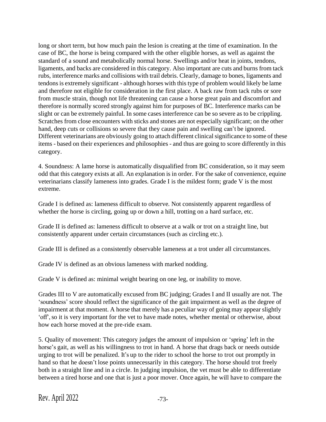long or short term, but how much pain the lesion is creating at the time of examination. In the case of BC, the horse is being compared with the other eligible horses, as well as against the standard of a sound and metabolically normal horse. Swellings and/or heat in joints, tendons, ligaments, and backs are considered in this category. Also important are cuts and burns from tack rubs, interference marks and collisions with trail debris. Clearly, damage to bones, ligaments and tendons is extremely significant - although horses with this type of problem would likely be lame and therefore not eligible for consideration in the first place. A back raw from tack rubs or sore from muscle strain, though not life threatening can cause a horse great pain and discomfort and therefore is normally scored strongly against him for purposes of BC. Interference marks can be slight or can be extremely painful. In some cases interference can be so severe as to be crippling. Scratches from close encounters with sticks and stones are not especially significant; on the other hand, deep cuts or collisions so severe that they cause pain and swelling can't be ignored. Different veterinarians are obviously going to attach different clinical significance to some of these items - based on their experiences and philosophies - and thus are going to score differently in this category.

4. Soundness: A lame horse is automatically disqualified from BC consideration, so it may seem odd that this category exists at all. An explanation is in order. For the sake of convenience, equine veterinarians classify lameness into grades. Grade I is the mildest form; grade V is the most extreme.

Grade I is defined as: lameness difficult to observe. Not consistently apparent regardless of whether the horse is circling, going up or down a hill, trotting on a hard surface, etc.

Grade II is defined as: lameness difficult to observe at a walk or trot on a straight line, but consistently apparent under certain circumstances (such as circling etc.).

Grade III is defined as a consistently observable lameness at a trot under all circumstances.

Grade IV is defined as an obvious lameness with marked nodding.

Grade V is defined as: minimal weight bearing on one leg, or inability to move.

Grades III to V are automatically excused from BC judging; Grades I and II usually are not. The 'soundness' score should reflect the significance of the gait impairment as well as the degree of impairment at that moment. A horse that merely has a peculiar way of going may appear slightly 'off', so it is very important for the vet to have made notes, whether mental or otherwise, about how each horse moved at the pre-ride exam.

5. Quality of movement: This category judges the amount of impulsion or 'spring' left in the horse's gait, as well as his willingness to trot in hand. A horse that drags back or needs outside urging to trot will be penalized. It's up to the rider to school the horse to trot out promptly in hand so that he doesn't lose points unnecessarily in this category. The horse should trot freely both in a straight line and in a circle. In judging impulsion, the vet must be able to differentiate between a tired horse and one that is just a poor mover. Once again, he will have to compare the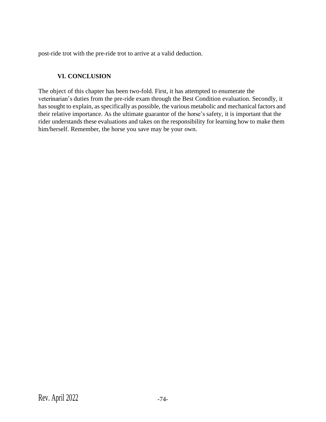post-ride trot with the pre-ride trot to arrive at a valid deduction.

# **VI. CONCLUSION**

The object of this chapter has been two-fold. First, it has attempted to enumerate the veterinarian's duties from the pre-ride exam through the Best Condition evaluation. Secondly, it hassought to explain, asspecifically as possible, the various metabolic and mechanical factors and their relative importance. As the ultimate guarantor of the horse's safety, it is important that the rider understands these evaluations and takes on the responsibility for learning how to make them him/herself. Remember, the horse you save may be your own.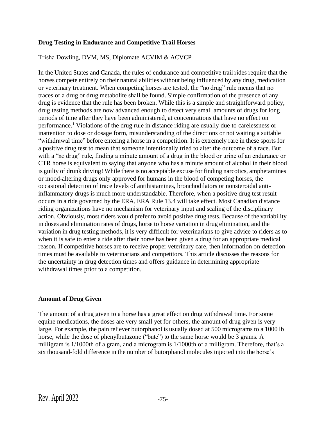### **Drug Testing in Endurance and Competitive Trail Horses**

### Trisha Dowling, DVM, MS, Diplomate ACVIM & ACVCP

In the United States and Canada, the rules of endurance and competitive trail rides require that the horses compete entirely on their natural abilities without being influenced by any drug, medication or veterinary treatment. When competing horses are tested, the "no drug" rule means that no traces of a drug or drug metabolite shall be found. Simple confirmation of the presence of any drug is evidence that the rule has been broken. While this is a simple and straightforward policy, drug testing methods are now advanced enough to detect very small amounts of drugs for long periods of time after they have been administered, at concentrations that have no effect on performance.<sup>1</sup> Violations of the drug rule in distance riding are usually due to carelessness or inattention to dose or dosage form, misunderstanding of the directions or not waiting a suitable "withdrawal time" before entering a horse in a competition. It is extremely rare in these sports for a positive drug test to mean that someone intentionally tried to alter the outcome of a race. But with a "no drug" rule, finding a minute amount of a drug in the blood or urine of an endurance or CTR horse is equivalent to saying that anyone who has a minute amount of alcohol in their blood is guilty of drunk driving! While there is no acceptable excuse for finding narcotics, amphetamines or mood-altering drugs only approved for humans in the blood of competing horses, the occasional detection of trace levels of antihistamines, bronchodilators or nonsteroidal antiinflammatory drugs is much more understandable. Therefore, when a positive drug test result occurs in a ride governed by the ERA, ERA Rule 13.4 will take effect. Most Canadian distance riding organizations have no mechanism for veterinary input and scaling of the disciplinary action. Obviously, most riders would prefer to avoid positive drug tests. Because of the variability in doses and elimination rates of drugs, horse to horse variation in drug elimination, and the variation in drug testing methods, it is very difficult for veterinarians to give advice to riders as to when it is safe to enter a ride after their horse has been given a drug for an appropriate medical reason. If competitive horses are to receive proper veterinary care, then information on detection times must be available to veterinarians and competitors. This article discusses the reasons for the uncertainty in drug detection times and offers guidance in determining appropriate withdrawal times prior to a competition.

### **Amount of Drug Given**

The amount of a drug given to a horse has a great effect on drug withdrawal time. For some equine medications, the doses are very small yet for others, the amount of drug given is very large. For example, the pain reliever butorphanol is usually dosed at 500 micrograms to a 1000 lb horse, while the dose of phenylbutazone ("bute") to the same horse would be 3 grams. A milligram is 1/1000th of a gram, and a microgram is 1/1000th of a milligram. Therefore, that's a six thousand-fold difference in the number of butorphanol molecules injected into the horse's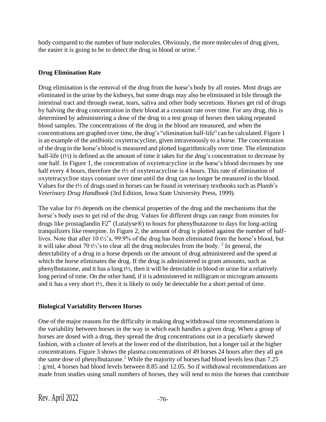body compared to the number of bute molecules. Obviously, the more molecules of drug given, the easier it is going to be to detect the drug in blood or urine.  $2^{\circ}$ 

# **Drug Elimination Rate**

Drug elimination is the removal of the drug from the horse's body by all routes. Most drugs are eliminated in the urine by the kidneys, but some drugs may also be eliminated in bile through the intestinal tract and through sweat, tears, saliva and other body secretions. Horses get rid of drugs by halving the drug concentration in their blood at a constant rate over time. For any drug, this is determined by administering a dose of the drug to a test group of horses then taking repeated blood samples. The concentrations of the drug in the blood are measured, and when the concentrations are graphed over time, the drug's "elimination half-life" can be calculated. Figure 1 is an example of the antibiotic oxytetracycline, given intravenously to a horse. The concentration of the drug in the horse's blood is measured and plotted logarithmically over time. The elimination half-life (t<sup>1/2</sup>) is defined as the amount of time it takes for the drug's concentration to decrease by one half. In Figure 1, the concentration of oxytetracycline in the horse's blood decreases by one half every 4 hours, therefore the t<sup>1/2</sup> of oxytetracycline is 4 hours. This rate of elimination of oxytetracycline stays constant over time until the drug can no longer be measured in the blood. Values for the t½ of drugs used in horses can be found in veterinary textbooks such as Plumb's *Veterinary Drug Handbook* (3rd Edition, Iowa State University Press, 1999).

The value for t½ depends on the chemical properties of the drug and the mechanisms that the horse's body uses to get rid of the drug. Values for different drugs can range from minutes for drugs like prostaglandin F2" (Lutalyse®) to hours for phenylbutazone to days for long-acting tranquilizers like reserpine. In Figure 2, the amount of drug is plotted against the number of halflives. Note that after 10 t½'s, 99.9% of the drug has been eliminated from the horse's blood, but it will take about 70 t<sup> $1/2$ </sup>'s to clear all the drug molecules from the body. <sup>2</sup> In general, the detectability of a drug in a horse depends on the amount of drug administered and the speed at which the horse eliminates the drug. If the drug is administered in gram amounts, such as phenylbutazone, and it has a long t½, then it will be detectable in blood or urine for a relatively long period of time. On the other hand, if it is administered in milligram or microgram amounts and it has a very short t½, then it is likely to only be detectable for a short period of time.

# **Biological Variability Between Horses**

One of the major reasons for the difficulty in making drug withdrawal time recommendations is the variability between horses in the way in which each handles a given drug. When a group of horses are dosed with a drug, they spread the drug concentrations out in a peculiarly skewed fashion, with a cluster of levels at the lower end of the distribution, but a longer tail at the higher concentrations. Figure 3 shows the plasma concentrations of 49 horses 24 hours after they all got the same dose of phenylbutazone.<sup>2</sup> While the majority of horses had blood levels less than  $7.25$ : g/ml, 4 horses had blood levels between 8.85 and 12.05. So if withdrawal recommendations are made from studies using small numbers of horses, they will tend to miss the horses that contribute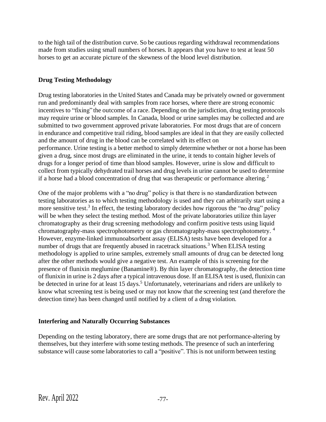to the high tail of the distribution curve. So be cautious regarding withdrawal recommendations made from studies using small numbers of horses. It appears that you have to test at least 50 horses to get an accurate picture of the skewness of the blood level distribution.

# **Drug Testing Methodology**

Drug testing laboratories in the United States and Canada may be privately owned or government run and predominantly deal with samples from race horses, where there are strong economic incentives to "fixing" the outcome of a race. Depending on the jurisdiction, drug testing protocols may require urine or blood samples. In Canada, blood or urine samples may be collected and are submitted to two government approved private laboratories. For most drugs that are of concern in endurance and competitive trail riding, blood samples are ideal in that they are easily collected and the amount of drug in the blood can be correlated with its effect on performance. Urine testing is a better method to simply determine whether or not a horse has been given a drug, since most drugs are eliminated in the urine, it tends to contain higher levels of drugs for a longer period of time than blood samples. However, urine is slow and difficult to collect from typically dehydrated trail horses and drug levels in urine cannot be used to determine if a horse had a blood concentration of drug that was therapeutic or performance altering.<sup>2</sup>

One of the major problems with a "no drug" policy is that there is no standardization between testing laboratories as to which testing methodology is used and they can arbitrarily start using a more sensitive test.<sup>3</sup> In effect, the testing laboratory decides how rigorous the "no drug" policy will be when they select the testing method. Most of the private laboratories utilize thin layer chromatography as their drug screening methodology and confirm positive tests using liquid chromatography-mass spectrophotometry or gas chromatography-mass spectrophotometry. <sup>4</sup> However, enzyme-linked immunoabsorbent assay (ELISA) tests have been developed for a number of drugs that are frequently abused in racetrack situations.<sup>3</sup> When ELISA testing methodology is applied to urine samples, extremely small amounts of drug can be detected long after the other methods would give a negative test. An example of this is screening for the presence of flunixin meglumine (Banamine®). By thin layer chromatography, the detection time of flunixin in urine is 2 days after a typical intravenous dose. If an ELISA test is used, flunixin can be detected in urine for at least 15 days.<sup>5</sup> Unfortunately, veterinarians and riders are unlikely to know what screening test is being used or may not know that the screening test (and therefore the detection time) has been changed until notified by a client of a drug violation.

# **Interfering and Naturally Occurring Substances**

Depending on the testing laboratory, there are some drugs that are not performance-altering by themselves, but they interfere with some testing methods. The presence of such an interfering substance will cause some laboratories to call a "positive". This is not uniform between testing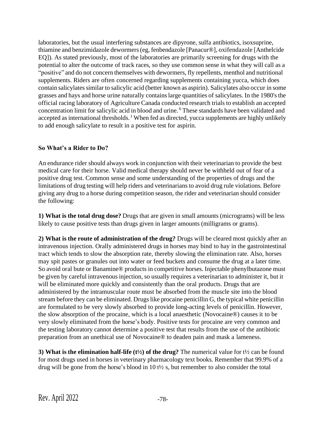laboratories, but the usual interfering substances are dipyrone, sulfa antibiotics, isoxsuprine, thiamine and benzimidazole dewormers(eg, fenbendazole [Panacur®], oxifendazole [Anthelcide EQ]). As stated previously, most of the laboratories are primarily screening for drugs with the potential to alter the outcome of track races, so they use common sense in what they will call as a "positive" and do not concern themselves with dewormers, fly repellents, menthol and nutritional supplements. Riders are often concerned regarding supplements containing yucca, which does contain salicylates similar to salicylic acid (better known as aspirin). Salicylates also occur in some grasses and hays and horse urine naturally containslarge quantities of salicylates. In the 1980'sthe official racing laboratory of Agriculture Canada conducted research trials to establish an accepted concentration limit for salicylic acid in blood and urine. <sup>6</sup> These standards have been validated and accepted as international thresholds.<sup>1</sup> When fed as directed, yucca supplements are highly unlikely to add enough salicylate to result in a positive test for aspirin.

### **So What's a Rider to Do?**

An endurance rider should always work in conjunction with their veterinarian to provide the best medical care for their horse. Valid medical therapy should never be withheld out of fear of a positive drug test. Common sense and some understanding of the properties of drugs and the limitations of drug testing will help riders and veterinariansto avoid drug rule violations. Before giving any drug to a horse during competition season, the rider and veterinarian should consider the following:

**1) What is the total drug dose?** Drugs that are given in small amounts (micrograms) will be less likely to cause positive tests than drugs given in larger amounts (milligrams or grams).

**2) What is the route of administration of the drug?** Drugs will be cleared most quickly after an intravenous injection. Orally administered drugs in horses may bind to hay in the gastrointestinal tract which tends to slow the absorption rate, thereby slowing the elimination rate. Also, horses may spit pastes or granules out into water or feed buckets and consume the drug at a later time. So avoid oral bute or Banamine® products in competitive horses. Injectable phenylbutazone must be given by careful intravenous injection, so usually requires a veterinarian to administer it, but it will be eliminated more quickly and consistently than the oral products. Drugs that are administered by the intramuscular route must be absorbed from the muscle site into the blood stream before they can be eliminated. Drugs like procaine penicillin G, the typical white penicillin are formulated to be very slowly absorbed to provide long-acting levels of penicillin. However, the slow absorption of the procaine, which is a local anaesthetic (Novocaine®) causes it to be very slowly eliminated from the horse's body. Positive tests for procaine are very common and the testing laboratory cannot determine a positive test that results from the use of the antibiotic preparation from an unethical use of Novocaine® to deaden pain and mask a lameness.

**3)** What is the elimination half-life ( $t\frac{1}{2}$ ) of the drug? The numerical value for  $t\frac{1}{2}$  can be found for most drugs used in horses in veterinary pharmacology text books. Remember that 99.9% of a drug will be gone from the horse's blood in 10 t½ s, but remember to also consider the total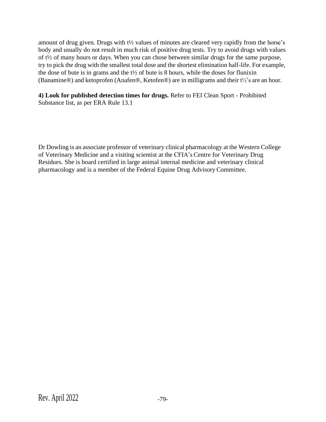amount of drug given. Drugs with t½ values of minutes are cleared very rapidly from the horse's body and usually do not result in much risk of positive drug tests. Try to avoid drugs with values of t½ of many hours or days. When you can chose between similar drugs for the same purpose, try to pick the drug with the smallest total dose and the shortest elimination half-life. For example, the dose of bute is in grams and the  $t\frac{1}{2}$  of bute is 8 hours, while the doses for flunixin (Banamine®) and ketoprofen (Anafen®, Ketofen®) are in milligrams and their t½'s are an hour.

**4) Look for published detection times for drugs.** Refer to FEI Clean Sport - Prohibited Substance list, as per ERA Rule 13.1

Dr Dowling is an associate professor of veterinary clinical pharmacology at the Western College of Veterinary Medicine and a visiting scientist at the CFIA's Centre for Veterinary Drug Residues. She is board certified in large animal internal medicine and veterinary clinical pharmacology and is a member of the Federal Equine Drug Advisory Committee.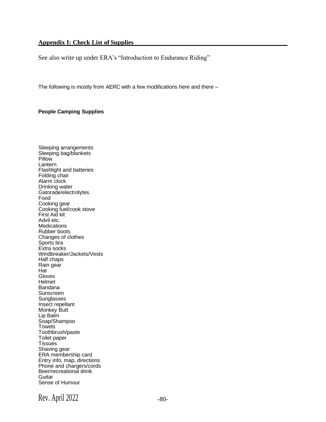#### **Appendix I: Check List of Supplies**

See also write up under ERA's "Introduction to Endurance Riding"

The following is mostly from AERC with a few modifications here and there –

#### **People Camping Supplies**

Sleeping arrangements Sleeping bag/blankets **Pillow** Lantern Flashlight and batteries Folding chair Alarm clock Drinking water Gatorade/electrolytes Food Cooking gear Cooking fuel/cook stove First Aid kit Advil etc. **Medications** Rubber boots Changes of clothes Sports bra Extra socks Windbreaker/Jackets/Vests Half chaps Rain gear Hat Gloves Helmet Bandana Sunscreen **Sunglasses** Insect repellant Monkey Butt Lip Balm Soap/Shampoo **Towels** Toothbrush/paste Toilet paper **Tissues** Shaving gear ERA membership card Entry info, map, directions Phone and chargers/cords Beer/recreational drink **Guitar** Sense of Humour

Rev. April  $2022$   $-80$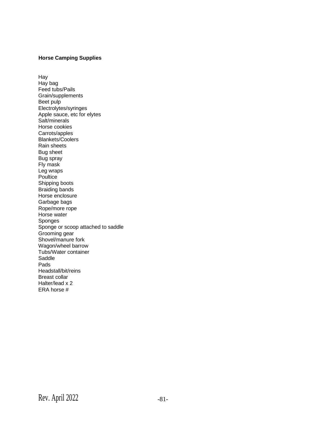### **Horse Camping Supplies**

Hay Hay bag Feed tubs/Pails Grain/supplements Beet pulp Electrolytes/syringes Apple sauce, etc for elytes Salt/minerals Horse cookies Carrots/apples Blankets/Coolers Rain sheets Bug sheet Bug spray Fly mask Leg wraps **Poultice** Shipping boots Braiding bands Horse enclosure Garbage bags Rope/more rope Horse water Sponges Sponge or scoop attached to saddle Grooming gear Shovel/manure fork Wagon/wheel barrow Tubs/Water container Saddle Pads Headstall/bit/reins Breast collar Halter/lead x 2 ERA horse #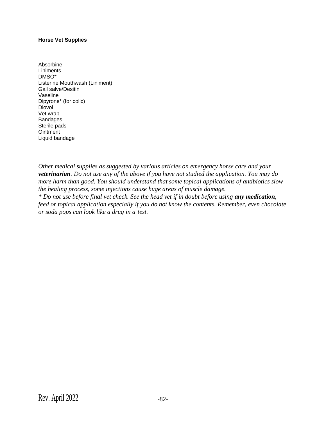#### **Horse Vet Supplies**

Absorbine **Liniments** DMSO\* Listerine Mouthwash (Liniment) Gall salve/Desitin Vaseline Dipyrone\* (for colic) Diovol Vet wrap Bandages Sterile pads **Ointment** Liquid bandage

*Other medical supplies as suggested by various articles on emergency horse care and your veterinarian. Do not use any of the above if you have not studied the application. You may do more harm than good. You should understand that some topical applications of antibiotics slow the healing process, some injections cause huge areas of muscle damage.*

*\* Do not use before final vet check. See the head vet if in doubt before using any medication, feed or topical application especially if you do not know the contents. Remember, even chocolate or soda pops can look like a drug in a test.*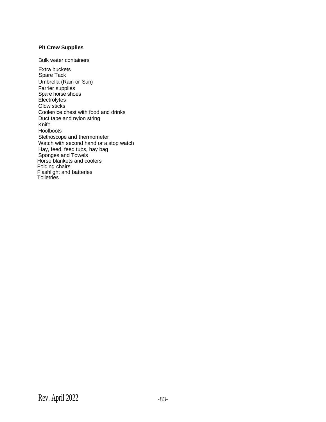#### **Pit Crew Supplies**

Bulk water containers

Extra buckets Spare Tack Umbrella (Rain or Sun) Farrier supplies Spare horse shoes **Electrolytes** Glow sticks Cooler/ice chest with food and drinks Duct tape and nylon string Knife Hoofboots Stethoscope and thermometer Watch with second hand or a stop watch Hay, feed, feed tubs, hay bag Sponges and Towels Horse blankets and coolers Folding chairs Flashlight and batteries **Toiletries**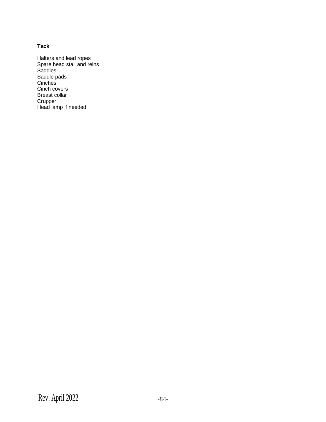#### **Tack**

Halters and lead ropes Spare head stall and reins Saddles Saddle pads Cinches Cinch covers Breast collar **Crupper** Head lamp if needed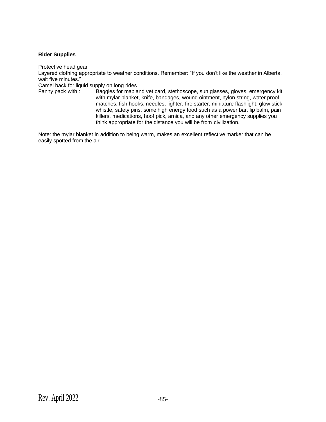#### **Rider Supplies**

Protective head gear

Layered clothing appropriate to weather conditions. Remember: "If you don't like the weather in Alberta, wait five minutes."

Camel back for liquid supply on long rides

Fanny pack with : Baggies for map and vet card, stethoscope, sun glasses, gloves, emergency kit with mylar blanket, knife, bandages, wound ointment, nylon string, water proof matches, fish hooks, needles, lighter, fire starter, miniature flashlight, glow stick, whistle, safety pins, some high energy food such as a power bar, lip balm, pain killers, medications, hoof pick, arnica, and any other emergency supplies you think appropriate for the distance you will be from civilization.

Note: the mylar blanket in addition to being warm, makes an excellent reflective marker that can be easily spotted from the air.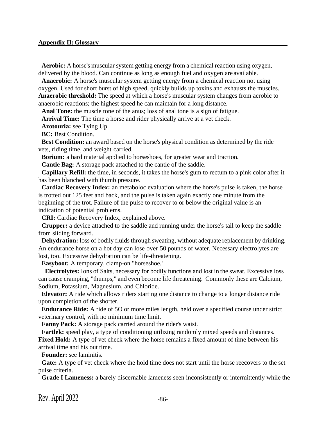#### **Appendix II: Glossary**

**Aerobic:** A horse's muscular system getting energy from a chemical reaction using oxygen, delivered by the blood. Can continue as long as enough fuel and oxygen are available.

**Anaerobic:** A horse's muscular system getting energy from a chemical reaction not using oxygen. Used for short burst of high speed, quickly builds up toxins and exhausts the muscles. **Anaerobic threshold:** The speed at which a horse's muscular system changes from aerobic to anaerobic reactions; the highest speed he can maintain for a long distance.

Anal Tone: the muscle tone of the anus; loss of anal tone is a sign of fatigue.

**Arrival Time:** The time a horse and rider physically arrive at a vet check.

**Azotouria:** see Tying Up.

**BC:** Best Condition.

**Best Condition:** an award based on the horse's physical condition as determined by the ride vets, riding time, and weight carried.

**Borium:** a hard material applied to horseshoes, for greater wear and traction.

**Cantle Bag:** A storage pack attached to the cantle of the saddle.

**Capillary Refill:** the time, in seconds, it takes the horse's gum to rectum to a pink color after it has been blanched with thumb pressure.

**Cardiac Recovery Index:** an metaboloc evaluation where the horse's pulse is taken, the horse is trotted out 125 feet and back, and the pulse is taken again exactly one minute from the beginning of the trot. Failure of the pulse to recover to or below the original value is an indication of potential problems.

**CRI:** Cardiac Recovery Index, explained above.

**Crupper:** a device attached to the saddle and running under the horse's tail to keep the saddle from sliding forward.

**Dehydration:** loss of bodily fluids through sweating, without adequate replacement by drinking. An endurance horse on a hot day can lose over 50 pounds of water. Necessary electrolytes are lost, too. Excessive dehydration can be life-threatening.

**Easyboot:** A temporary, clamp-on "horseshoe.'

**Electrolytes:** Ions of Salts, necessary for bodily functions and lost in the sweat. Excessive loss can cause cramping, "thumps," and even become life threatening. Commonly these are Calcium, Sodium, Potassium, Magnesium, and Chloride.

**Elevator:** A ride which allows riders starting one distance to change to a longer distance ride upon completion of the shorter.

**Endurance Ride:** A ride of 5O or more miles length, held over a specified course under strict veterinary control, with no minimum time limit.

**Fanny Pack:** A storage pack carried around the rider's waist.

Fartlek: speed play, a type of conditioning utilizing randomly mixed speeds and distances.

Fixed Hold: A type of vet check where the horse remains a fixed amount of time between his arrival time and his out time.

**Founder:** see laminitis.

**Gate:** A type of vet check where the hold time does not start until the horse reecovers to the set pulse criteria.

**Grade I Lameness:** a barely discernable lameness seen inconsistently or intermittently while the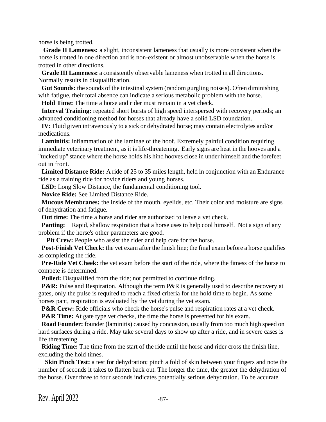horse is being trotted.

**Grade II Lameness:** a slight, inconsistent lameness that usually is more consistent when the horse is trotted in one direction and is non-existent or almost unobservable when the horse is trotted in other directions.

**Grade III Lameness:** a consistently observable lameness when trotted in all directions. Normally results in disqualification.

**Gut Sounds:** the sounds of the intestinal system (random gurgling noise s). Often diminishing with fatigue, their total absence can indicate a serious metabolic problem with the horse.

**Hold Time:** The time a horse and rider must remain in a vet check.

**Interval Training:** repeated short bursts of high speed interspersed with recovery periods; an advanced conditioning method for horses that already have a solid LSD foundation.

**IV:** Fluid given intravenously to a sick or dehydrated horse; may contain electrolytes and/or medications.

**Laminitis:** inflammation of the laminae of the hoof. Extremely painful condition requiring immediate veterinary treatment, as it is life-threatening. Early signs are heat in the hooves and a "tucked up" stance where the horse holds his hind hooves close in under himself and the forefeet out in front.

**Limited Distance Ride:** A ride of 25 to 35 miles length, held in conjunction with an Endurance ride as a training ride for novice riders and young horses.

LSD: Long Slow Distance, the fundamental conditioning tool.

**Novice Ride:** See Limited Distance Ride.

**Mucous Membranes:** the inside of the mouth, eyelids, etc. Their color and moisture are signs of dehydration and fatigue.

**Out time:** The time a horse and rider are authorized to leave a vet check.

**Panting:** Rapid, shallow respiration that a horse uses to help cool himself. Not a sign of any problem if the horse's other parameters are good.

Pit Crew: People who assist the rider and help care for the horse.

**Post-Finish Vet Check:** the vet exam after the finish line; the final exam before a horse qualifies as completing the ride.

**Pre-Ride Vet Cheek:** the vet exam before the start of the ride, where the fitness of the horse to compete is determined.

**Pulled:** Disqualified from the ride; not permitted to continue riding.

**P&R:** Pulse and Respiration. Although the term P&R is generally used to describe recovery at gates, only the pulse is required to reach a fixed criteria for the hold time to begin. As some horses pant, respiration is evaluated by the vet during the vet exam.

**P&R Crew:** Ride officials who check the horse's pulse and respiration rates at a vet check.

**P&R Time:** At gate type vet checks, the time the horse is presented for his exam.

**Road Founder:** founder (laminitis) caused by concussion, usually from too much high speed on hard surfaces during a ride. May take several days to show up after a ride, and in severe cases is life threatening.

**Riding Time:** The time from the start of the ride until the horse and rider cross the finish line, excluding the hold times.

**Skin Pinch Test:** a test for dehydration; pinch a fold of skin between your fingers and note the number of seconds it takes to flatten back out. The longer the time, the greater the dehydration of the horse. Over three to four seconds indicates potentially serious dehydration. To be accurate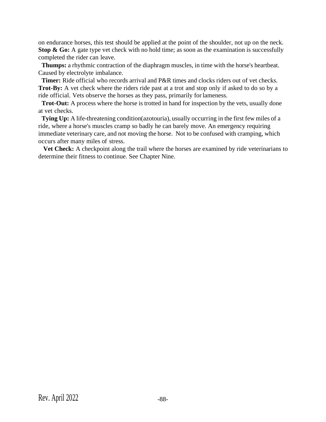on endurance horses, this test should be applied at the point of the shoulder, not up on the neck. **Stop & Go:** A gate type vet check with no hold time; as soon as the examination is successfully completed the rider can leave.

**Thumps:** a rhythmic contraction of the diaphragm muscles, in time with the horse's heartbeat. Caused by electrolyte imbalance.

**Timer:** Ride official who records arrival and P&R times and clocks riders out of vet checks. **Trot-By:** A vet check where the riders ride past at a trot and stop only if asked to do so by a ride official. Vets observe the horses as they pass, primarily forlameness.

**Trot-Out:** A process where the horse is trotted in hand for inspection by the vets, usually done at vet checks.

**Tying Up:** A life-threatening condition(azotouria), usually occurring in the first few miles of a ride, where a horse's muscles cramp so badly he can barely move. An emergency requiring immediate veterinary care, and not moving the horse. Not to be confused with cramping, which occurs after many miles of stress.

Vet Check: A checkpoint along the trail where the horses are examined by ride veterinarians to determine their fitness to continue. See Chapter Nine.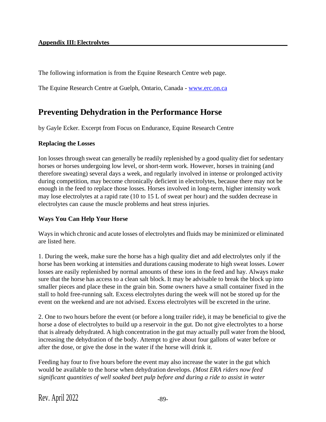### **Appendix III:Electrolytes**

The following information is from the Equine Research Centre web page.

The Equine Research Centre at Guelph, Ontario, Canada - [www.erc.on.ca](http://www.erc.on.ca/)

# **Preventing Dehydration in the Performance Horse**

by Gayle Ecker. Excerpt from Focus on Endurance, Equine Research Centre

### **Replacing the Losses**

Ion losses through sweat can generally be readily replenished by a good quality diet for sedentary horses or horses undergoing low level, or short-term work. However, horses in training (and therefore sweating) several days a week, and regularly involved in intense or prolonged activity during competition, may become chronically deficient in electrolytes, because there may not be enough in the feed to replace those losses. Horses involved in long-term, higher intensity work may lose electrolytes at a rapid rate (10 to 15 L of sweat per hour) and the sudden decrease in electrolytes can cause the muscle problems and heat stress injuries.

# **Ways You Can Help Your Horse**

Waysin which chronic and acute losses of electrolytes and fluids may be minimized or eliminated are listed here.

1. During the week, make sure the horse has a high quality diet and add electrolytes only if the horse has been working at intensities and durations causing moderate to high sweat losses. Lower losses are easily replenished by normal amounts of these ions in the feed and hay. Always make sure that the horse has access to a clean salt block. It may be advisable to break the block up into smaller pieces and place these in the grain bin. Some owners have a small container fixed in the stall to hold free-running salt. Excess electrolytes during the week will not be stored up for the event on the weekend and are not advised. Excess electrolytes will be excreted in the urine.

2. One to two hours before the event (or before a long trailer ride), it may be beneficial to give the horse a dose of electrolytes to build up a reservoir in the gut. Do not give electrolytes to a horse that is already dehydrated. A high concentration in the gut may actually pull water from the blood, increasing the dehydration of the body. Attempt to give about four gallons of water before or after the dose, or give the dose in the water if the horse will drink it.

Feeding hay four to five hours before the event may also increase the water in the gut which would be available to the horse when dehydration develops. *(Most ERA riders now feed significant quantities of well soaked beet pulp before and during a ride to assist in water*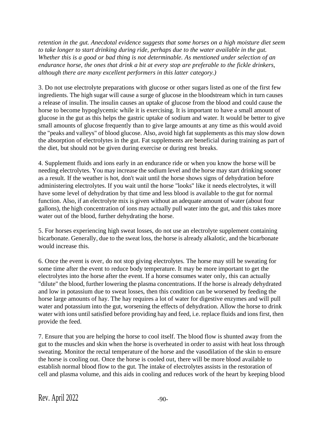*retention in the gut. Anecdotal evidence suggests that some horses on a high moisture diet seem to take longer to start drinking during ride, perhaps due to the water available in the gut. Whether this is a good or bad thing is not determinable. As mentioned under selection of an endurance horse, the ones that drink a bit at every stop are preferable to the fickle drinkers, although there are many excellent performers in this latter category.)*

3. Do not use electrolyte preparations with glucose or other sugars listed as one of the first few ingredients. The high sugar will cause a surge of glucose in the bloodstream which in turn causes a release of insulin. The insulin causes an uptake of glucose from the blood and could cause the horse to become hypoglycemic while it is exercising. It is important to have a small amount of glucose in the gut as this helps the gastric uptake of sodium and water. It would be better to give small amounts of glucose frequently than to give large amounts at any time as this would avoid the "peaks and valleys" of blood glucose. Also, avoid high fat supplements as this may slow down the absorption of electrolytes in the gut. Fat supplements are beneficial during training as part of the diet, but should not be given during exercise or during rest breaks.

4. Supplement fluids and ions early in an endurance ride or when you know the horse will be needing electrolytes. You may increase the sodium level and the horse may start drinking sooner as a result. If the weather is hot, don't wait until the horse shows signs of dehydration before administering electrolytes. If you wait until the horse "looks" like it needs electrolytes, it will have some level of dehydration by that time and less blood is available to the gut for normal function. Also, if an electrolyte mix is given without an adequate amount of water (about four gallons), the high concentration of ions may actually pull water into the gut, and this takes more water out of the blood, further dehydrating the horse.

5. For horses experiencing high sweat losses, do not use an electrolyte supplement containing bicarbonate. Generally, due to the sweat loss, the horse is already alkalotic, and the bicarbonate would increase this.

6. Once the event is over, do not stop giving electrolytes. The horse may still be sweating for some time after the event to reduce body temperature. It may be more important to get the electrolytes into the horse after the event. If a horse consumes water only, this can actually "dilute" the blood, further lowering the plasma concentrations. If the horse is already dehydrated and low in potassium due to sweat losses, then this condition can be worsened by feeding the horse large amounts of hay. The hay requires a lot of water for digestive enzymes and will pull water and potassium into the gut, worsening the effects of dehydration. Allow the horse to drink water with ions until satisfied before providing hay and feed, i.e. replace fluids and ions first, then provide the feed.

7. Ensure that you are helping the horse to cool itself. The blood flow is shunted away from the gut to the muscles and skin when the horse is overheated in order to assist with heat loss through sweating. Monitor the rectal temperature of the horse and the vasodilation of the skin to ensure the horse is cooling out. Once the horse is cooled out, there will be more blood available to establish normal blood flow to the gut. The intake of electrolytes assists in the restoration of cell and plasma volume, and this aids in cooling and reduces work of the heart by keeping blood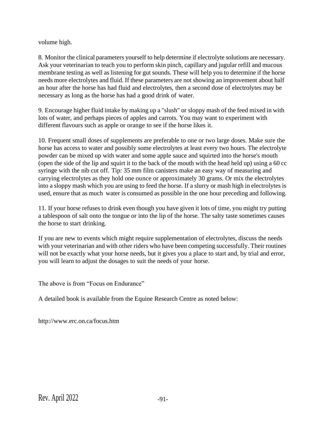volume high.

8. Monitor the clinical parameters yourself to help determine if electrolyte solutions are necessary. Ask your veterinarian to teach you to perform skin pinch, capillary and jugular refill and mucous membrane testing as well as listening for gut sounds. These will help you to determine if the horse needs more electrolytes and fluid. If these parameters are not showing an improvement about half an hour after the horse has had fluid and electrolytes, then a second dose of electrolytes may be necessary as long as the horse has had a good drink of water.

9. Encourage higher fluid intake by making up a "slush" or sloppy mash of the feed mixed in with lots of water, and perhaps pieces of apples and carrots. You may want to experiment with different flavours such as apple or orange to see if the horse likes it.

10. Frequent small doses of supplements are preferable to one or two large doses. Make sure the horse has access to water and possibly some electrolytes at least every two hours. The electrolyte powder can be mixed up with water and some apple sauce and squirted into the horse's mouth (open the side of the lip and squirt it to the back of the mouth with the head held up) using a 60 cc syringe with the nib cut off. Tip: 35 mm film canisters make an easy way of measuring and carrying electrolytes as they hold one ounce or approximately 30 grams. Or mix the electrolytes into a sloppy mash which you are using to feed the horse. If a slurry or mash high in electrolytes is used, ensure that as much water is consumed as possible in the one hour preceding and following.

11. If your horse refuses to drink even though you have given it lots of time, you might try putting a tablespoon of salt onto the tongue or into the lip of the horse. The salty taste sometimes causes the horse to start drinking.

If you are new to events which might require supplementation of electrolytes, discuss the needs with your veterinarian and with other riders who have been competing successfully. Their routines will not be exactly what your horse needs, but it gives you a place to start and, by trial and error, you will learn to adjust the dosages to suit the needs of your horse.

The above is from "Focus on Endurance"

A detailed book is available from the Equine Research Centre as noted below:

<http://www.erc.on.ca/focus.htm>